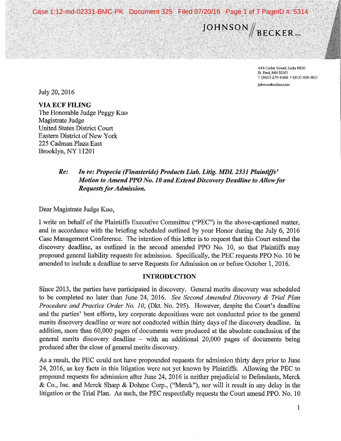Case 1:12-md-02331-BMC-PK Document 325 Filed 07/20/16 Page 1 of 7 PageID #: 5314

# JOHNSON BECKER

444 Cedar Street, Suite 1800 St. Paul, MN 55101 T (800) 279-6386 F (612) 436-1801 iohnsonbecker.com

July 20, 2016

**VIA ECF FILING** 

The Honorable Judge Peggy Kuo Magistrate Judge **United States District Court Eastern District of New York** 225 Cadman Plaza East Brooklyn, NY 11201

#### $Re:$ In re: Propecia (Finasteride) Products Liab. Litig. MDL 2331 Plaintiffs' Motion to Amend PPO No. 10 and Extend Discovery Deadline to Allow for **Requests for Admission.**

Dear Magistrate Judge Kuo,

I write on behalf of the Plaintiffs Executive Committee ("PEC") in the above-captioned matter, and in accordance with the briefing scheduled outlined by your Honor during the July 6, 2016 Case Management Conference. The intention of this letter is to request that this Court extend the discovery deadline, as outlined in the second amended PPO No. 10, so that Plaintiffs may propound general liability requests for admission. Specifically, the PEC requests PPO No. 10 be amended to include a deadline to serve Requests for Admission on or before October 1, 2016.

## **INTRODUCTION**

Since 2013, the parties have participated in discovery. General merits discovery was scheduled to be completed no later than June 24, 2016. See Second Amended Discovery & Trial Plan Procedure and Practice Order No. 10, (Dkt. No. 295). However, despite the Court's deadline and the parties' best efforts, key corporate depositions were not conducted prior to the general merits discovery deadline or were not conducted within thirty days of the discovery deadline. In addition, more than 60,000 pages of documents were produced at the absolute conclusion of the general merits discovery deadline  $-$  with an additional 20,000 pages of documents being produced after the close of general merits discovery.

As a result, the PEC could not have propounded requests for admission thirty days prior to June 24, 2016, as key facts in this litigation were not yet known by Plaintiffs. Allowing the PEC to propound requests for admission after June 24, 2016 is neither prejudicial to Defendants, Merck & Co., Inc. and Merck Sharp & Dohme Corp., ("Merck"), nor will it result in any delay in the litigation or the Trial Plan. As such, the PEC respectfully requests the Court amend PPO. No. 10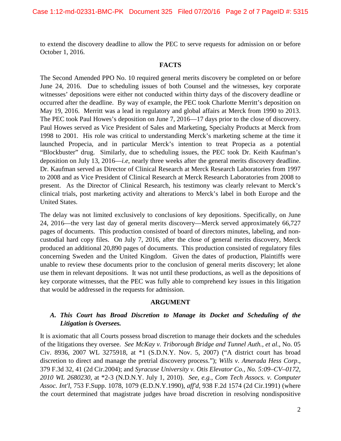to extend the discovery deadline to allow the PEC to serve requests for admission on or before October 1, 2016.

## **FACTS**

The Second Amended PPO No. 10 required general merits discovery be completed on or before June 24, 2016. Due to scheduling issues of both Counsel and the witnesses, key corporate witnesses' depositions were either not conducted within thirty days of the discovery deadline or occurred after the deadline. By way of example, the PEC took Charlotte Merritt's deposition on May 19, 2016. Merritt was a lead in regulatory and global affairs at Merck from 1990 to 2013. The PEC took Paul Howes's deposition on June 7, 2016—17 days prior to the close of discovery. Paul Howes served as Vice President of Sales and Marketing, Specialty Products at Merck from 1998 to 2001. His role was critical to understanding Merck's marketing scheme at the time it launched Propecia, and in particular Merck's intention to treat Propecia as a potential "Blockbuster" drug. Similarly, due to scheduling issues, the PEC took Dr. Keith Kaufman's deposition on July 13, 2016—*i.e*, nearly three weeks after the general merits discovery deadline. Dr. Kaufman served as Director of Clinical Research at Merck Research Laboratories from 1997 to 2008 and as Vice President of Clinical Research at Merck Research Laboratories from 2008 to present. As the Director of Clinical Research, his testimony was clearly relevant to Merck's clinical trials, post marketing activity and alterations to Merck's label in both Europe and the United States.

The delay was not limited exclusively to conclusions of key depositions. Specifically, on June 24, 2016—the very last day of general merits discovery—Merck served approximately 66,727 pages of documents. This production consisted of board of directors minutes, labeling, and noncustodial hard copy files. On July 7, 2016, after the close of general merits discovery, Merck produced an additional 20,890 pages of documents. This production consisted of regulatory files concerning Sweden and the United Kingdom. Given the dates of production, Plaintiffs were unable to review these documents prior to the conclusion of general merits discovery; let alone use them in relevant depositions. It was not until these productions, as well as the depositions of key corporate witnesses, that the PEC was fully able to comprehend key issues in this litigation that would be addressed in the requests for admission.

## **ARGUMENT**

# *A. This Court has Broad Discretion to Manage its Docket and Scheduling of the Litigation is Oversees.*

It is axiomatic that all Courts possess broad discretion to manage their dockets and the schedules of the litigations they oversee. *See McKay v. Triborough Bridge and Tunnel Auth., et al*., No. 05 Civ. 8936, 2007 WL 3275918, at \*1 (S.D.N.Y. Nov. 5, 2007) ("A district court has broad discretion to direct and manage the pretrial discovery process."); *Wills v. Amerada Hess Corp*., 379 F.3d 32, 41 (2d Cir.2004); and *Syracuse University v. Otis Elevator Co., No. 5:09–CV–0172, 2010 WL 2680230*, at \*2-3 (N.D.N.Y. July 1, 2010). *See, e.g., Com Tech Assocs. v. Computer Assoc. Int'l*, 753 F.Supp. 1078, 1079 (E.D.N.Y.1990), *aff'd*, 938 F.2d 1574 (2d Cir.1991) (where the court determined that magistrate judges have broad discretion in resolving nondispositive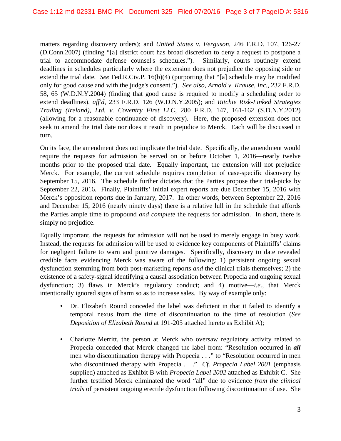matters regarding discovery orders); and *United States v. Ferguson*, 246 F.R.D. 107, 126-27 (D.Conn.2007) (finding "[a] district court has broad discretion to deny a request to postpone a trial to accommodate defense counsel's schedules."). Similarly, courts routinely extend deadlines in schedules particularly where the extension does not prejudice the opposing side or extend the trial date. *See* Fed.R.Civ.P. 16(b)(4) (purporting that "[a] schedule may be modified only for good cause and with the judge's consent."). *See also, Arnold v. Krause, Inc*., 232 F.R.D. 58, 65 (W.D.N.Y.2004) (finding that good cause is required to modify a scheduling order to extend deadlines), *aff'd*, 233 F.R.D. 126 (W.D.N.Y.2005); and *Ritchie Risk-Linked Strategies Trading (Ireland), Ltd. v. Coventry First LLC*, 280 F.R.D. 147, 161-162 (S.D.N.Y.2012) (allowing for a reasonable continuance of discovery). Here, the proposed extension does not seek to amend the trial date nor does it result in prejudice to Merck. Each will be discussed in turn.

On its face, the amendment does not implicate the trial date. Specifically, the amendment would require the requests for admission be served on or before October 1, 2016—nearly twelve months prior to the proposed trial date. Equally important, the extension will not prejudice Merck. For example, the current schedule requires completion of case-specific discovery by September 15, 2016. The schedule further dictates that the Parties propose their trial-picks by September 22, 2016. Finally, Plaintiffs' initial expert reports are due December 15, 2016 with Merck's opposition reports due in January, 2017. In other words, between September 22, 2016 and December 15, 2016 (nearly ninety days) there is a relative lull in the schedule that affords the Parties ample time to propound *and complete* the requests for admission. In short, there is simply no prejudice.

Equally important, the requests for admission will not be used to merely engage in busy work. Instead, the requests for admission will be used to evidence key components of Plaintiffs' claims for negligent failure to warn and punitive damages. Specifically, discovery to date revealed credible facts evidencing Merck was aware of the following: 1) persistent ongoing sexual dysfunction stemming from both post-marketing reports *and* the clinical trials themselves; 2) the existence of a safety-signal identifying a causal association between Propecia and ongoing sexual dysfunction; 3) flaws in Merck's regulatory conduct; and 4) motive—*i.e*., that Merck intentionally ignored signs of harm so as to increase sales. By way of example only:

- Dr. Elizabeth Round conceded the label was deficient in that it failed to identify a temporal nexus from the time of discontinuation to the time of resolution (*See Deposition of Elizabeth Round* at 191-205 attached hereto as Exhibit A);
- Charlotte Merritt, the person at Merck who oversaw regulatory activity related to Propecia conceded that Merck changed the label from: "Resolution occurred in *all*  men who discontinuation therapy with Propecia . . ." to "Resolution occurred in men who discontinued therapy with Propecia . . ." *Cf. Propecia Label 2001* (emphasis supplied) attached as Exhibit B with *Propecia Label 2002* attached as Exhibit C. She further testified Merck eliminated the word "all" due to evidence *from the clinical trials* of persistent ongoing erectile dysfunction following discontinuation of use. She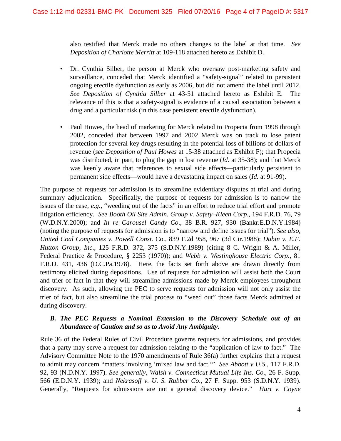also testified that Merck made no others changes to the label at that time. *See Deposition of Charlotte Merritt* at 109-118 attached hereto as Exhibit D.

- Dr. Cynthia Silber, the person at Merck who oversaw post-marketing safety and surveillance, conceded that Merck identified a "safety-signal" related to persistent ongoing erectile dysfunction as early as 2006, but did not amend the label until 2012. *See Deposition of Cynthia Silber* at 43-51 attached hereto as Exhibit E. The relevance of this is that a safety-signal is evidence of a causal association between a drug and a particular risk (in this case persistent erectile dysfunction).
- Paul Howes, the head of marketing for Merck related to Propecia from 1998 through 2002, conceded that between 1997 and 2002 Merck was on track to lose patent protection for several key drugs resulting in the potential loss of billions of dollars of revenue (*see Deposition of Paul Howes* at 15-38 attached as Exhibit F); that Propecia was distributed, in part, to plug the gap in lost revenue (*Id.* at 35-38); and that Merck was keenly aware that references to sexual side effects—particularly persistent to permanent side effects—would have a devastating impact on sales (*Id.* at 91-99).

The purpose of requests for admission is to streamline evidentiary disputes at trial and during summary adjudication. Specifically, the purpose of requests for admission is to narrow the issues of the case, *e.g*., "weeding out of the facts" in an effort to reduce trial effort and promote litigation efficiency. *See Booth Oil Site Admin. Group v. Safety–Kleen Corp*., 194 F.R.D. 76, 79 (W.D.N.Y.2000); and *In re Carousel Candy Co*., 38 B.R. 927, 930 (Bankr.E.D.N.Y.1984) (noting the purpose of requests for admission is to "narrow and define issues for trial"). *See also*, *United Coal Companies v. Powell Const*. Co., 839 F.2d 958, 967 (3d Cir.1988); *Dubin v. E.F. Hutton Group, Inc*., 125 F.R.D. 372, 375 (S.D.N.Y.1989) (citing 8 C. Wright & A. Miller, Federal Practice & Procedure, § 2253 (1970)); and *Webb v. Westinghouse Electric Corp*., 81 F.R.D. 431, 436 (D.C.Pa.1978). Here, the facts set forth above are drawn directly from testimony elicited during depositions. Use of requests for admission will assist both the Court and trier of fact in that they will streamline admissions made by Merck employees throughout discovery. As such, allowing the PEC to serve requests for admission will not only assist the trier of fact, but also streamline the trial process to "weed out" those facts Merck admitted at during discovery.

# *B. The PEC Requests a Nominal Extension to the Discovery Schedule out of an Abundance of Caution and so as to Avoid Any Ambiguity.*

Rule 36 of the Federal Rules of Civil Procedure governs requests for admissions, and provides that a party may serve a request for admission relating to the "application of law to fact." The Advisory Committee Note to the 1970 amendments of Rule 36(a) further explains that a request to admit may concern "matters involving 'mixed law and fact.'" *See Abbott v U.S*., 117 F.R.D. 92, 93 (N.D.N.Y. 1997). *See generally*, *Walsh v. Connecticut Mutual Life Ins. Co*., 26 F. Supp. 566 (E.D.N.Y. 1939); and *Nekrasoff v. U. S. Rubber Co*., 27 F. Supp. 953 (S.D.N.Y. 1939). Generally, "Requests for admissions are not a general discovery device." *Hurt v. Coyne*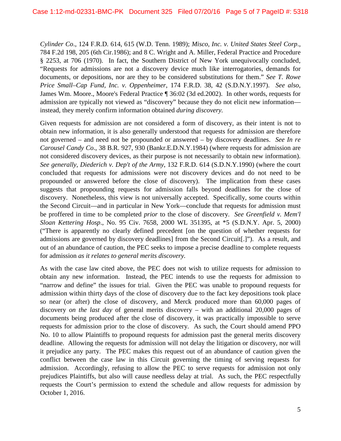*Cylinder Co*., 124 F.R.D. 614, 615 (W.D. Tenn. 1989); *Misco, Inc. v. United States Steel Corp*., 784 F.2d 198, 205 (6th Cir.1986); and 8 C. Wright and A. Miller, Federal Practice and Procedure § 2253, at 706 (1970). In fact, the Southern District of New York unequivocally concluded, "Requests for admissions are not a discovery device much like interrogatories, demands for documents, or depositions, nor are they to be considered substitutions for them." *See T. Rowe Price Small–Cap Fund, Inc. v. Oppenheimer*, 174 F.R.D. 38, 42 (S.D.N.Y.1997). *See also*, James Wm. Moore., Moore's Federal Practice ¶ 36:02 (3d ed.2002). In other words, requests for admission are typically not viewed as "discovery" because they do not elicit new information instead, they merely confirm information obtained *during discovery.* 

Given requests for admission are not considered a form of discovery, as their intent is not to obtain new information, it is also generally understood that requests for admission are therefore not governed – and need not be propounded or answered – by discovery deadlines. *See In re Carousel Candy Co*., 38 B.R. 927, 930 (Bankr.E.D.N.Y.1984) (where requests for admission are not considered discovery devices, as their purpose is not necessarily to obtain new information). *See generally*, *Diederich v. Dep't of the Army*, 132 F.R.D. 614 (S.D.N.Y.1990) (where the court concluded that requests for admissions were not discovery devices and do not need to be propounded or answered before the close of discovery). The implication from these cases suggests that propounding requests for admission falls beyond deadlines for the close of discovery. Nonetheless, this view is not universally accepted. Specifically, some courts within the Second Circuit—and in particular in New York—conclude that requests for admission must be proffered in time to be completed *prior* to the close of discovery. *See Greenfield v. Mem'l Sloan Kettering Hosp*., No. 95 Civ. 7658, 2000 WL 351395, at \*5 (S.D.N.Y. Apr. 5, 2000) ("There is apparently no clearly defined precedent [on the question of whether requests for admissions are governed by discovery deadlines] from the Second Circuit[.]"). As a result, and out of an abundance of caution, the PEC seeks to impose a precise deadline to complete requests for admission *as it relates to general merits discovery.*

As with the case law cited above, the PEC does not wish to utilize requests for admission to obtain any new information. Instead, the PEC intends to use the requests for admission to "narrow and define" the issues for trial. Given the PEC was unable to propound requests for admission within thirty days of the close of discovery due to the fact key depositions took place so near (or after) the close of discovery, and Merck produced more than 60,000 pages of discovery *on the last day* of general merits discovery – with an additional 20,000 pages of documents being produced after the close of discovery, it was practically impossible to serve requests for admission prior to the close of discovery. As such, the Court should amend PPO No. 10 to allow Plaintiffs to propound requests for admission past the general merits discovery deadline. Allowing the requests for admission will not delay the litigation or discovery, nor will it prejudice any party. The PEC makes this request out of an abundance of caution given the conflict between the case law in this Circuit governing the timing of serving requests for admission. Accordingly, refusing to allow the PEC to serve requests for admission not only prejudices Plaintiffs, but also will cause needless delay at trial. As such, the PEC respectfully requests the Court's permission to extend the schedule and allow requests for admission by October 1, 2016.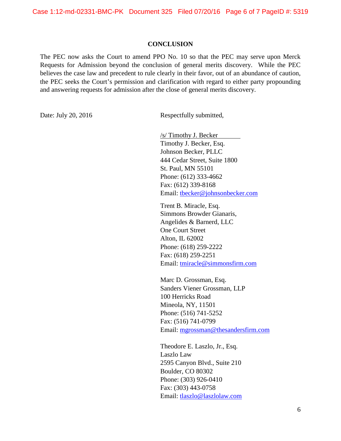## **CONCLUSION**

The PEC now asks the Court to amend PPO No. 10 so that the PEC may serve upon Merck Requests for Admission beyond the conclusion of general merits discovery. While the PEC believes the case law and precedent to rule clearly in their favor, out of an abundance of caution, the PEC seeks the Court's permission and clarification with regard to either party propounding and answering requests for admission after the close of general merits discovery.

Date: July 20, 2016 Respectfully submitted,

/s/ Timothy J. Becker Timothy J. Becker, Esq. Johnson Becker, PLLC 444 Cedar Street, Suite 1800 St. Paul, MN 55101 Phone: (612) 333-4662 Fax: (612) 339-8168 Email: tbecker@johnsonbecker.com

Trent B. Miracle, Esq. Simmons Browder Gianaris, Angelides & Barnerd, LLC One Court Street Alton, IL 62002 Phone: (618) 259-2222 Fax: (618) 259-2251 Email: tmiracle@simmonsfirm.com

Marc D. Grossman, Esq. Sanders Viener Grossman, LLP 100 Herricks Road Mineola, NY, 11501 Phone: (516) 741-5252 Fax: (516) 741-0799 Email: mgrossman@thesandersfirm.com

Theodore E. Laszlo, Jr., Esq. Laszlo Law 2595 Canyon Blvd., Suite 210 Boulder, CO 80302 Phone: (303) 926-0410 Fax: (303) 443-0758 Email: tlaszlo@laszlolaw.com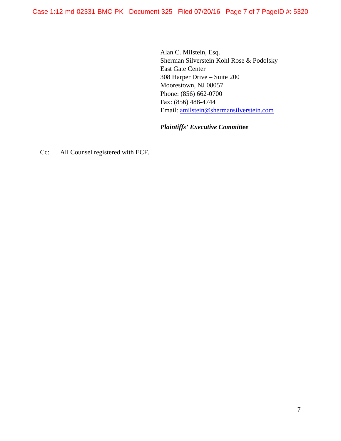Alan C. Milstein, Esq. Sherman Silverstein Kohl Rose & Podolsky East Gate Center 308 Harper Drive – Suite 200 Moorestown, NJ 08057 Phone: (856) 662-0700 Fax: (856) 488-4744 Email: amilstein@shermansilverstein.com

*Plaintiffs' Executive Committee*

Cc: All Counsel registered with ECF.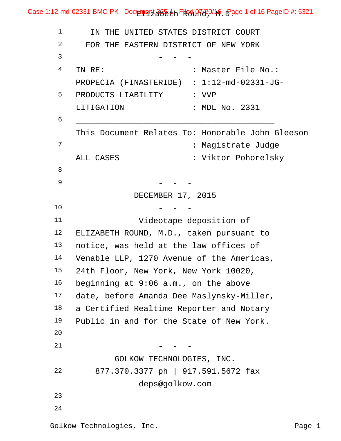Case 1:12-md-02331-BMC-PK Doc<del>ument 385-1</del>h Filed 07420/16 Page 1 of 16 PageID #: 5321

1 IN THE UNITED STATES DISTRICT COURT FOR THE EASTERN DISTRICT OF NEW YORK  $3 - - -$ 4 IN RE:  $\vdots$  : Master File No.: PROPECIA (FINASTERIDE) : 1:12-md-02331-JG- PRODUCTS LIABILITY : VVP LITIGATION : MDL No. 2331 \_\_\_\_\_\_\_\_\_\_\_\_\_\_\_\_\_\_\_\_\_\_\_\_\_\_\_\_\_\_\_\_\_\_\_\_\_\_\_\_\_ This Document Relates To: Honorable John Gleeson 7 : Magistrate Judge ALL CASES : Viktor Pohorelsky - - - DECEMBER 17, 2015 - - - Videotape deposition of ELIZABETH ROUND, M.D., taken pursuant to notice, was held at the law offices of Venable LLP, 1270 Avenue of the Americas, 24th Floor, New York, New York 10020, beginning at 9:06 a.m., on the above date, before Amanda Dee Maslynsky-Miller, a Certified Realtime Reporter and Notary Public in and for the State of New York. - - - GOLKOW TECHNOLOGIES, INC. 877.370.3377 ph | 917.591.5672 fax deps@golkow.com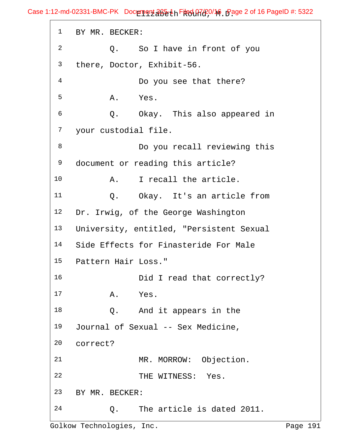Case 1:12-md-02331-BMC-PK Doc<del>ument 385-1</del>h Filed 07/20/16 Page 2 of 16 PageID #: 5322

 BY MR. BECKER: Q. So I have in front of you there, Doctor, Exhibit-56. Do you see that there? A. Yes. Q. Okay. This also appeared in your custodial file. Do you recall reviewing this document or reading this article? A. I recall the article. Q. Okay. It's an article from Dr. Irwig, of the George Washington University, entitled, "Persistent Sexual Side Effects for Finasteride For Male Pattern Hair Loss." 16 Did I read that correctly? A. Yes. Q. And it appears in the Journal of Sexual -- Sex Medicine, correct? MR. MORROW: Objection. 22 THE WITNESS: Yes. BY MR. BECKER: Q. The article is dated 2011.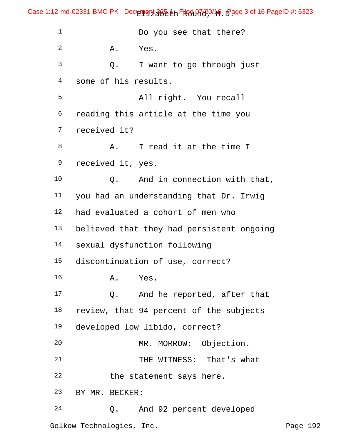Case 1:12-md-02331-BMC-PK Doc<del>ument 385-1</del>h Filed 07/20/16 Page 3 of 16 PageID #: 5323

1 Do you see that there? A. Yes. Q. I want to go through just some of his results. All right. You recall reading this article at the time you received it? A. I read it at the time I received it, yes. Q. And in connection with that, you had an understanding that Dr. Irwig had evaluated a cohort of men who believed that they had persistent ongoing sexual dysfunction following discontinuation of use, correct? A. Yes. Q. And he reported, after that review, that 94 percent of the subjects developed low libido, correct? MR. MORROW: Objection. 21 THE WITNESS: That's what 22 the statement says here. BY MR. BECKER: Q. And 92 percent developed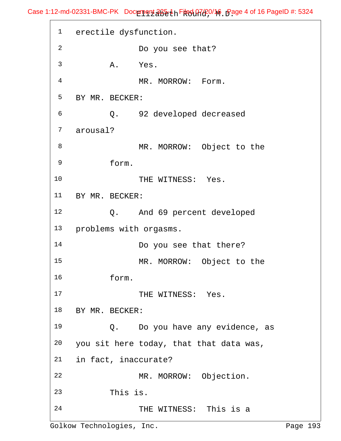Case 1:12-md-02331-BMC-PK Doc<del>ument 385-1</del>h Filed 07420/16 Page 4 of 16 PageID #: 5324

 erectile dysfunction. Do you see that? A. Yes. 4 MR. MORROW: Form. BY MR. BECKER: Q. 92 developed decreased arousal? 8 MR. MORROW: Object to the form. 10 THE WITNESS: Yes. BY MR. BECKER: Q. And 69 percent developed problems with orgasms. Do you see that there? MR. MORROW: Object to the form. 17 THE WITNESS: Yes. BY MR. BECKER: Q. Do you have any evidence, as you sit here today, that that data was, in fact, inaccurate? MR. MORROW: Objection. This is. THE WITNESS: This is a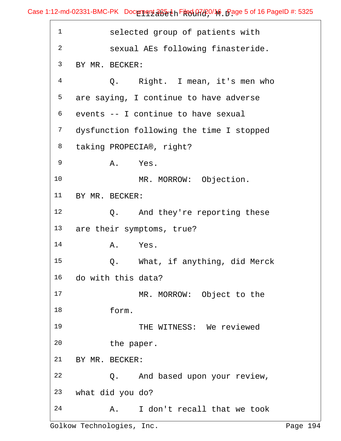Case 1:12-md-02331-BMC-PK Doc<del>ument 385-1</del>h Filed 07/20/16 Page 5 of 16 PageID #: 5325

 selected group of patients with sexual AEs following finasteride. BY MR. BECKER: Q. Right. I mean, it's men who are saying, I continue to have adverse events -- I continue to have sexual dysfunction following the time I stopped taking PROPECIA®, right? A. Yes. 10 MR. MORROW: Objection. BY MR. BECKER: 12 Q. And they're reporting these are their symptoms, true? A. Yes. Q. What, if anything, did Merck do with this data? 17 MR. MORROW: Object to the form. THE WITNESS: We reviewed the paper. BY MR. BECKER: Q. And based upon your review, what did you do? A. I don't recall that we took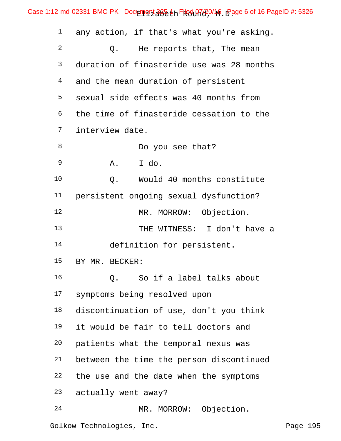any action, if that's what you're asking. Q. He reports that, The mean duration of finasteride use was 28 months 4 and the mean duration of persistent sexual side effects was 40 months from the time of finasteride cessation to the interview date. 8 Do you see that? A. I do. Q. Would 40 months constitute persistent ongoing sexual dysfunction? 12 MR. MORROW: Objection. THE WITNESS: I don't have a definition for persistent. BY MR. BECKER: Q. So if a label talks about symptoms being resolved upon discontinuation of use, don't you think it would be fair to tell doctors and patients what the temporal nexus was between the time the person discontinued the use and the date when the symptoms actually went away? MR. MORROW: Objection.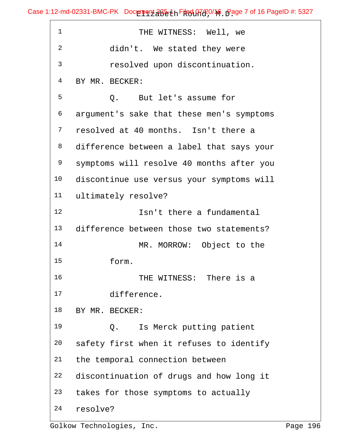Case 1:12-md-02331-BMC-PK Doc<del>ument 385-1</del>h Filed 07&0/16 Page 7 of 16 PageID #: 5327

| $\mathbf 1$ | THE WITNESS: Well, we                     |
|-------------|-------------------------------------------|
| 2           | didn't. We stated they were               |
| 3           | resolved upon discontinuation.            |
| 4           | BY MR. BECKER:                            |
| 5           | Q. But let's assume for                   |
| 6           | argument's sake that these men's symptoms |
| 7           | resolved at 40 months. Isn't there a      |
| 8           | difference between a label that says your |
| 9           | symptoms will resolve 40 months after you |
| 10          | discontinue use versus your symptoms will |
| 11          | ultimately resolve?                       |
| 12          | Isn't there a fundamental                 |
| 13          | difference between those two statements?  |
| 14          | MR. MORROW: Object to the                 |
| 15          | form.                                     |
| 16          | THE WITNESS: There is a                   |
| 17          | difference.                               |
| 18          | BY MR. BECKER:                            |
| 19          | Q. Is Merck putting patient               |
| 20          | safety first when it refuses to identify  |
| 21          | the temporal connection between           |
| 22          | discontinuation of drugs and how long it  |
| 23          | takes for those symptoms to actually      |
| 24          | resolve?                                  |

Golkow Technologies, Inc. Page 196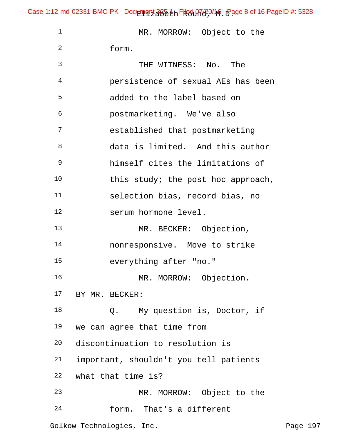Case 1:12-md-02331-BMC-PK Doc<del>ument 385-1</del>h Filed 07420/16 Page 8 of 16 PageID #: 5328

| $\mathbf 1$ | MR. MORROW: Object to the              |
|-------------|----------------------------------------|
| 2           | form.                                  |
| 3           | THE WITNESS: No. The                   |
| 4           | persistence of sexual AEs has been     |
| 5           | added to the label based on            |
| 6           | postmarketing. We've also              |
| 7           | established that postmarketing         |
| 8           | data is limited. And this author       |
| 9           | himself cites the limitations of       |
| 10          | this study; the post hoc approach,     |
| 11          | selection bias, record bias, no        |
| 12          | serum hormone level.                   |
| 13          | MR. BECKER: Objection,                 |
| 14          | nonresponsive. Move to strike          |
| 15          | everything after "no."                 |
| 16          | MR. MORROW: Objection.                 |
| 17          | BY MR. BECKER:                         |
| 18          | Q. My question is, Doctor, if          |
| 19          | we can agree that time from            |
| 20          | discontinuation to resolution is       |
| 21          | important, shouldn't you tell patients |
| 22          | what that time is?                     |
| 23          | MR. MORROW: Object to the              |
| 24          | form. That's a different               |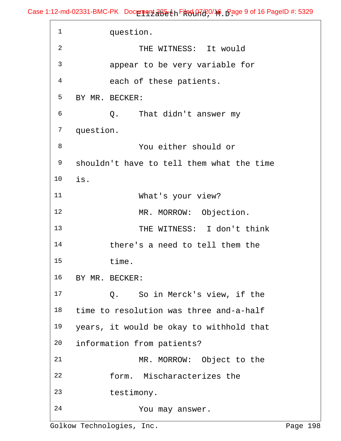Case 1:12-md-02331-BMC-PK Doc<del>ument 385-1</del>h Filed 07/20/16 Page 9 of 16 PageID #: 5329

 question. THE WITNESS: It would appear to be very variable for each of these patients. BY MR. BECKER: Q. That didn't answer my question. You either should or shouldn't have to tell them what the time is. What's your view? 12 MR. MORROW: Objection. THE WITNESS: I don't think there's a need to tell them the 15 time. BY MR. BECKER: Q. So in Merck's view, if the time to resolution was three and-a-half years, it would be okay to withhold that information from patients? MR. MORROW: Object to the form. Mischaracterizes the testimony. You may answer.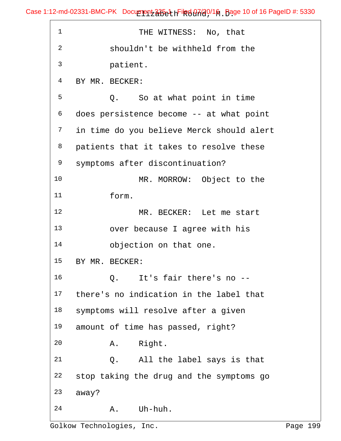Case 1:12-md-02331-BMC-PK Document  $\epsilon$   $\pm$  h  $\epsilon$  ike  $0.7/20/16$  . Bage 10 of 16 PageID #: 5330

1 THE WITNESS: No, that shouldn't be withheld from the patient. BY MR. BECKER: Q. So at what point in time does persistence become -- at what point in time do you believe Merck should alert patients that it takes to resolve these symptoms after discontinuation? MR. MORROW: Object to the form. 12 MR. BECKER: Let me start over because I agree with his objection on that one. BY MR. BECKER: Q. It's fair there's no -- there's no indication in the label that symptoms will resolve after a given amount of time has passed, right? A. Right. Q. All the label says is that stop taking the drug and the symptoms go away? A. Uh-huh.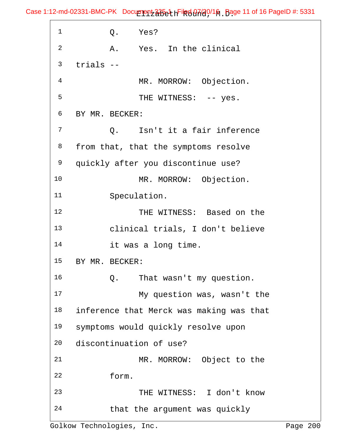$\Gamma$ 

| $\mathbf 1$ | Q. Yes?                                  |
|-------------|------------------------------------------|
| 2           | A. Yes. In the clinical                  |
| 3           | trials --                                |
| 4           | MR. MORROW: Objection.                   |
| 5           | THE WITNESS: -- yes.                     |
| 6           | BY MR. BECKER:                           |
| 7           | Q. Isn't it a fair inference             |
| 8           | from that, that the symptoms resolve     |
| 9           | quickly after you discontinue use?       |
| 10          | MR. MORROW: Objection.                   |
| 11          | Speculation.                             |
| 12          | THE WITNESS: Based on the                |
| 13          | clinical trials, I don't believe         |
| 14          | it was a long time.                      |
| 15          | BY MR. BECKER:                           |
| 16          | That wasn't my question.<br>Q.           |
| 17          | My question was, wasn't the              |
| 18          | inference that Merck was making was that |
| 19          | symptoms would quickly resolve upon      |
| 20          | discontinuation of use?                  |
| 21          | MR. MORROW: Object to the                |
| 22          | form.                                    |
| 23          | THE WITNESS: I don't know                |
| 24          | that the argument was quickly            |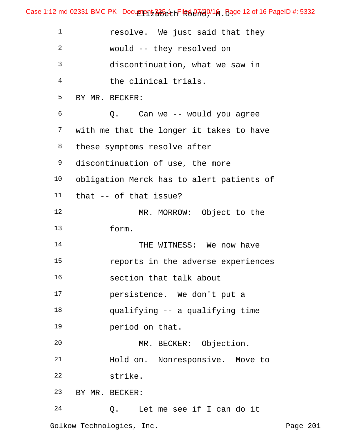**resolve.** We just said that they would -- they resolved on discontinuation, what we saw in the clinical trials. BY MR. BECKER: Q. Can we -- would you agree with me that the longer it takes to have 8 these symptoms resolve after discontinuation of use, the more obligation Merck has to alert patients of that -- of that issue? 12 MR. MORROW: Object to the form. 14 THE WITNESS: We now have reports in the adverse experiences section that talk about persistence. We don't put a qualifying -- a qualifying time period on that. MR. BECKER: Objection. Hold on. Nonresponsive. Move to strike. BY MR. BECKER: Q. Let me see if I can do it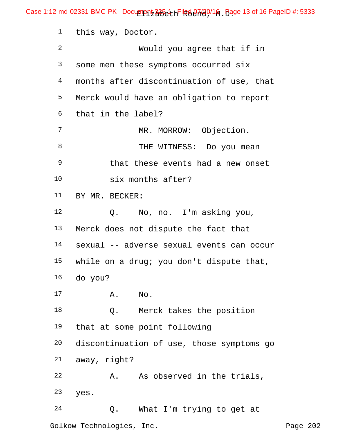this way, Doctor. Would you agree that if in some men these symptoms occurred six months after discontinuation of use, that Merck would have an obligation to report that in the label? 7 MR. MORROW: Objection. 8 THE WITNESS: Do you mean that these events had a new onset six months after? BY MR. BECKER: Q. No, no. I'm asking you, Merck does not dispute the fact that sexual -- adverse sexual events can occur while on a drug; you don't dispute that, do you? A. No. Q. Merck takes the position that at some point following discontinuation of use, those symptoms go away, right? A. As observed in the trials, yes. Q. What I'm trying to get at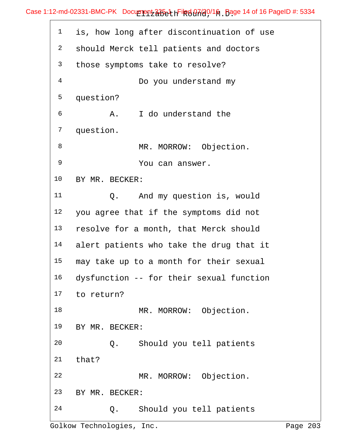1 is, how long after discontinuation of use should Merck tell patients and doctors those symptoms take to resolve? Do you understand my question? A. I do understand the question. 8 MR. MORROW: Objection. You can answer. BY MR. BECKER: Q. And my question is, would you agree that if the symptoms did not resolve for a month, that Merck should alert patients who take the drug that it may take up to a month for their sexual dysfunction -- for their sexual function to return? 18 MR. MORROW: Objection. BY MR. BECKER: Q. Should you tell patients that? MR. MORROW: Objection. BY MR. BECKER: Q. Should you tell patients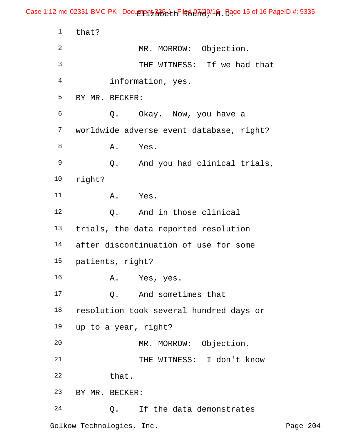that? MR. MORROW: Objection. THE WITNESS: If we had that information, yes. BY MR. BECKER: Q. Okay. Now, you have a worldwide adverse event database, right? 8 A. Yes. Q. And you had clinical trials, right? 11 A. Yes. Q. And in those clinical trials, the data reported resolution after discontinuation of use for some patients, right? A. Yes, yes. Q. And sometimes that resolution took several hundred days or up to a year, right? MR. MORROW: Objection. THE WITNESS: I don't know 22 that. BY MR. BECKER: Q. If the data demonstrates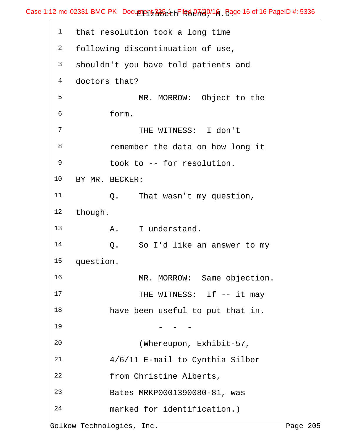that resolution took a long time following discontinuation of use, shouldn't you have told patients and doctors that? MR. MORROW: Object to the form. THE WITNESS: I don't remember the data on how long it took to -- for resolution. BY MR. BECKER: Q. That wasn't my question, though. 13 A. I understand. Q. So I'd like an answer to my question. 16 MR. MORROW: Same objection. 17 THE WITNESS: If  $-$  it may have been useful to put that in. - - - (Whereupon, Exhibit-57, 4/6/11 E-mail to Cynthia Silber from Christine Alberts, Bates MRKP0001390080-81, was marked for identification.)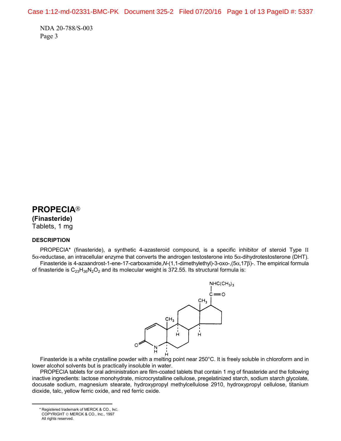Case 1:12-md-02331-BMC-PK Document 325-2 Filed 07/20/16 Page 1 of 13 PageID #: 5337

NDA 20-788/S-003 Page 3

# **PROPECIA**

**(Finasteride)** Tablets, 1 mg

## **DESCRIPTION**

PROPECIA\* (finasteride), a synthetic 4-azasteroid compound, is a specific inhibitor of steroid Type II 5α-reductase, an intracellular enzyme that converts the androgen testosterone into 5α-dihydrotestosterone (DHT). Finasteride is 4-azaandrost-1-ene-17-carboxamide,*N*-(1,1-dimethylethyl)-3-oxo-,(5α,17β)-. The empirical formula of finasteride is  $C_{23}H_{36}N_2O_2$  and its molecular weight is 372.55. Its structural formula is:



Finasteride is a white crystalline powder with a melting point near 250°C. It is freely soluble in chloroform and in lower alcohol solvents but is practically insoluble in water.

PROPECIA tablets for oral administration are film-coated tablets that contain 1 mg of finasteride and the following inactive ingredients: lactose monohydrate, microcrystalline cellulose, pregelatinized starch, sodium starch glycolate, docusate sodium, magnesium stearate, hydroxypropyl methylcellulose 2910, hydroxypropyl cellulose, titanium dioxide, talc, yellow ferric oxide, and red ferric oxide.

1

<sup>\*</sup> Registered trademark of MERCK & CO., INC.

COPYRIGHT © MERCK & CO., Inc., 1997

All rights reserved.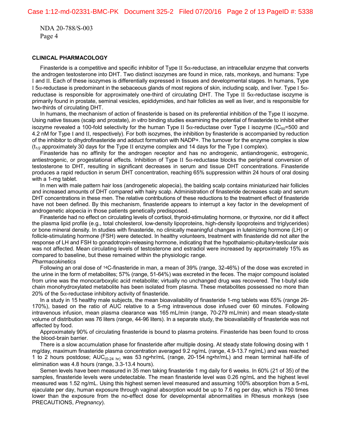#### **CLINICAL PHARMACOLOGY**

Finasteride is a competitive and specific inhibitor of Type II 5α-reductase, an intracellular enzyme that converts the androgen testosterone into DHT. Two distinct isozymes are found in mice, rats, monkeys, and humans: Type I and II. Each of these isozymes is differentially expressed in tissues and developmental stages. In humans, Type I 5 $\alpha$ -reductase is predominant in the sebaceous glands of most regions of skin, including scalp, and liver. Type I 5 $\alpha$ reductase is responsible for approximately one-third of circulating DHT. The Type II 5α-reductase isozyme is primarily found in prostate, seminal vesicles, epididymides, and hair follicles as well as liver, and is responsible for two-thirds of circulating DHT.

In humans, the mechanism of action of finasteride is based on its preferential inhibition of the Type II isozyme. Using native tissues (scalp and prostate), *in vitro* binding studies examining the potential of finasteride to inhibit either isozyme revealed a 100-fold selectivity for the human Type II 5 $\alpha$ -reductase over Type I isozyme (IC<sub>50</sub>=500 and 4.2 nM for Type I and II, respectively). For both isozymes, the inhibition by finasteride is accompanied by reduction of the inhibitor to dihydrofinasteride and adduct formation with NADP+. The turnover for the enzyme complex is slow  $(t_{1/2}$  approximately 30 days for the Type II enzyme complex and 14 days for the Type I complex).

Finasteride has no affinity for the androgen receptor and has no androgenic, antiandrogenic, estrogenic, antiestrogenic, or progestational effects. Inhibition of Type II 5α-reductase blocks the peripheral conversion of testosterone to DHT, resulting in significant decreases in serum and tissue DHT concentrations. Finasteride produces a rapid reduction in serum DHT concentration, reaching 65% suppression within 24 hours of oral dosing with a 1-mg tablet.

In men with male pattern hair loss (androgenetic alopecia), the balding scalp contains miniaturized hair follicles and increased amounts of DHT compared with hairy scalp. Administration of finasteride decreases scalp and serum DHT concentrations in these men. The relative contributions of these reductions to the treatment effect of finasteride have not been defined. By this mechanism, finasteride appears to interrupt a key factor in the development of androgenetic alopecia in those patients genetically predisposed.

Finasteride had no effect on circulating levels of cortisol, thyroid-stimulating hormone, or thyroxine, nor did it affect the plasma lipid profile (e.g., total cholesterol, low-density lipoproteins, high-density lipoproteins and triglycerides) or bone mineral density. In studies with finasteride, no clinically meaningful changes in luteinizing hormone (LH) or follicle-stimulating hormone (FSH) were detected. In healthy volunteers, treatment with finasteride did not alter the response of LH and FSH to gonadotropin-releasing hormone, indicating that the hypothalamic-pituitary-testicular axis was not affected. Mean circulating levels of testosterone and estradiol were increased by approximately 15% as compared to baseline, but these remained within the physiologic range.

#### *Pharmacokinetics*

Following an oral dose of 14C-finasteride in man, a mean of 39% (range, 32-46%) of the dose was excreted in the urine in the form of metabolites; 57% (range, 51-64%) was excreted in the feces. The major compound isolated from urine was the monocarboxylic acid metabolite; virtually no unchanged drug was recovered. The t-butyl side chain monohydroxylated metabolite has been isolated from plasma. These metabolites possessed no more than 20% of the 5 $α$ -reductase inhibitory activity of finasteride.

In a study in 15 healthy male subjects, the mean bioavailability of finasteride 1-mg tablets was 65% (range 26- 170%), based on the ratio of AUC relative to a 5-mg intravenous dose infused over 60 minutes. Following intravenous infusion, mean plasma clearance was 165 mL/min (range, 70-279 mL/min) and mean steady-state volume of distribution was 76 liters (range, 44-96 liters). In a separate study, the bioavailability of finasteride was not affected by food.

Approximately 90% of circulating finasteride is bound to plasma proteins. Finasteride has been found to cross the blood-brain barrier.

There is a slow accumulation phase for finasteride after multiple dosing. At steady state following dosing with 1 mg/day, maximum finasteride plasma concentration averaged 9.2 ng/mL (range, 4.9-13.7 ng/mL) and was reached 1 to 2 hours postdose; AUC<sub>(0-24 hr)</sub> was 53 ng•hr/mL (range, 20-154 ng•hr/mL) and mean terminal half-life of elimination was 4.8 hours (range, 3.3-13.4 hours).

Semen levels have been measured in 35 men taking finasteride 1 mg daily for 6 weeks. In 60% (21 of 35) of the samples, finasteride levels were undetectable. The mean finasteride level was 0.26 ng/mL and the highest level measured was 1.52 ng/mL. Using this highest semen level measured and assuming 100% absorption from a 5-mL ejaculate per day, human exposure through vaginal absorption would be up to 7.6 ng per day, which is 750 times lower than the exposure from the no-effect dose for developmental abnormalities in Rhesus monkeys (see PRECAUTIONS, *Pregnancy*).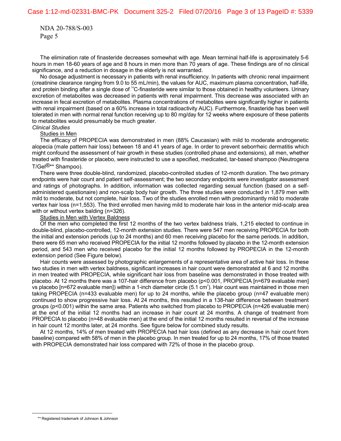The elimination rate of finasteride decreases somewhat with age. Mean terminal half-life is approximately 5-6 hours in men 18-60 years of age and 8 hours in men more than 70 years of age. These findings are of no clinical significance, and a reduction in dosage in the elderly is not warranted.

No dosage adjustment is necessary in patients with renal insufficiency. In patients with chronic renal impairment (creatinine clearance ranging from 9.0 to 55 mL/min), the values for AUC, maximum plasma concentration, half-life, and protein binding after a single dose of <sup>14</sup>C-finasteride were similar to those obtained in healthy volunteers. Urinary excretion of metabolites was decreased in patients with renal impairment. This decrease was associated with an increase in fecal excretion of metabolites. Plasma concentrations of metabolites were significantly higher in patients with renal impairment (based on a 60% increase in total radioactivity AUC). Furthermore, finasteride has been well tolerated in men with normal renal function receiving up to 80 mg/day for 12 weeks where exposure of these patients to metabolites would presumably be much greater.

#### *Clinical Studies*

#### Studies in Men

The efficacy of PROPECIA was demonstrated in men (88% Caucasian) with mild to moderate androgenetic alopecia (male pattern hair loss) between 18 and 41 years of age. In order to prevent seborrheic dermatitis which might confound the assessment of hair growth in these studies (controlled phase and extensions), all men, whether treated with finasteride or placebo, were instructed to use a specified, medicated, tar-based shampoo (Neutrogena T/Gel®\*\* Shampoo).

There were three double-blind, randomized, placebo-controlled studies of 12-month duration. The two primary endpoints were hair count and patient self-assessment; the two secondary endpoints were investigator assessment and ratings of photographs. In addition, information was collected regarding sexual function (based on a selfadministered questionaire) and non-scalp body hair growth. The three studies were conducted in 1,879 men with mild to moderate, but not complete, hair loss. Two of the studies enrolled men with predominantly mild to moderate vertex hair loss (n=1,553). The third enrolled men having mild to moderate hair loss in the anterior mid-scalp area with or without vertex balding (n=326).

Studies in Men with Vertex Baldness

Of the men who completed the first 12 months of the two vertex baldness trials, 1,215 elected to continue in double-blind, placebo-controlled, 12-month extension studies. There were 547 men receiving PROPECIA for both the initial and extension periods (up to 24 months) and 60 men receiving placebo for the same periods. In addition, there were 65 men who received PROPECIA for the initial 12 months followed by placebo in the 12-month extension period, and 543 men who received placebo for the initial 12 months followed by PROPECIA in the 12-month extension period (See Figure below).

Hair counts were assessed by photographic enlargements of a representative area of active hair loss. In these two studies in men with vertex baldness, significant increases in hair count were demonstrated at 6 and 12 months in men treated with PROPECIA, while significant hair loss from baseline was demonstrated in those treated with placebo. At 12 months there was a 107-hair difference from placebo (p<0.001, PROPECIA [n=679 evaluable men] vs placebo [n=672 evaluable men]) within a 1-inch diameter circle (5.1 cm<sup>2</sup>). Hair count was maintained in those men taking PROPECIA (n=433 evaluable men) for up to 24 months, while the placebo group (n=47 evaluable men) continued to show progressive hair loss. At 24 months, this resulted in a 138-hair difference between treatment groups (p<0.001) within the same area. Patients who switched from placebo to PROPECIA (n=426 evaluable men) at the end of the initial 12 months had an increase in hair count at 24 months. A change of treatment from PROPECIA to placebo (n=48 evaluable men) at the end of the initial 12 months resulted in reversal of the increase in hair count 12 months later, at 24 months. See figure below for combined study results.

At 12 months, 14% of men treated with PROPECIA had hair loss (defined as any decrease in hair count from baseline) compared with 58% of men in the placebo group. In men treated for up to 24 months, 17% of those treated with PROPECIA demonstrated hair loss compared with 72% of those in the placebo group.

1

<sup>\*\*</sup> Registered trademark of Johnson & Johnson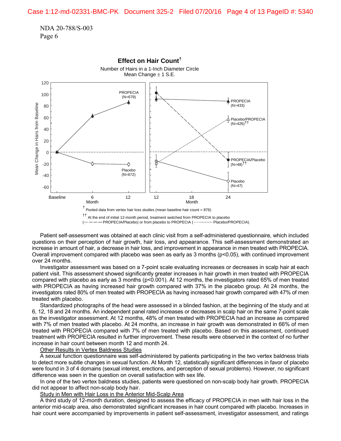

Patient self-assessment was obtained at each clinic visit from a self-administered questionnaire, which included questions on their perception of hair growth, hair loss, and appearance. This self-assessment demonstrated an increase in amount of hair, a decrease in hair loss, and improvement in appearance in men treated with PROPECIA. Overall improvement compared with placebo was seen as early as 3 months (p<0.05), with continued improvement over 24 months.

Investigator assessment was based on a 7-point scale evaluating increases or decreases in scalp hair at each patient visit. This assessment showed significantly greater increases in hair growth in men treated with PROPECIA compared with placebo as early as 3 months (p<0.001). At 12 months, the investigators rated 65% of men treated with PROPECIA as having increased hair growth compared with 37% in the placebo group. At 24 months, the investigators rated 80% of men treated with PROPECIA as having increased hair growth compared with 47% of men treated with placebo.

Standardized photographs of the head were assessed in a blinded fashion, at the beginning of the study and at 6, 12, 18 and 24 months. An independent panel rated increases or decreases in scalp hair on the same 7-point scale as the investigator assessment. At 12 months, 48% of men treated with PROPECIA had an increase as compared with 7% of men treated with placebo. At 24 months, an increase in hair growth was demonstrated in 66% of men treated with PROPECIA compared with 7% of men treated with placebo. Based on this assessment, continued treatment with PROPECIA resulted in further improvement. These results were observed in the context of no further increase in hair count between month 12 and month 24.

Other Results in Vertex Baldness Studies

A sexual function questionnaire was self-administered by patients participating in the two vertex baldness trials to detect more subtle changes in sexual function. At Month 12, statistically significant differences in favor of placebo were found in 3 of 4 domains (sexual interest, erections, and perception of sexual problems). However, no significant difference was seen in the question on overall satisfaction with sex life.

In one of the two vertex baldness studies, patients were questioned on non-scalp body hair growth. PROPECIA did not appear to affect non-scalp body hair.

Study in Men with Hair Loss in the Anterior Mid-Scalp Area

A third study of 12-month duration, designed to assess the efficacy of PROPECIA in men with hair loss in the anterior mid-scalp area, also demonstrated significant increases in hair count compared with placebo. Increases in hair count were accompanied by improvements in patient self-assessment, investigator assessment, and ratings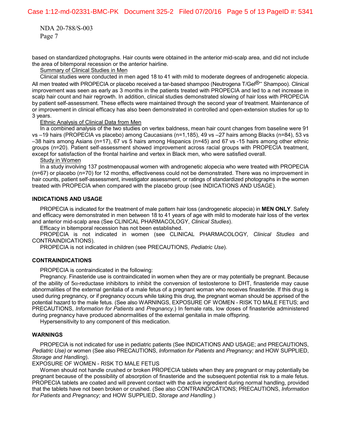based on standardized photographs. Hair counts were obtained in the anterior mid-scalp area, and did not include the area of bitemporal recession or the anterior hairline.

Summary of Clinical Studies in Men

Clinical studies were conducted in men aged 18 to 41 with mild to moderate degrees of androgenetic alopecia. All men treated with PROPECIA or placebo received a tar-based shampoo (Neutrogena T/Gel®<sup>\*\*</sup> Shampoo). Clinical improvement was seen as early as 3 months in the patients treated with PROPECIA and led to a net increase in scalp hair count and hair regrowth. In addition, clinical studies demonstrated slowing of hair loss with PROPECIA by patient self-assessment. These effects were maintained through the second year of treatment. Maintenance of or improvement in clinical efficacy has also been demonstrated in controlled and open-extension studies for up to 3 years.

Ethnic Analysis of Clinical Data from Men

In a combined analysis of the two studies on vertex baldness, mean hair count changes from baseline were 91 vs –19 hairs (PROPECIA vs placebo) among Caucasians (n=1,185), 49 vs –27 hairs among Blacks (n=84), 53 vs –38 hairs among Asians (n=17), 67 vs 5 hairs among Hispanics (n=45) and 67 vs -15 hairs among other ethnic groups (n=20). Patient self-assessment showed improvement across racial groups with PROPECIA treatment, except for satisfaction of the frontal hairline and vertex in Black men, who were satisfied overall.

Study in Women

In a study involving 137 postmenopausal women with androgenetic alopecia who were treated with PROPECIA (n=67) or placebo (n=70) for 12 months, effectiveness could not be demonstrated. There was no improvement in hair counts, patient self-assessment, investigator assessment, or ratings of standardized photographs in the women treated with PROPECIA when compared with the placebo group (see INDICATIONS AND USAGE).

#### **INDICATIONS AND USAGE**

PROPECIA is indicated for the treatment of male pattern hair loss (androgenetic alopecia) in **MEN ONLY**. Safety and efficacy were demonstrated in men between 18 to 41 years of age with mild to moderate hair loss of the vertex and anterior mid-scalp area (See CLINICAL PHARMACOLOGY, *Clinical Studies*).

Efficacy in bitemporal recession has not been established.

PROPECIA is not indicated in women (see CLINICAL PHARMACOLOGY*, Clinical Studies* and CONTRAINDICATIONS).

PROPECIA is not indicated in children (see PRECAUTIONS, *Pediatric Use*).

#### **CONTRAINDICATIONS**

PROPECIA is contraindicated in the following:

Pregnancy. Finasteride use is contraindicated in women when they are or may potentially be pregnant. Because of the ability of  $5\alpha$ -reductase inhibitors to inhibit the conversion of testosterone to DHT, finasteride may cause abnormalities of the external genitalia of a male fetus of a pregnant woman who receives finasteride. If this drug is used during pregnancy, or if pregnancy occurs while taking this drug, the pregnant woman should be apprised of the potential hazard to the male fetus. (See also WARNINGS, EXPOSURE OF WOMEN - RISK TO MALE FETUS; and PRECAUTIONS, *Information for Patients* and *Pregnancy*.) In female rats, low doses of finasteride administered during pregnancy have produced abnormalities of the external genitalia in male offspring.

Hypersensitivity to any component of this medication.

#### **WARNINGS**

PROPECIA is not indicated for use in pediatric patients (See INDICATIONS AND USAGE; and PRECAUTIONS, *Pediatric Use)* or women (See also PRECAUTIONS, *Information for Patients* and *Pregnancy;* and HOW SUPPLIED, *Storage and Handling*).

## EXPOSURE OF WOMEN - RISK TO MALE FETUS

Women should not handle crushed or broken PROPECIA tablets when they are pregnant or may potentially be pregnant because of the possibility of absorption of finasteride and the subsequent potential risk to a male fetus. PROPECIA tablets are coated and will prevent contact with the active ingredient during normal handling, provided that the tablets have not been broken or crushed. (See also CONTRAINDICATIONS; PRECAUTIONS, *Information for Patients* and *Pregnancy;* and HOW SUPPLIED, *Storage and Handling*.)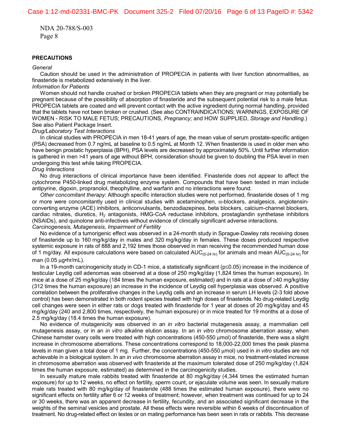#### **PRECAUTIONS**

#### *General*

Caution should be used in the administration of PROPECIA in patients with liver function abnormalities, as finasteride is metabolized extensively in the liver.

#### *Information for Patients*

Women should not handle crushed or broken PROPECIA tablets when they are pregnant or may potentially be pregnant because of the possibility of absorption of finasteride and the subsequent potential risk to a male fetus. PROPECIA tablets are coated and will prevent contact with the active ingredient during normal handling, provided that the tablets have not been broken or crushed. (See also CONTRAINDICATIONS; WARNINGS, EXPOSURE OF WOMEN - RISK TO MALE FETUS; PRECAUTIONS, *Pregnancy;* and HOW SUPPLIED, *Storage and Handling.*) See also Patient Package Insert.

#### *Drug/Laboratory Test Interactions*

In clinical studies with PROPECIA in men 18-41 years of age, the mean value of serum prostate-specific antigen (PSA) decreased from 0.7 ng/mL at baseline to 0.5 ng/mL at Month 12. When finasteride is used in older men who have benign prostatic hyperplasia (BPH), PSA levels are decreased by approximately 50%. Until further information is gathered in men >41 years of age without BPH, consideration should be given to doubling the PSA level in men undergoing this test while taking PROPECIA.

#### *Drug Interactions*

No drug interactions of clinical importance have been identified. Finasteride does not appear to affect the cytochrome P450-linked drug metabolizing enzyme system. Compounds that have been tested in man include antipyrine, digoxin, propranolol, theophylline, and warfarin and no interactions were found.

*Other concomitant therapy:* Although specific interaction studies were not performed, finasteride doses of 1 mg or more were concomitantly used in clinical studies with acetaminophen,  $α$ -blockers, analgesics, angiotensinconverting enzyme (ACE) inhibitors, anticonvulsants, benzodiazepines, beta blockers, calcium-channel blockers, cardiac nitrates, diuretics,  $H_2$  antagonists, HMG-CoA reductase inhibitors, prostaglandin synthetase inhibitors (NSAIDs), and quinolone anti-infectives without evidence of clinically significant adverse interactions. *Carcinogenesis, Mutagenesis, Impairment of Fertility*

No evidence of a tumorigenic effect was observed in a 24-month study in Sprague-Dawley rats receiving doses of finasteride up to 160 mg/kg/day in males and 320 mg/kg/day in females. These doses produced respective systemic exposure in rats of 888 and 2,192 times those observed in man receiving the recommended human dose of 1 mg/day. All exposure calculations were based on calculated  $AUC_{(0-24 \text{ hr})}$  for animals and mean  $AUC_{(0-24 \text{ hr})}$  for man (0.05 µg•hr/mL).

In a 19-month carcinogenicity study in CD-1 mice, a statistically significant (p≤0.05) increase in the incidence of testicular Leydig cell adenomas was observed at a dose of 250 mg/kg/day (1,824 times the human exposure). In mice at a dose of 25 mg/kg/day (184 times the human exposure, estimated) and in rats at a dose of ≥40 mg/kg/day (312 times the human exposure) an increase in the incidence of Leydig cell hyperplasia was observed. A positive correlation between the proliferative changes in the Leydig cells and an increase in serum LH levels (2-3 fold above control) has been demonstrated in both rodent species treated with high doses of finasteride. No drug-related Leydig cell changes were seen in either rats or dogs treated with finasteride for 1 year at doses of 20 mg/kg/day and 45 mg/kg/day (240 and 2,800 times, respectively, the human exposure) or in mice treated for 19 months at a dose of 2.5 mg/kg/day (18.4 times the human exposure).

No evidence of mutagenicity was observed in an *in vitro* bacterial mutagenesis assay, a mammalian cell mutagenesis assay, or in an *in vitro* alkaline elution assay. In an *in vitro* chromosome aberration assay, when Chinese hamster ovary cells were treated with high concentrations (450-550 µmol) of finasteride, there was a slight increase in chromosome aberrations. These concentrations correspond to 18,000-22,000 times the peak plasma levels in man given a total dose of 1 mg. Further, the concentrations (450-550 µmol) used in *in vitro* studies are not achievable in a biological system. In an *in vivo* chromosome aberration assay in mice, no treatment-related increase in chromosome aberration was observed with finasteride at the maximum tolerated dose of 250 mg/kg/day (1,824 times the human exposure, estimated) as determined in the carcinogenicity studies.

In sexually mature male rabbits treated with finasteride at 80 mg/kg/day (4,344 times the estimated human exposure) for up to 12 weeks, no effect on fertility, sperm count, or ejaculate volume was seen. In sexually mature male rats treated with 80 mg/kg/day of finasteride (488 times the estimated human exposure), there were no significant effects on fertility after 6 or 12 weeks of treatment; however, when treatment was continued for up to 24 or 30 weeks, there was an apparent decrease in fertility, fecundity, and an associated significant decrease in the weights of the seminal vesicles and prostate. All these effects were reversible within 6 weeks of discontinuation of treatment. No drug-related effect on testes or on mating performance has been seen in rats or rabbits. This decrease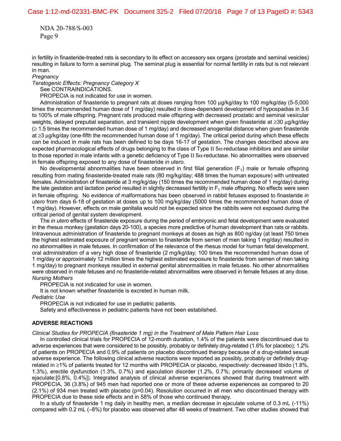in fertility in finasteride-treated rats is secondary to its effect on accessory sex organs (prostate and seminal vesicles) resulting in failure to form a seminal plug. The seminal plug is essential for normal fertility in rats but is not relevant in man.

## *Pregnancy*

*Teratogenic Effects: Pregnancy Category X*

See CONTRAINDICATIONS.

PROPECIA is not indicated for use in women.

Administration of finasteride to pregnant rats at doses ranging from 100 µg/kg/day to 100 mg/kg/day (5-5,000 times the recommended human dose of 1 mg/day) resulted in dose-dependent development of hypospadias in 3.6 to 100% of male offspring. Pregnant rats produced male offspring with decreased prostatic and seminal vesicular weights, delayed preputial separation, and transient nipple development when given finasteride at ≥30 µg/kg/day (≥ 1.5 times the recommended human dose of 1 mg/day) and decreased anogenital distance when given finasteride at ≥3 µg/kg/day (one-fifth the recommended human dose of 1 mg/day). The critical period during which these effects can be induced in male rats has been defined to be days 16-17 of gestation. The changes described above are expected pharmacological effects of drugs belonging to the class of Type II  $5\alpha$ -reductase inhibitors and are similar to those reported in male infants with a genetic deficiency of Type II 5α-reductase. No abnormalities were observed in female offspring exposed to any dose of finasteride *in utero*.

No developmental abnormalities have been observed in first filial generation  $(F_1)$  male or female offspring resulting from mating finasteride-treated male rats (80 mg/kg/day; 488 times the human exposure) with untreated females. Administration of finasteride at 3 mg/kg/day (150 times the recommended human dose of 1 mg/day) during the late gestation and lactation period resulted in slightly decreased fertility in  $F_1$  male offspring. No effects were seen in female offspring. No evidence of malformations has been observed in rabbit fetuses exposed to finasteride *in utero* from days 6-18 of gestation at doses up to 100 mg/kg/day (5000 times the recommended human dose of 1 mg/day). However, effects on male genitalia would not be expected since the rabbits were not exposed during the critical period of genital system development.

The *in utero* effects of finasteride exposure during the period of embryonic and fetal development were evaluated in the rhesus monkey (gestation days 20-100), a species more predictive of human development than rats or rabbits. Intravenous administration of finasteride to pregnant monkeys at doses as high as 800 ng/day (at least 750 times the highest estimated exposure of pregnant women to finasteride from semen of men taking 1 mg/day) resulted in no abnormalities in male fetuses. In confirmation of the relevance of the rhesus model for human fetal development, oral administration of a very high dose of finasteride (2 mg/kg/day; 100 times the recommended human dose of 1 mg/day or approximately 12 million times the highest estimated exposure to finasteride from semen of men taking 1 mg/day) to pregnant monkeys resulted in external genital abnormalities in male fetuses. No other abnormalities were observed in male fetuses and no finasteride-related abnormalities were observed in female fetuses at any dose. *Nursing Mothers*

PROPECIA is not indicated for use in women.

It is not known whether finasteride is excreted in human milk.

*Pediatric Use*

PROPECIA is not indicated for use in pediatric patients.

Safety and effectiveness in pediatric patients have not been established.

## **ADVERSE REACTIONS**

#### *Clinical Studies for PROPECIA (finasteride 1 mg) in the Treatment of Male Pattern Hair Loss*

In controlled clinical trials for PROPECIA of 12-month duration, 1.4% of the patients were discontinued due to adverse experiences that were considered to be possibly, probably or definitely drug-related (1.6% for placebo); 1.2% of patients on PROPECIA and 0.9% of patients on placebo discontinued therapy because of a drug-related sexual adverse experience. The following clinical adverse reactions were reported as possibly, probably or definitely drugrelated in ≥1% of patients treated for 12 months with PROPECIA or placebo, respectively: decreased libido (1.8%, 1.3%), erectile dysfunction (1.3%, 0.7%) and ejaculation disorder (1.2%, 0.7%; primarily decreased volume of ejaculate:[0.8%, 0.4%]). Integrated analysis of clinical adverse experiences showed that during treatment with PROPECIA, 36 (3.8%) of 945 men had reported one or more of these adverse experiences as compared to 20 (2.1%) of 934 men treated with placebo (p=0.04). Resolution occurred in all men who discontinued therapy with PROPECIA due to these side effects and in 58% of those who continued therapy.

In a study of finasteride 1 mg daily in healthy men, a median decrease in ejaculate volume of 0.3 mL (-11%) compared with 0.2 mL (–8%) for placebo was observed after 48 weeks of treatment. Two other studies showed that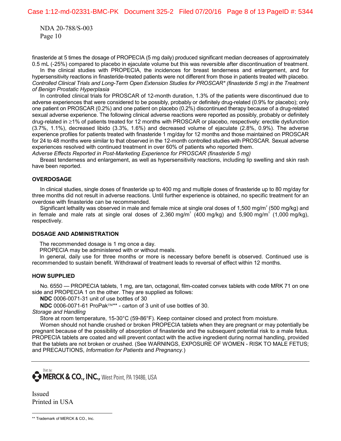finasteride at 5 times the dosage of PROPECIA (5 mg daily) produced significant median decreases of approximately 0.5 mL (-25%) compared to placebo in ejaculate volume but this was reversible after discontinuation of treatment.

In the clinical studies with PROPECIA, the incidences for breast tenderness and enlargement, and for hypersensitivity reactions in finasteride-treated patients were not different from those in patients treated with placebo*. Controlled Clinical Trials and Long-Term Open Extension Studies for PROSCAR\* (finasteride 5 mg) in the Treatment of Benign Prostatic Hyperplasia*

In controlled clinical trials for PROSCAR of 12-month duration, 1.3% of the patients were discontinued due to adverse experiences that were considered to be possibly, probably or definitely drug-related (0.9% for placebo); only one patient on PROSCAR (0.2%) and one patient on placebo (0.2%) discontinued therapy because of a drug-related sexual adverse experience. The following clinical adverse reactions were reported as possibly, probably or definitely drug-related in ≥1% of patients treated for 12 months with PROSCAR or placebo, respectively: erectile dysfunction (3.7%, 1.1%), decreased libido (3.3%, 1.6%) and decreased volume of ejaculate (2.8%, 0.9%). The adverse experience profiles for patients treated with finasteride 1 mg/day for 12 months and those maintained on PROSCAR for 24 to 48 months were similar to that observed in the 12-month controlled studies with PROSCAR. Sexual adverse experiences resolved with continued treatment in over 60% of patients who reported them.

*Adverse Effects Reported in Post-Marketing Experience for PROSCAR (finasteride 5 mg)*

Breast tenderness and enlargement, as well as hypersensitivity reactions, including lip swelling and skin rash have been reported.

#### **OVERDOSAGE**

In clinical studies, single doses of finasteride up to 400 mg and multiple doses of finasteride up to 80 mg/day for three months did not result in adverse reactions. Until further experience is obtained, no specific treatment for an overdose with finasteride can be recommended.

Significant lethality was observed in male and female mice at single oral doses of 1,500 mg/m<sup>2</sup> (500 mg/kg) and in female and male rats at single oral doses of 2,360 mg/m<sup>2</sup> (400 mg/kg) and 5,900 mg/m<sup>2</sup> (1,000 mg/kg), respectively.

#### **DOSAGE AND ADMINISTRATION**

The recommended dosage is 1 mg once a day.

PROPECIA may be administered with or without meals.

In general, daily use for three months or more is necessary before benefit is observed. Continued use is recommended to sustain benefit. Withdrawal of treatment leads to reversal of effect within 12 months.

#### **HOW SUPPLIED**

No. 6550 — PROPECIA tablets, 1 mg, are tan, octagonal, film-coated convex tablets with code MRK 71 on one side and PROPECIA 1 on the other. They are supplied as follows:

**NDC** 0006-0071-31 unit of use bottles of 30

**NDC** 0006-0071-61 ProPak™<sup>\*\*</sup> - carton of 3 unit of use bottles of 30.

#### *Storage and Handling*

Store at room temperature, 15-30°C (59-86°F). Keep container closed and protect from moisture.

Women should not handle crushed or broken PROPECIA tablets when they are pregnant or may potentially be pregnant because of the possibility of absorption of finasteride and the subsequent potential risk to a male fetus. PROPECIA tablets are coated and will prevent contact with the active ingredient during normal handling, provided that the tablets are not broken or crushed. (See WARNINGS, EXPOSURE OF WOMEN - RISK TO MALE FETUS; and PRECAUTIONS, *Information for Patients* and *Pregnancy.*)



Issued Printed in USA

1

<sup>\*\*</sup> Trademark of MERCK & CO., Inc.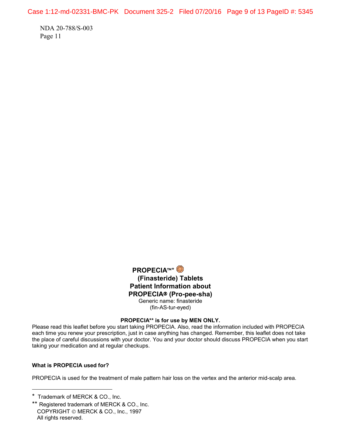Case 1:12-md-02331-BMC-PK Document 325-2 Filed 07/20/16 Page 9 of 13 PageID #: 5345

NDA 20-788/S-003 Page 11

> **PROPECIA<sup>TM\*</sup> (Finasteride) Tablets Patient Information about PROPECIA (Pro-pee-sha)** Generic name: finasteride (fin-AS-tur-eyed)

## **PROPECIA\*\* is for use by MEN ONLY.**

Please read this leaflet before you start taking PROPECIA. Also, read the information included with PROPECIA each time you renew your prescription, just in case anything has changed. Remember, this leaflet does not take the place of careful discussions with your doctor. You and your doctor should discuss PROPECIA when you start taking your medication and at regular checkups.

## **What is PROPECIA used for?**

<u>.</u>

PROPECIA is used for the treatment of male pattern hair loss on the vertex and the anterior mid-scalp area.

\* Trademark of MERCK & CO., Inc.

<sup>\*\*</sup> Registered trademark of MERCK & CO., Inc. COPYRIGHT © MERCK & CO., Inc., 1997 All rights reserved.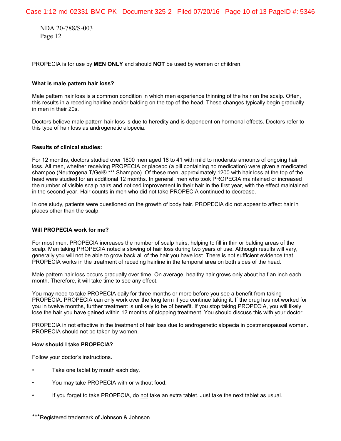PROPECIA is for use by **MEN ONLY** and should **NOT** be used by women or children.

## **What is male pattern hair loss?**

Male pattern hair loss is a common condition in which men experience thinning of the hair on the scalp. Often, this results in a receding hairline and/or balding on the top of the head. These changes typically begin gradually in men in their 20s.

Doctors believe male pattern hair loss is due to heredity and is dependent on hormonal effects. Doctors refer to this type of hair loss as androgenetic alopecia.

## **Results of clinical studies:**

For 12 months, doctors studied over 1800 men aged 18 to 41 with mild to moderate amounts of ongoing hair loss. All men, whether receiving PROPECIA or placebo (a pill containing no medication) were given a medicated shampoo (Neutrogena T/Gel® \*\*\* Shampoo). Of these men, approximately 1200 with hair loss at the top of the head were studied for an additional 12 months. In general, men who took PROPECIA maintained or increased the number of visible scalp hairs and noticed improvement in their hair in the first year, with the effect maintained in the second year. Hair counts in men who did not take PROPECIA continued to decrease.

In one study, patients were questioned on the growth of body hair. PROPECIA did not appear to affect hair in places other than the scalp.

#### **Will PROPECIA work for me?**

For most men, PROPECIA increases the number of scalp hairs, helping to fill in thin or balding areas of the scalp. Men taking PROPECIA noted a slowing of hair loss during two years of use. Although results will vary, generally you will not be able to grow back all of the hair you have lost. There is not sufficient evidence that PROPECIA works in the treatment of receding hairline in the temporal area on both sides of the head.

Male pattern hair loss occurs gradually over time. On average, healthy hair grows only about half an inch each month. Therefore, it will take time to see any effect.

You may need to take PROPECIA daily for three months or more before you see a benefit from taking PROPECIA. PROPECIA can only work over the long term if you continue taking it. If the drug has not worked for you in twelve months, further treatment is unlikely to be of benefit. If you stop taking PROPECIA, you will likely lose the hair you have gained within 12 months of stopping treatment. You should discuss this with your doctor.

PROPECIA in not effective in the treatment of hair loss due to androgenetic alopecia in postmenopausal women. PROPECIA should not be taken by women.

#### **How should I take PROPECIA?**

Follow your doctor's instructions.

1

- Take one tablet by mouth each day.
- You may take PROPECIA with or without food.
- If you forget to take PROPECIA, do not take an extra tablet. Just take the next tablet as usual.

<sup>\*\*\*</sup>Registered trademark of Johnson & Johnson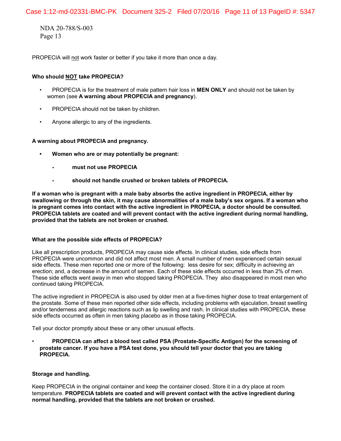PROPECIA will not work faster or better if you take it more than once a day.

## **Who should NOT take PROPECIA?**

- PROPECIA is for the treatment of male pattern hair loss in **MEN ONLY** and should not be taken by women (see **A warning about PROPECIA and pregnancy**).
- PROPECIA should not be taken by children.
- Anyone allergic to any of the ingredients.

## **A warning about PROPECIA and pregnancy.**

- **Women who are or may potentially be pregnant:**
	- **must not use PROPECIA**
	- **should not handle crushed or broken tablets of PROPECIA.**

**If a woman who is pregnant with a male baby absorbs the active ingredient in PROPECIA, either by swallowing or through the skin, it may cause abnormalities of a male baby's sex organs. If a woman who is pregnant comes into contact with the active ingredient in PROPECIA, a doctor should be consulted. PROPECIA tablets are coated and will prevent contact with the active ingredient during normal handling, provided that the tablets are not broken or crushed.**

#### **What are the possible side effects of PROPECIA?**

Like all prescription products, PROPECIA may cause side effects. In clinical studies, side effects from PROPECIA were uncommon and did not affect most men. A small number of men experienced certain sexual side effects. These men reported one or more of the following: less desire for sex; difficulty in achieving an erection; and, a decrease in the amount of semen. Each of these side effects occurred in less than 2% of men. These side effects went away in men who stopped taking PROPECIA. They also disappeared in most men who continued taking PROPECIA.

The active ingredient in PROPECIA is also used by older men at a five-times higher dose to treat enlargement of the prostate. Some of these men reported other side effects, including problems with ejaculation, breast swelling and/or tenderness and allergic reactions such as lip swelling and rash. In clinical studies with PROPECIA, these side effects occurred as often in men taking placebo as in those taking PROPECIA.

Tell your doctor promptly about these or any other unusual effects.

• **PROPECIA can affect a blood test called PSA (Prostate-Specific Antigen) for the screening of prostate cancer. If you have a PSA test done, you should tell your doctor that you are taking PROPECIA.**

#### **Storage and handling.**

Keep PROPECIA in the original container and keep the container closed. Store it in a dry place at room temperature. **PROPECIA tablets are coated and will prevent contact with the active ingredient during normal handling, provided that the tablets are not broken or crushed.**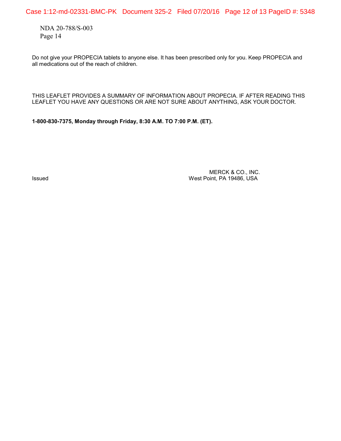Do not give your PROPECIA tablets to anyone else. It has been prescribed only for you. Keep PROPECIA and all medications out of the reach of children.

THIS LEAFLET PROVIDES A SUMMARY OF INFORMATION ABOUT PROPECIA. IF AFTER READING THIS LEAFLET YOU HAVE ANY QUESTIONS OR ARE NOT SURE ABOUT ANYTHING, ASK YOUR DOCTOR.

**1-800-830-7375, Monday through Friday, 8:30 A.M. TO 7:00 P.M. (ET).**

MERCK & CO., INC. Issued West Point, PA 19486, USA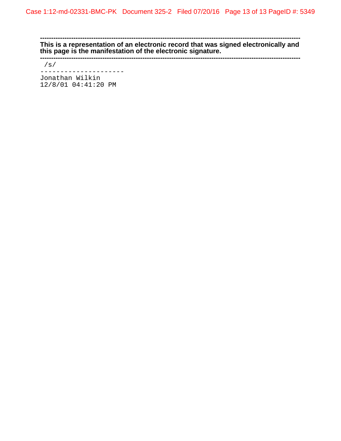**--------------------------------------------------------------------------------------------------------------------- This is a representation of an electronic record that was signed electronically and this page is the manifestation of the electronic signature.**

**---------------------------------------------------------------------------------------------------------------------**

 /s/ --------------------- Jonathan Wilkin 12/8/01 04:41:20 PM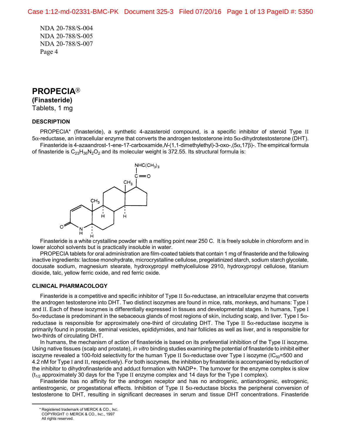# **PROPECIA**

**(Finasteride)** 

Tablets, 1 mg

# **DESCRIPTION**

PROPECIA\* (finasteride), a synthetic 4-azasteroid compound, is a specific inhibitor of steroid Type II  $5\alpha$ -reductase, an intracellular enzyme that converts the androgen testosterone into  $5\alpha$ -dihydrotestosterone (DHT).

Finasteride is 4-azaandrost-1-ene-17-carboxamide,*N*-(1,1-dimethylethyl)-3-oxo-,(5α,17β)-. The empirical formula of finasteride is  $C_{23}H_{36}N_2O_2$  and its molecular weight is 372.55. Its structural formula is:



Finasteride is a white crystalline powder with a melting point near 250 C. It is freely soluble in chloroform and in lower alcohol solvents but is practically insoluble in water.

PROPECIA tablets for oral administration are film-coated tablets that contain 1 mg of finasteride and the following inactive ingredients: lactose monohydrate, microcrystalline cellulose, pregelatinized starch, sodium starch glycolate, docusate sodium, magnesium stearate, hydroxypropyl methylcellulose 2910, hydroxypropyl cellulose, titanium dioxide, talc, yellow ferric oxide, and red ferric oxide.

#### **CLINICAL PHARMACOLOGY**

Finasteride is a competitive and specific inhibitor of Type II 5α-reductase, an intracellular enzyme that converts the androgen testosterone into DHT. Two distinct isozymes are found in mice, rats, monkeys, and humans: Type I and II. Each of these isozymes is differentially expressed in tissues and developmental stages. In humans, Type I  $5\alpha$ -reductase is predominant in the sebaceous glands of most regions of skin, including scalp, and liver. Type I  $5\alpha$ reductase is responsible for approximately one-third of circulating DHT. The Type II 5α-reductase isozyme is primarily found in prostate, seminal vesicles, epididymides, and hair follicles as well as liver, and is responsible for two-thirds of circulating DHT.

In humans, the mechanism of action of finasteride is based on its preferential inhibition of the Type II isozyme. Using native tissues (scalp and prostate), *in vitro* binding studies examining the potential of finasteride to inhibit either isozyme revealed a 100-fold selectivity for the human Type II 5 $\alpha$ -reductase over Type I isozyme (IC<sub>50</sub>=500 and 4.2 nM for Type I and II, respectively). For both isozymes, the inhibition by finasteride is accompanied by reduction of the inhibitor to dihydrofinasteride and adduct formation with NADP+. The turnover for the enzyme complex is slow  $(t_{1/2}$  approximately 30 days for the Type II enzyme complex and 14 days for the Type I complex).

Finasteride has no affinity for the androgen receptor and has no androgenic, antiandrogenic, estrogenic, antiestrogenic, or progestational effects. Inhibition of Type II 5α-reductase blocks the peripheral conversion of testosterone to DHT, resulting in significant decreases in serum and tissue DHT concentrations. Finasteride

1

 <sup>\*</sup> Registered trademark of MERCK & CO., INC.

COPYRIGHT © MERCK & CO., Inc., 1997

All rights reserved.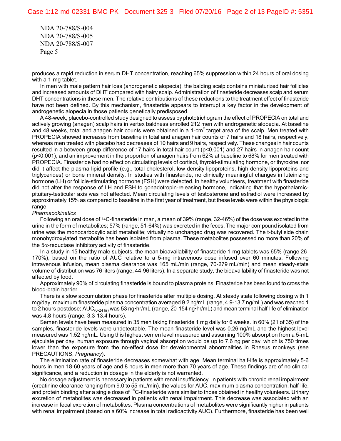produces a rapid reduction in serum DHT concentration, reaching 65% suppression within 24 hours of oral dosing with a 1-mg tablet.

In men with male pattern hair loss (androgenetic alopecia), the balding scalp contains miniaturized hair follicles and increased amounts of DHT compared with hairy scalp. Administration of finasteride decreases scalp and serum DHT concentrations in these men. The relative contributions of these reductions to the treatment effect of finasteride have not been defined. By this mechanism, finasteride appears to interrupt a key factor in the development of androgenetic alopecia in those patients genetically predisposed.

A 48-week, placebo-controlled study designed to assess by phototrichogram the effect of PROPECIA on total and actively growing (anagen) scalp hairs in vertex baldness enrolled 212 men with androgenetic alopecia. At baseline and 48 weeks, total and anagen hair counts were obtained in a 1-cm<sup>2</sup> target area of the scalp. Men treated with PROPECIA showed increases from baseline in total and anagen hair counts of 7 hairs and 18 hairs, respectively, whereas men treated with placebo had decreases of 10 hairs and 9 hairs, respectively. These changes in hair counts resulted in a between-group difference of 17 hairs in total hair count (p<0.001) and 27 hairs in anagen hair count (p<0.001), and an improvement in the proportion of anagen hairs from 62% at baseline to 68% for men treated with PROPECIA. Finasteride had no effect on circulating levels of cortisol, thyroid-stimulating hormone, or thyroxine, nor did it affect the plasma lipid profile (e.g., total cholesterol, low-density lipoproteins, high-density lipoproteins and triglycerides) or bone mineral density. In studies with finasteride, no clinically meaningful changes in luteinizing hormone (LH) or follicle-stimulating hormone (FSH) were detected. In healthy volunteers, treatment with finasteride did not alter the response of LH and FSH to gonadotropin-releasing hormone, indicating that the hypothalamicpituitary-testicular axis was not affected. Mean circulating levels of testosterone and estradiol were increased by approximately 15% as compared to baseline in the first year of treatment, but these levels were within the physiologic range.

#### *Pharmacokinetics*

Following an oral dose of 14C-finasteride in man, a mean of 39% (range, 32-46%) of the dose was excreted in the urine in the form of metabolites; 57% (range, 51-64%) was excreted in the feces. The major compound isolated from urine was the monocarboxylic acid metabolite; virtually no unchanged drug was recovered. The t-butyl side chain monohydroxylated metabolite has been isolated from plasma. These metabolites possessed no more than 20% of the  $5\alpha$ -reductase inhibitory activity of finasteride.

In a study in 15 healthy male subjects, the mean bioavailability of finasteride 1-mg tablets was 65% (range 26- 170%), based on the ratio of AUC relative to a 5-mg intravenous dose infused over 60 minutes. Following intravenous infusion, mean plasma clearance was 165 mL/min (range, 70-279 mL/min) and mean steady-state volume of distribution was 76 liters (range, 44-96 liters). In a separate study, the bioavailability of finasteride was not affected by food.

Approximately 90% of circulating finasteride is bound to plasma proteins. Finasteride has been found to cross the blood-brain barrier.

There is a slow accumulation phase for finasteride after multiple dosing. At steady state following dosing with 1 mg/day, maximum finasteride plasma concentration averaged 9.2 ng/mL (range, 4.9-13.7 ng/mL) and was reached 1 to 2 hours postdose; AUC<sub>(0-24 hr)</sub> was 53 ng•hr/mL (range, 20-154 ng•hr/mL) and mean terminal half-life of elimination was 4.8 hours (range, 3.3-13.4 hours).

Semen levels have been measured in 35 men taking finasteride 1 mg daily for 6 weeks. In 60% (21 of 35) of the samples, finasteride levels were undetectable. The mean finasteride level was 0.26 ng/mL and the highest level measured was 1.52 ng/mL. Using this highest semen level measured and assuming 100% absorption from a 5-mL ejaculate per day, human exposure through vaginal absorption would be up to 7.6 ng per day, which is 750 times lower than the exposure from the no-effect dose for developmental abnormalities in Rhesus monkeys (see PRECAUTIONS, *Pregnancy*).

The elimination rate of finasteride decreases somewhat with age. Mean terminal half-life is approximately 5-6 hours in men 18-60 years of age and 8 hours in men more than 70 years of age. These findings are of no clinical significance, and a reduction in dosage in the elderly is not warranted.

No dosage adjustment is necessary in patients with renal insufficiency. In patients with chronic renal impairment (creatinine clearance ranging from 9.0 to 55 mL/min), the values for AUC, maximum plasma concentration, half-life, and protein binding after a single dose of <sup>14</sup>C-finasteride were similar to those obtained in healthy volunteers. Urinary excretion of metabolites was decreased in patients with renal impairment. This decrease was associated with an increase in fecal excretion of metabolites. Plasma concentrations of metabolites were significantly higher in patients with renal impairment (based on a 60% increase in total radioactivity AUC). Furthermore, finasteride has been well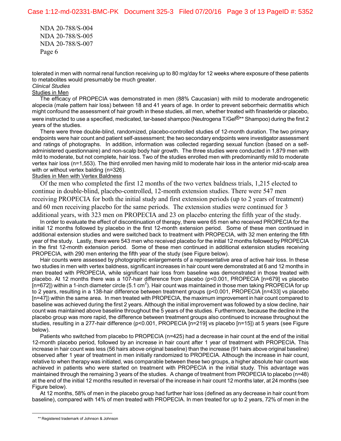tolerated in men with normal renal function receiving up to 80 mg/day for 12 weeks where exposure of these patients to metabolites would presumably be much greater.

# *Clinical Studies*

#### Studies in Men

The efficacy of PROPECIA was demonstrated in men (88% Caucasian) with mild to moderate androgenetic alopecia (male pattern hair loss) between 18 and 41 years of age. In order to prevent seborrheic dermatitis which might confound the assessment of hair growth in these studies, all men, whether treated with finasteride or placebo, were instructed to use a specified, medicated, tar-based shampoo (Neutrogena T/Gel®\*\* Shampoo) during the first 2 years of the studies.

There were three double-blind, randomized, placebo-controlled studies of 12-month duration. The two primary endpoints were hair count and patient self-assessment; the two secondary endpoints were investigator assessment and ratings of photographs. In addition, information was collected regarding sexual function (based on a selfadministered questionnaire) and non-scalp body hair growth. The three studies were conducted in 1,879 men with mild to moderate, but not complete, hair loss. Two of the studies enrolled men with predominantly mild to moderate vertex hair loss (n=1,553). The third enrolled men having mild to moderate hair loss in the anterior mid-scalp area with or without vertex balding (n=326).

#### Studies in Men with Vertex Baldness

Of the men who completed the first 12 months of the two vertex baldness trials, 1,215 elected to continue in double-blind, placebo-controlled, 12-month extension studies. There were 547 men receiving PROPECIA for both the initial study and first extension periods (up to 2 years of treatment) and 60 men receiving placebo for the same periods. The extension studies were continued for 3 additional years, with 323 men on PROPECIA and 23 on placebo entering the fifth year of the study.

In order to evaluate the effect of discontinuation of therapy, there were 65 men who received PROPECIA for the initial 12 months followed by placebo in the first 12-month extension period. Some of these men continued in additional extension studies and were switched back to treatment with PROPECIA, with 32 men entering the fifth year of the study. Lastly, there were 543 men who received placebo for the initial 12 months followed by PROPECIA in the first 12-month extension period. Some of these men continued in additional extension studies receiving PROPECIA, with 290 men entering the fifth year of the study (see Figure below).

Hair counts were assessed by photographic enlargements of a representative area of active hair loss. In these two studies in men with vertex baldness, significant increases in hair count were demonstrated at 6 and 12 months in men treated with PROPECIA, while significant hair loss from baseline was demonstrated in those treated with placebo. At 12 months there was a 107-hair difference from placebo (p<0.001, PROPECIA [n=679] vs placebo [n=672]) within a 1-inch diameter circle (5.1 cm<sup>2</sup>). Hair count was maintained in those men taking PROPECIA for up to 2 years, resulting in a 138-hair difference between treatment groups (p<0.001, PROPECIA [n=433] vs placebo [n=47]) within the same area. In men treated with PROPECIA, the maximum improvement in hair count compared to baseline was achieved during the first 2 years. Although the initial improvement was followed by a slow decline, hair count was maintained above baseline throughout the 5 years of the studies. Furthermore, because the decline in the placebo group was more rapid, the difference between treatment groups also continued to increase throughout the studies, resulting in a 277-hair difference (p<0.001, PROPECIA [n=219] vs placebo [n=15]) at 5 years (see Figure below).

Patients who switched from placebo to PROPECIA (n=425) had a decrease in hair count at the end of the initial 12-month placebo period, followed by an increase in hair count after 1 year of treatment with PROPECIA. This increase in hair count was less (56 hairs above original baseline) than the increase (91 hairs above original baseline) observed after 1 year of treatment in men initially randomized to PROPECIA. Although the increase in hair count, relative to when therapy was initiated, was comparable between these two groups, a higher absolute hair count was achieved in patients who were started on treatment with PROPECIA in the initial study. This advantage was maintained through the remaining 3 years of the studies. A change of treatment from PROPECIA to placebo (n=48) at the end of the initial 12 months resulted in reversal of the increase in hair count 12 months later, at 24 months (see Figure below).

At 12 months, 58% of men in the placebo group had further hair loss (defined as any decrease in hair count from baseline), compared with 14% of men treated with PROPECIA. In men treated for up to 2 years, 72% of men in the

1

 <sup>\*\*</sup> Registered trademark of Johnson & Johnson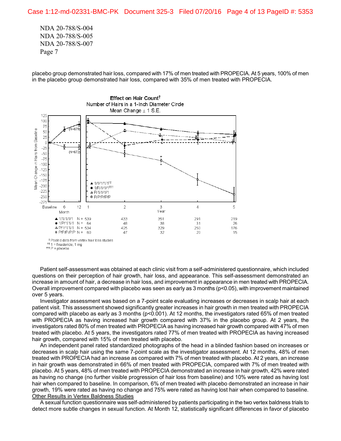placebo group demonstrated hair loss, compared with 17% of men treated with PROPECIA. At 5 years, 100% of men in the placebo group demonstrated hair loss, compared with 35% of men treated with PROPECIA.



 $1 + 1 =$  finasteride, 1 mg

## P = placebo

Patient self-assessment was obtained at each clinic visit from a self-administered questionnaire, which included questions on their perception of hair growth, hair loss, and appearance. This self-assessment demonstrated an increase in amount of hair, a decrease in hair loss, and improvement in appearance in men treated with PROPECIA. Overall improvement compared with placebo was seen as early as 3 months (p<0.05), with improvement maintained over 5 years.

Investigator assessment was based on a 7-point scale evaluating increases or decreases in scalp hair at each patient visit. This assessment showed significantly greater increases in hair growth in men treated with PROPECIA compared with placebo as early as 3 months (p<0.001). At 12 months, the investigators rated 65% of men treated with PROPECIA as having increased hair growth compared with 37% in the placebo group. At 2 years, the investigators rated 80% of men treated with PROPECIA as having increased hair growth compared with 47% of men treated with placebo. At 5 years, the investigators rated 77% of men treated with PROPECIA as having increased hair growth, compared with 15% of men treated with placebo.

An independent panel rated standardized photographs of the head in a blinded fashion based on increases or decreases in scalp hair using the same 7-point scale as the investigator assessment. At 12 months, 48% of men treated with PROPECIA had an increase as compared with 7% of men treated with placebo. At 2 years, an increase in hair growth was demonstrated in 66% of men treated with PROPECIA, compared with 7% of men treated with placebo. At 5 years, 48% of men treated with PROPECIA demonstrated an increase in hair growth, 42% were rated as having no change (no further visible progression of hair loss from baseline) and 10% were rated as having lost hair when compared to baseline. In comparison, 6% of men treated with placebo demonstrated an increase in hair growth, 19% were rated as having no change and 75% were rated as having lost hair when compared to baseline. Other Results in Vertex Baldness Studies

A sexual function questionnaire was self-administered by patients participating in the two vertex baldness trials to detect more subtle changes in sexual function. At Month 12, statistically significant differences in favor of placebo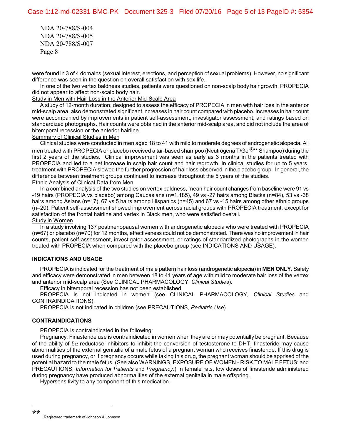were found in 3 of 4 domains (sexual interest, erections, and perception of sexual problems). However, no significant difference was seen in the question on overall satisfaction with sex life.

In one of the two vertex baldness studies, patients were questioned on non-scalp body hair growth. PROPECIA did not appear to affect non-scalp body hair.

Study in Men with Hair Loss in the Anterior Mid-Scalp Area

A study of 12-month duration, designed to assess the efficacy of PROPECIA in men with hair loss in the anterior mid-scalp area, also demonstrated significant increases in hair count compared with placebo. Increases in hair count were accompanied by improvements in patient self-assessment, investigator assessment, and ratings based on standardized photographs. Hair counts were obtained in the anterior mid-scalp area, and did not include the area of bitemporal recession or the anterior hairline.

Summary of Clinical Studies in Men

Clinical studies were conducted in men aged 18 to 41 with mild to moderate degrees of androgenetic alopecia. All men treated with PROPECIA or placebo received a tar-based shampoo (Neutrogena T/Gel®\*\* Shampoo) during the first 2 years of the studies. Clinical improvement was seen as early as 3 months in the patients treated with PROPECIA and led to a net increase in scalp hair count and hair regrowth. In clinical studies for up to 5 years, treatment with PROPECIA slowed the further progression of hair loss observed in the placebo group. In general, the difference between treatment groups continued to increase throughout the 5 years of the studies. Ethnic Analysis of Clinical Data from Men

In a combined analysis of the two studies on vertex baldness, mean hair count changes from baseline were 91 vs -19 hairs (PROPECIA vs placebo) among Caucasians (n=1,185), 49 vs -27 hairs among Blacks (n=84), 53 vs -38 hairs among Asians (n=17), 67 vs 5 hairs among Hispanics (n=45) and 67 vs -15 hairs among other ethnic groups (n=20). Patient self-assessment showed improvement across racial groups with PROPECIA treatment, except for satisfaction of the frontal hairline and vertex in Black men, who were satisfied overall. Study in Women

In a study involving 137 postmenopausal women with androgenetic alopecia who were treated with PROPECIA (n=67) or placebo (n=70) for 12 months, effectiveness could not be demonstrated. There was no improvement in hair counts, patient self-assessment, investigator assessment, or ratings of standardized photographs in the women treated with PROPECIA when compared with the placebo group (see INDICATIONS AND USAGE).

#### **INDICATIONS AND USAGE**

PROPECIA is indicated for the treatment of male pattern hair loss (androgenetic alopecia) in **MEN ONLY**. Safety and efficacy were demonstrated in men between 18 to 41 years of age with mild to moderate hair loss of the vertex and anterior mid-scalp area (See CLINICAL PHARMACOLOGY, *Clinical Studies*).

Efficacy in bitemporal recession has not been established.

PROPECIA is not indicated in women (see CLINICAL PHARMACOLOGY*, Clinical Studies* and CONTRAINDICATIONS).

PROPECIA is not indicated in children (see PRECAUTIONS, *Pediatric Use*).

#### **CONTRAINDICATIONS**

PROPECIA is contraindicated in the following:

Pregnancy. Finasteride use is contraindicated in women when they are or may potentially be pregnant. Because of the ability of  $5\alpha$ -reductase inhibitors to inhibit the conversion of testosterone to DHT, finasteride may cause abnormalities of the external genitalia of a male fetus of a pregnant woman who receives finasteride. If this drug is used during pregnancy, or if pregnancy occurs while taking this drug, the pregnant woman should be apprised of the potential hazard to the male fetus. (See also WARNINGS, EXPOSURE OF WOMEN - RISK TO MALE FETUS; and PRECAUTIONS, *Information for Patients* and *Pregnancy*.) In female rats, low doses of finasteride administered during pregnancy have produced abnormalities of the external genitalia in male offspring.

Hypersensitivity to any component of this medication.

Registered trademark of Johnson & Johnson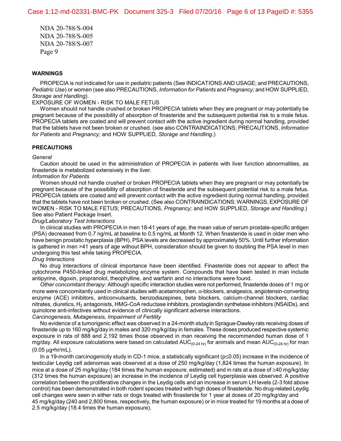### **WARNINGS**

PROPECIA is not indicated for use in pediatric patients (See INDICATIONS AND USAGE; and PRECAUTIONS, *Pediatric Use*) or women (see also PRECAUTIONS, *Information for Patients* and *Pregnancy;* and HOW SUPPLIED, *Storage and Handling*).

EXPOSURE OF WOMEN - RISK TO MALE FETUS

Women should not handle crushed or broken PROPECIA tablets when they are pregnant or may potentially be pregnant because of the possibility of absorption of finasteride and the subsequent potential risk to a male fetus. PROPECIA tablets are coated and will prevent contact with the active ingredient during normal handling, provided that the tablets have not been broken or crushed. (see also CONTRAINDICATIONS; PRECAUTIONS, *Information for Patients* and *Pregnancy;* and HOW SUPPLIED, *Storage and Handling*.)

# **PRECAUTIONS**

#### *General*

Caution should be used in the administration of PROPECIA in patients with liver function abnormalities, as finasteride is metabolized extensively in the liver.

#### *Information for Patients*

Women should not handle crushed or broken PROPECIA tablets when they are pregnant or may potentially be pregnant because of the possibility of absorption of finasteride and the subsequent potential risk to a male fetus. PROPECIA tablets are coated and will prevent contact with the active ingredient during normal handling, provided that the tablets have not been broken or crushed. (See also CONTRAINDICATIONS; WARNINGS, EXPOSURE OF WOMEN - RISK TO MALE FETUS; PRECAUTIONS, *Pregnancy;* and HOW SUPPLIED, *Storage and Handling.*) See also Patient Package Insert.

#### *Drug/Laboratory Test Interactions*

In clinical studies with PROPECIA in men 18-41 years of age, the mean value of serum prostate-specific antigen (PSA) decreased from 0.7 ng/mL at baseline to 0.5 ng/mL at Month 12. When finasteride is used in older men who have benign prostatic hyperplasia (BPH), PSA levels are decreased by approximately 50%. Until further information is gathered in men >41 years of age without BPH, consideration should be given to doubling the PSA level in men undergoing this test while taking PROPECIA.

#### *Drug Interactions*

No drug interactions of clinical importance have been identified. Finasteride does not appear to affect the cytochrome P450-linked drug metabolizing enzyme system. Compounds that have been tested in man include antipyrine, digoxin, propranolol, theophylline, and warfarin and no interactions were found.

*Other concomitant therapy:* Although specific interaction studies were not performed, finasteride doses of 1 mg or more were concomitantly used in clinical studies with acetaminophen, α-blockers, analgesics, angiotensin-converting enzyme (ACE) inhibitors, anticonvulsants, benzodiazepines, beta blockers, calcium-channel blockers, cardiac nitrates, diuretics, H<sub>2</sub> antagonists, HMG-CoA reductase inhibitors, prostaglandin synthetase inhibitors (NSAIDs), and quinolone anti-infectives without evidence of clinically significant adverse interactions.

*Carcinogenesis, Mutagenesis, Impairment of Fertility*  No evidence of a tumorigenic effect was observed in a 24-month study in Sprague-Dawley rats receiving doses of finasteride up to 160 mg/kg/day in males and 320 mg/kg/day in females. These doses produced respective systemic exposure in rats of 888 and 2,192 times those observed in man receiving the recommended human dose of 1 mg/day. All exposure calculations were based on calculated  $AUC_{(0-24 \text{ hr})}$  for animals and mean  $AUC_{(0-24 \text{ hr})}$  for man

# (0.05 µg•hr/mL).

In a 19-month carcinogenicity study in CD-1 mice, a statistically significant (p≤0.05) increase in the incidence of testicular Leydig cell adenomas was observed at a dose of 250 mg/kg/day (1,824 times the human exposure). In mice at a dose of 25 mg/kg/day (184 times the human exposure, estimated) and in rats at a dose of ≥40 mg/kg/day (312 times the human exposure) an increase in the incidence of Leydig cell hyperplasia was observed. A positive correlation between the proliferative changes in the Leydig cells and an increase in serum LH levels (2-3 fold above control) has been demonstrated in both rodent species treated with high doses of finasteride. No drug-related Leydig cell changes were seen in either rats or dogs treated with finasteride for 1 year at doses of 20 mg/kg/day and 45 mg/kg/day (240 and 2,800 times, respectively, the human exposure) or in mice treated for 19 months at a dose of 2.5 mg/kg/day (18.4 times the human exposure).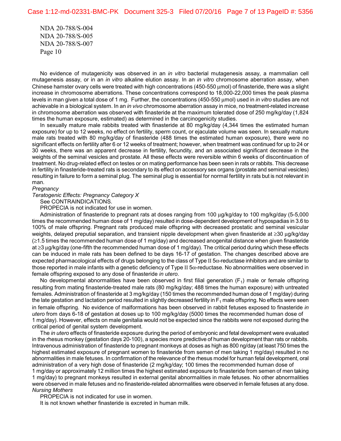No evidence of mutagenicity was observed in an *in vitro* bacterial mutagenesis assay, a mammalian cell mutagenesis assay, or in an *in vitro* alkaline elution assay. In an *in vitro* chromosome aberration assay, when Chinese hamster ovary cells were treated with high concentrations (450-550 µmol) of finasteride, there was a slight increase in chromosome aberrations. These concentrations correspond to 18,000-22,000 times the peak plasma levels in man given a total dose of 1 mg. Further, the concentrations (450-550 µmol) used in *in vitro* studies are not achievable in a biological system. In an *in vivo* chromosome aberration assay in mice, no treatment-related increase in chromosome aberration was observed with finasteride at the maximum tolerated dose of 250 mg/kg/day (1,824 times the human exposure, estimated) as determined in the carcinogenicity studies.

In sexually mature male rabbits treated with finasteride at 80 mg/kg/day (4,344 times the estimated human exposure) for up to 12 weeks, no effect on fertility, sperm count, or ejaculate volume was seen. In sexually mature male rats treated with 80 mg/kg/day of finasteride (488 times the estimated human exposure), there were no significant effects on fertility after 6 or 12 weeks of treatment; however, when treatment was continued for up to 24 or 30 weeks, there was an apparent decrease in fertility, fecundity, and an associated significant decrease in the weights of the seminal vesicles and prostate. All these effects were reversible within 6 weeks of discontinuation of treatment. No drug-related effect on testes or on mating performance has been seen in rats or rabbits. This decrease in fertility in finasteride-treated rats is secondary to its effect on accessory sex organs (prostate and seminal vesicles) resulting in failure to form a seminal plug. The seminal plug is essential for normal fertility in rats but is not relevant in man.

#### *Pregnancy*

*Teratogenic Effects: Pregnancy Category X* 

See CONTRAINDICATIONS.

PROPECIA is not indicated for use in women.

Administration of finasteride to pregnant rats at doses ranging from 100 µg/kg/day to 100 mg/kg/day (5-5,000 times the recommended human dose of 1 mg/day) resulted in dose-dependent development of hypospadias in 3.6 to 100% of male offspring. Pregnant rats produced male offspring with decreased prostatic and seminal vesicular weights, delayed preputial separation, and transient nipple development when given finasteride at ≥30 µg/kg/day (≥1.5 times the recommended human dose of 1 mg/day) and decreased anogenital distance when given finasteride at ≥3 µg/kg/day (one-fifth the recommended human dose of 1 mg/day). The critical period during which these effects can be induced in male rats has been defined to be days 16-17 of gestation. The changes described above are expected pharmacological effects of drugs belonging to the class of Type II 5α-reductase inhibitors and are similar to those reported in male infants with a genetic deficiency of Type II 5α-reductase. No abnormalities were observed in female offspring exposed to any dose of finasteride *in utero*.

No developmental abnormalities have been observed in first filial generation  $(F_1)$  male or female offspring resulting from mating finasteride-treated male rats (80 mg/kg/day; 488 times the human exposure) with untreated females. Administration of finasteride at 3 mg/kg/day (150 times the recommended human dose of 1 mg/day) during the late gestation and lactation period resulted in slightly decreased fertility in  $F_1$  male offspring. No effects were seen in female offspring. No evidence of malformations has been observed in rabbit fetuses exposed to finasteride *in utero* from days 6-18 of gestation at doses up to 100 mg/kg/day (5000 times the recommended human dose of 1 mg/day). However, effects on male genitalia would not be expected since the rabbits were not exposed during the critical period of genital system development.

The *in utero* effects of finasteride exposure during the period of embryonic and fetal development were evaluated in the rhesus monkey (gestation days 20-100), a species more predictive of human development than rats or rabbits. Intravenous administration of finasteride to pregnant monkeys at doses as high as 800 ng/day (at least 750 times the highest estimated exposure of pregnant women to finasteride from semen of men taking 1 mg/day) resulted in no abnormalities in male fetuses. In confirmation of the relevance of the rhesus model for human fetal development, oral administration of a very high dose of finasteride (2 mg/kg/day; 100 times the recommended human dose of

1 mg/day or approximately 12 million times the highest estimated exposure to finasteride from semen of men taking 1 mg/day) to pregnant monkeys resulted in external genital abnormalities in male fetuses. No other abnormalities were observed in male fetuses and no finasteride-related abnormalities were observed in female fetuses at any dose. *Nursing Mothers* 

PROPECIA is not indicated for use in women.

It is not known whether finasteride is excreted in human milk.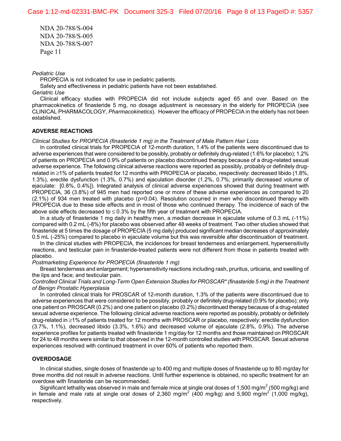*Pediatric Use* 

PROPECIA is not indicated for use in pediatric patients.

Safety and effectiveness in pediatric patients have not been established.

#### *Geriatric Use*

Clinical efficacy studies with PROPECIA did not include subjects aged 65 and over. Based on the pharmacokinetics of finasteride 5 mg, no dosage adjustment is necessary in the elderly for PROPECIA (see CLINICAL PHARMACOLOGY, *Pharmacokinetics*). However the efficacy of PROPECIA in the elderly has not been established.

# **ADVERSE REACTIONS**

#### *Clinical Studies for PROPECIA (finasteride 1 mg) in the Treatment of Male Pattern Hair Loss*

In controlled clinical trials for PROPECIA of 12-month duration, 1.4% of the patients were discontinued due to adverse experiences that were considered to be possibly, probably or definitely drug-related (1.6% for placebo); 1.2% of patients on PROPECIA and 0.9% of patients on placebo discontinued therapy because of a drug-related sexual adverse experience. The following clinical adverse reactions were reported as possibly, probably or definitely drugrelated in ≥1% of patients treated for 12 months with PROPECIA or placebo, respectively: decreased libido (1.8%, 1.3%), erectile dysfunction (1.3%, 0.7%) and ejaculation disorder (1.2%, 0.7%; primarily decreased volume of ejaculate: [0.8%, 0.4%]). Integrated analysis of clinical adverse experiences showed that during treatment with PROPECIA, 36 (3.8%) of 945 men had reported one or more of these adverse experiences as compared to 20 (2.1%) of 934 men treated with placebo (p=0.04). Resolution occurred in men who discontinued therapy with PROPECIA due to these side effects and in most of those who continued therapy. The incidence of each of the above side effects decreased to  $\leq$  0.3% by the fifth year of treatment with PROPECIA.

In a study of finasteride 1 mg daily in healthy men, a median decrease in ejaculate volume of 0.3 mL (-11%) compared with 0.2 mL (-8%) for placebo was observed after 48 weeks of treatment. Two other studies showed that finasteride at 5 times the dosage of PROPECIA (5 mg daily) produced significant median decreases of approximately 0.5 mL (-25%) compared to placebo in ejaculate volume but this was reversible after discontinuation of treatment.

In the clinical studies with PROPECIA, the incidences for breast tenderness and enlargement, hypersensitivity reactions, and testicular pain in finasteride-treated patients were not different from those in patients treated with placebo*.*

#### *Postmarketing Experience for PROPECIA (finasteride 1 mg)*

Breast tenderness and enlargement; hypersensitivity reactions including rash, pruritus, urticaria, and swelling of the lips and face; and testicular pain.

*Controlled Clinical Trials and Long-Term Open Extension Studies for PROSCAR\* (finasteride 5 mg) in the Treatment of Benign Prostatic Hyperplasia* 

In controlled clinical trials for PROSCAR of 12-month duration, 1.3% of the patients were discontinued due to adverse experiences that were considered to be possibly, probably or definitely drug-related (0.9% for placebo); only one patient on PROSCAR (0.2%) and one patient on placebo (0.2%) discontinued therapy because of a drug-related sexual adverse experience. The following clinical adverse reactions were reported as possibly, probably or definitely drug-related in ≥1% of patients treated for 12 months with PROSCAR or placebo, respectively: erectile dysfunction (3.7%, 1.1%), decreased libido (3.3%, 1.6%) and decreased volume of ejaculate (2.8%, 0.9%). The adverse experience profiles for patients treated with finasteride 1 mg/day for 12 months and those maintained on PROSCAR for 24 to 48 months were similar to that observed in the 12-month controlled studies with PROSCAR. Sexual adverse experiences resolved with continued treatment in over 60% of patients who reported them.

#### **OVERDOSAGE**

In clinical studies, single doses of finasteride up to 400 mg and multiple doses of finasteride up to 80 mg/day for three months did not result in adverse reactions. Until further experience is obtained, no specific treatment for an overdose with finasteride can be recommended.

Significant lethality was observed in male and female mice at single oral doses of 1,500 mg/m<sup>2</sup> (500 mg/kg) and in female and male rats at single oral doses of 2,360 mg/m<sup>2</sup> (400 mg/kg) and 5,900 mg/m<sup>2</sup> (1,000 mg/kg), respectively.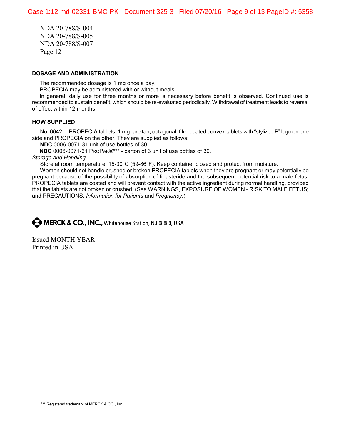#### **DOSAGE AND ADMINISTRATION**

The recommended dosage is 1 mg once a day.

PROPECIA may be administered with or without meals.

In general, daily use for three months or more is necessary before benefit is observed. Continued use is recommended to sustain benefit, which should be re-evaluated periodically. Withdrawal of treatment leads to reversal of effect within 12 months.

#### **HOW SUPPLIED**

No. 6642— PROPECIA tablets, 1 mg, are tan, octagonal, film-coated convex tablets with "stylized P" logo on one side and PROPECIA on the other. They are supplied as follows:

**NDC** 0006-0071-31 unit of use bottles of 30

**NDC** 0006-0071-61 PROPAK®\*\*\* - carton of 3 unit of use bottles of 30.

#### *Storage and Handling*

Store at room temperature, 15-30°C (59-86°F). Keep container closed and protect from moisture.

Women should not handle crushed or broken PROPECIA tablets when they are pregnant or may potentially be pregnant because of the possibility of absorption of finasteride and the subsequent potential risk to a male fetus. PROPECIA tablets are coated and will prevent contact with the active ingredient during normal handling, provided that the tablets are not broken or crushed. (See WARNINGS, EXPOSURE OF WOMEN - RISK TO MALE FETUS; and PRECAUTIONS, *Information for Patients* and *Pregnancy.*)

MERCK & CO., INC., Whitehouse Station, NJ 08889, USA

Issued MONTH YEAR Printed in USA

1

<sup>\*\*\*</sup> Registered trademark of MERCK & CO., Inc.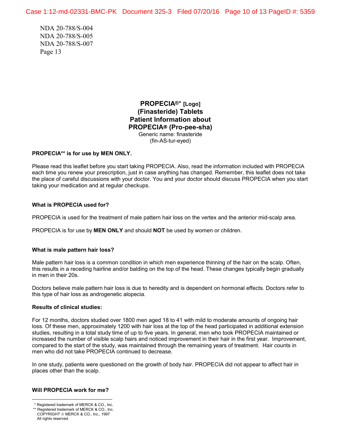> **PROPECIA®**\* **[Logo] (Finasteride) Tablets Patient Information about PROPECIA (Pro-pee-sha)**  Generic name: finasteride (fin-AS-tur-eyed)

#### **PROPECIA\*\* is for use by MEN ONLY.**

Please read this leaflet before you start taking PROPECIA. Also, read the information included with PROPECIA each time you renew your prescription, just in case anything has changed. Remember, this leaflet does not take the place of careful discussions with your doctor. You and your doctor should discuss PROPECIA when you start taking your medication and at regular checkups.

#### **What is PROPECIA used for?**

PROPECIA is used for the treatment of male pattern hair loss on the vertex and the anterior mid-scalp area.

PROPECIA is for use by **MEN ONLY** and should **NOT** be used by women or children.

#### **What is male pattern hair loss?**

Male pattern hair loss is a common condition in which men experience thinning of the hair on the scalp. Often, this results in a receding hairline and/or balding on the top of the head. These changes typically begin gradually in men in their 20s.

Doctors believe male pattern hair loss is due to heredity and is dependent on hormonal effects. Doctors refer to this type of hair loss as androgenetic alopecia.

#### **Results of clinical studies:**

For 12 months, doctors studied over 1800 men aged 18 to 41 with mild to moderate amounts of ongoing hair loss. Of these men, approximately 1200 with hair loss at the top of the head participated in additional extension studies, resulting in a total study time of up to five years. In general, men who took PROPECIA maintained or increased the number of visible scalp hairs and noticed improvement in their hair in the first year. Improvement, compared to the start of the study, was maintained through the remaining years of treatment. Hair counts in men who did not take PROPECIA continued to decrease.

In one study, patients were questioned on the growth of body hair. PROPECIA did not appear to affect hair in places other than the scalp.

#### **Will PROPECIA work for me?**

<sup>1</sup> \* Registered trademark of MERCK & CO., Inc.

<sup>\*\*</sup> Registered trademark of MERCK & CO., Inc. COPYRIGHT © MERCK & CO., Inc., 1997

All rights reserved.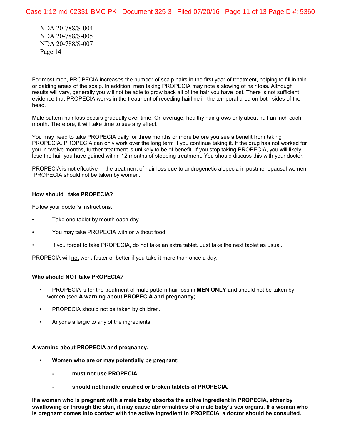For most men, PROPECIA increases the number of scalp hairs in the first year of treatment, helping to fill in thin or balding areas of the scalp. In addition, men taking PROPECIA may note a slowing of hair loss. Although results will vary, generally you will not be able to grow back all of the hair you have lost. There is not sufficient evidence that PROPECIA works in the treatment of receding hairline in the temporal area on both sides of the head.

Male pattern hair loss occurs gradually over time. On average, healthy hair grows only about half an inch each month. Therefore, it will take time to see any effect.

You may need to take PROPECIA daily for three months or more before you see a benefit from taking PROPECIA. PROPECIA can only work over the long term if you continue taking it. If the drug has not worked for you in twelve months, further treatment is unlikely to be of benefit. If you stop taking PROPECIA, you will likely lose the hair you have gained within 12 months of stopping treatment. You should discuss this with your doctor.

PROPECIA is not effective in the treatment of hair loss due to androgenetic alopecia in postmenopausal women. PROPECIA should not be taken by women.

# **How should I take PROPECIA?**

Follow your doctor's instructions.

- Take one tablet by mouth each day.
- You may take PROPECIA with or without food.
- If you forget to take PROPECIA, do not take an extra tablet. Just take the next tablet as usual.

PROPECIA will not work faster or better if you take it more than once a day.

#### **Who should NOT take PROPECIA?**

- PROPECIA is for the treatment of male pattern hair loss in **MEN ONLY** and should not be taken by women (see **A warning about PROPECIA and pregnancy**).
- PROPECIA should not be taken by children.
- Anyone allergic to any of the ingredients.

#### **A warning about PROPECIA and pregnancy.**

- **Women who are or may potentially be pregnant:** 
	- **must not use PROPECIA**
	- should not handle crushed or broken tablets of **PROPECIA.**

**If a woman who is pregnant with a male baby absorbs the active ingredient in PROPECIA, either by swallowing or through the skin, it may cause abnormalities of a male baby's sex organs. If a woman who is pregnant comes into contact with the active ingredient in PROPECIA, a doctor should be consulted.**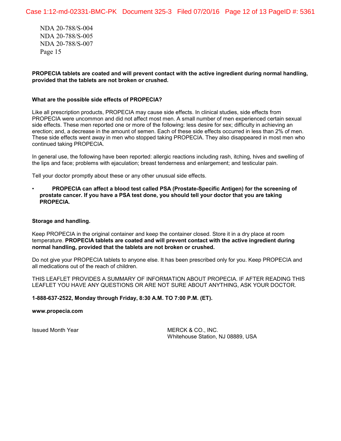### **PROPECIA tablets are coated and will prevent contact with the active ingredient during normal handling, provided that the tablets are not broken or crushed.**

### **What are the possible side effects of PROPECIA?**

Like all prescription products, PROPECIA may cause side effects. In clinical studies, side effects from PROPECIA were uncommon and did not affect most men. A small number of men experienced certain sexual side effects. These men reported one or more of the following: less desire for sex; difficulty in achieving an erection; and, a decrease in the amount of semen. Each of these side effects occurred in less than 2% of men. These side effects went away in men who stopped taking PROPECIA. They also disappeared in most men who continued taking PROPECIA.

In general use, the following have been reported: allergic reactions including rash, itching, hives and swelling of the lips and face; problems with ejaculation; breast tenderness and enlargement; and testicular pain.

Tell your doctor promptly about these or any other unusual side effects.

• **PROPECIA can affect a blood test called PSA (Prostate-Specific Antigen) for the screening of prostate cancer. If you have a PSA test done, you should tell your doctor that you are taking PROPECIA.**

#### **Storage and handling.**

Keep PROPECIA in the original container and keep the container closed. Store it in a dry place at room temperature. **PROPECIA tablets are coated and will prevent contact with the active ingredient during normal handling, provided that the tablets are not broken or crushed.**

Do not give your PROPECIA tablets to anyone else. It has been prescribed only for you. Keep PROPECIA and all medications out of the reach of children.

THIS LEAFLET PROVIDES A SUMMARY OF INFORMATION ABOUT PROPECIA. IF AFTER READING THIS LEAFLET YOU HAVE ANY QUESTIONS OR ARE NOT SURE ABOUT ANYTHING, ASK YOUR DOCTOR.

**1-888-637-2522, Monday through Friday, 8:30 A.M. TO 7:00 P.M. (ET).** 

**www.propecia.com** 

Issued Month Year **MERCK & CO., INC.** Whitehouse Station, NJ 08889, USA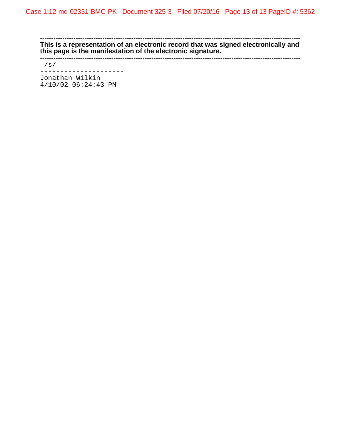**--------------------------------------------------------------------------------------------------------------------- This is a representation of an electronic record that was signed electronically and this page is the manifestation of the electronic signature.**

**---------------------------------------------------------------------------------------------------------------------**

 /s/ --------------------- Jonathan Wilkin 4/10/02 06:24:43 PM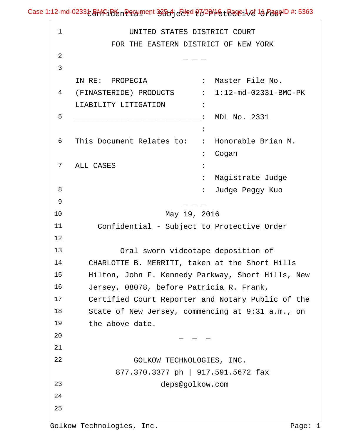Case 1:12-md-0233¿B<u>MF+BK nPq</u>cument 325pA eFiled 07/2016 tBageilvef 18 PagelD #: 5363

| $\mathbf 1$ | UNITED STATES DISTRICT COURT                      |                                          |  |
|-------------|---------------------------------------------------|------------------------------------------|--|
|             | FOR THE EASTERN DISTRICT OF NEW YORK              |                                          |  |
| 2           |                                                   |                                          |  |
| 3           |                                                   |                                          |  |
|             | IN RE: PROPECIA                                   | Master File No.<br>$\ddot{\cdot}$        |  |
| 4           | (FINASTERIDE) PRODUCTS                            | : $1:12-md-02331-BMC-PK$                 |  |
|             | LIABILITY LITIGATION                              |                                          |  |
| 5           |                                                   | MDL No. 2331                             |  |
|             |                                                   |                                          |  |
| 6           | This Document Relates to: :                       | Honorable Brian M.                       |  |
|             |                                                   | Cogan<br>$\ddot{\cdot}$                  |  |
| 7           | ALL CASES                                         |                                          |  |
|             |                                                   | Magistrate Judge<br>$\ddot{\phantom{a}}$ |  |
| 8           |                                                   | Judge Peggy Kuo<br>$\ddot{\cdot}$        |  |
| 9           |                                                   |                                          |  |
| 10          | May 19, 2016                                      |                                          |  |
| 11          | Confidential - Subject to Protective Order        |                                          |  |
| 12          |                                                   |                                          |  |
| 13          | Oral sworn videotape deposition of                |                                          |  |
| 14          | CHARLOTTE B. MERRITT, taken at the Short Hills    |                                          |  |
| 15          | Hilton, John F. Kennedy Parkway, Short Hills, New |                                          |  |
| 16          | Jersey, 08078, before Patricia R. Frank,          |                                          |  |
| 17          | Certified Court Reporter and Notary Public of the |                                          |  |
| 18          | State of New Jersey, commencing at 9:31 a.m., on  |                                          |  |
| 19          | the above date.                                   |                                          |  |
| 20          |                                                   |                                          |  |
| 21          |                                                   |                                          |  |
| 22          | GOLKOW TECHNOLOGIES, INC.                         |                                          |  |
|             | 877.370.3377 ph   917.591.5672 fax                |                                          |  |
| 23          | deps@golkow.com                                   |                                          |  |
| 24          |                                                   |                                          |  |
| 25          |                                                   |                                          |  |
|             |                                                   |                                          |  |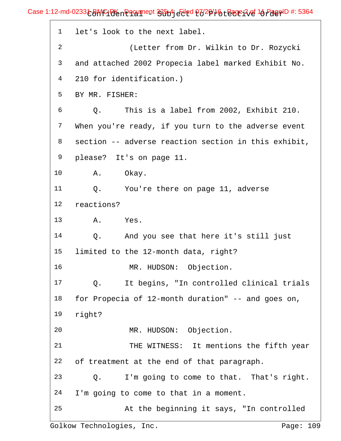Case 1:12-md-0233¿B<u>MF+BK nPq</u>cument 325p4 eFiled 07/2016 tBagei2e1 14 PagelD #: 5364

 let's look to the next label. (Letter from Dr. Wilkin to Dr. Rozycki and attached 2002 Propecia label marked Exhibit No. 210 for identification.) BY MR. FISHER: Q. This is a label from 2002, Exhibit 210. When you're ready, if you turn to the adverse event section -- adverse reaction section in this exhibit, please? It's on page 11. A. Okay. Q. You're there on page 11, adverse reactions? A. Yes. Q. And you see that here it's still just limited to the 12-month data, right? 16 MR. HUDSON: Objection. Q. It begins, "In controlled clinical trials for Propecia of 12-month duration" -- and goes on, right? MR. HUDSON: Objection. 21 THE WITNESS: It mentions the fifth year of treatment at the end of that paragraph. Q. I'm going to come to that. That's right. I'm going to come to that in a moment. At the beginning it says, "In controlled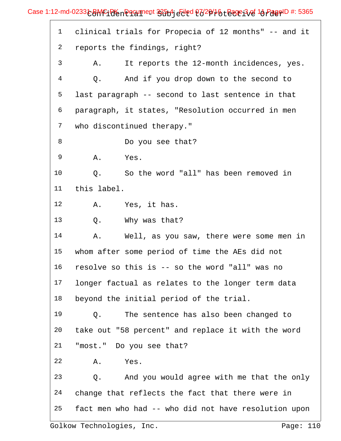Case 1:12-md-0233¿B<u>MF+Bl&nPqcumen</u>t <del>325p4 eJle</del>d 07/2ዎ18 tBage+3e1 14 PagelD #: 5365

 clinical trials for Propecia of 12 months" -- and it reports the findings, right? A. It reports the 12-month incidences, yes. Q. And if you drop down to the second to last paragraph -- second to last sentence in that paragraph, it states, "Resolution occurred in men who discontinued therapy." 8 Do you see that? A. Yes. Q. So the word "all" has been removed in this label. A. Yes, it has. Q. Why was that? A. Well, as you saw, there were some men in whom after some period of time the AEs did not resolve so this is -- so the word "all" was no longer factual as relates to the longer term data beyond the initial period of the trial. Q. The sentence has also been changed to take out "58 percent" and replace it with the word "most." Do you see that? A. Yes. Q. And you would agree with me that the only change that reflects the fact that there were in fact men who had -- who did not have resolution upon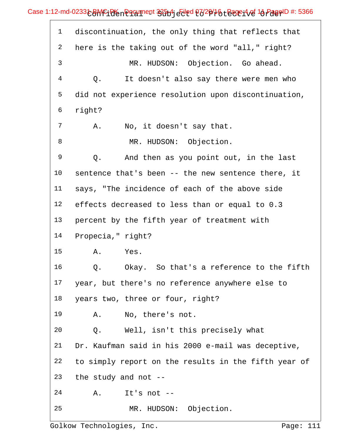# Case 1:12-md-0233¿B<u>MF+BK nPq</u>cument 325p4 eEled 07/2016 tBage:40 14 PagelD #: 5366

 discontinuation, the only thing that reflects that here is the taking out of the word "all," right? MR. HUDSON: Objection. Go ahead. Q. It doesn't also say there were men who did not experience resolution upon discontinuation, right? A. No, it doesn't say that. 8 MR. HUDSON: Objection. Q. And then as you point out, in the last sentence that's been -- the new sentence there, it says, "The incidence of each of the above side effects decreased to less than or equal to 0.3 percent by the fifth year of treatment with Propecia," right? A. Yes. Q. Okay. So that's a reference to the fifth year, but there's no reference anywhere else to years two, three or four, right? A. No, there's not. Q. Well, isn't this precisely what Dr. Kaufman said in his 2000 e-mail was deceptive, to simply report on the results in the fifth year of the study and not -- A. It's not -- MR. HUDSON: Objection.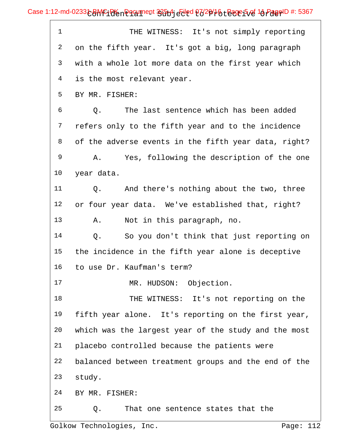Case 1:12-md-0233¿B<u>MF+BK nPq</u>cument 325p4 eEled 07/2016 tBage+5/ef 14 PagelD #: 5367

1 THE WITNESS: It's not simply reporting on the fifth year. It's got a big, long paragraph with a whole lot more data on the first year which is the most relevant year. BY MR. FISHER: Q. The last sentence which has been added refers only to the fifth year and to the incidence of the adverse events in the fifth year data, right? A. Yes, following the description of the one year data. Q. And there's nothing about the two, three or four year data. We've established that, right? A. Not in this paragraph, no. Q. So you don't think that just reporting on the incidence in the fifth year alone is deceptive to use Dr. Kaufman's term? 17 MR. HUDSON: Objection. 18 THE WITNESS: It's not reporting on the fifth year alone. It's reporting on the first year, which was the largest year of the study and the most placebo controlled because the patients were balanced between treatment groups and the end of the study. BY MR. FISHER: Q. That one sentence states that the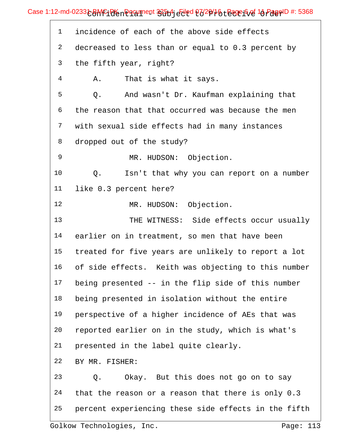Case 1:12-md-0233¿B<u>MF+BK nPq</u>cument 325p4 eEled 07/2016 tBage-iGQ 14 PagelD #: 5368

 incidence of each of the above side effects decreased to less than or equal to 0.3 percent by the fifth year, right? A. That is what it says. Q. And wasn't Dr. Kaufman explaining that the reason that that occurred was because the men with sexual side effects had in many instances dropped out of the study? MR. HUDSON: Objection. Q. Isn't that why you can report on a number like 0.3 percent here? 12 MR. HUDSON: Objection. 13 THE WITNESS: Side effects occur usually earlier on in treatment, so men that have been treated for five years are unlikely to report a lot of side effects. Keith was objecting to this number being presented -- in the flip side of this number being presented in isolation without the entire perspective of a higher incidence of AEs that was reported earlier on in the study, which is what's presented in the label quite clearly. BY MR. FISHER: Q. Okay. But this does not go on to say that the reason or a reason that there is only 0.3 percent experiencing these side effects in the fifth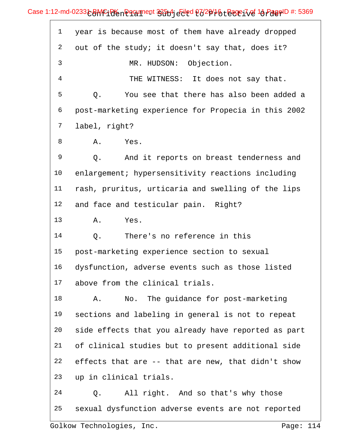# Case 1:12-md-0233¿B<u>MF+Bl&nPqcumen</u>t <del>325p4 eJle</del>d 07/2ዎ16 tBagei7vef 14 PagelD #: 5369

 year is because most of them have already dropped out of the study; it doesn't say that, does it? MR. HUDSON: Objection. THE WITNESS: It does not say that. Q. You see that there has also been added a post-marketing experience for Propecia in this 2002 label, right? A. Yes. Q. And it reports on breast tenderness and enlargement; hypersensitivity reactions including rash, pruritus, urticaria and swelling of the lips and face and testicular pain. Right? A. Yes. Q. There's no reference in this post-marketing experience section to sexual dysfunction, adverse events such as those listed above from the clinical trials. A. No. The guidance for post-marketing sections and labeling in general is not to repeat side effects that you already have reported as part of clinical studies but to present additional side effects that are -- that are new, that didn't show up in clinical trials. Q. All right. And so that's why those sexual dysfunction adverse events are not reported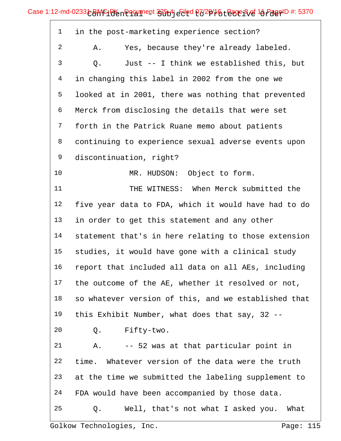# Case 1:12-md-0233¿B<u>MF+BK nPq</u>cument 325p4 eEled 07/2016 tBage+&e1 13 PagelD #: 5370

 in the post-marketing experience section? A. Yes, because they're already labeled. Q. Just -- I think we established this, but in changing this label in 2002 from the one we looked at in 2001, there was nothing that prevented Merck from disclosing the details that were set forth in the Patrick Ruane memo about patients continuing to experience sexual adverse events upon discontinuation, right? MR. HUDSON: Object to form. THE WITNESS: When Merck submitted the five year data to FDA, which it would have had to do in order to get this statement and any other statement that's in here relating to those extension studies, it would have gone with a clinical study report that included all data on all AEs, including the outcome of the AE, whether it resolved or not, so whatever version of this, and we established that this Exhibit Number, what does that say, 32 -- Q. Fifty-two. A. -- 52 was at that particular point in time. Whatever version of the data were the truth at the time we submitted the labeling supplement to FDA would have been accompanied by those data. Q. Well, that's not what I asked you. What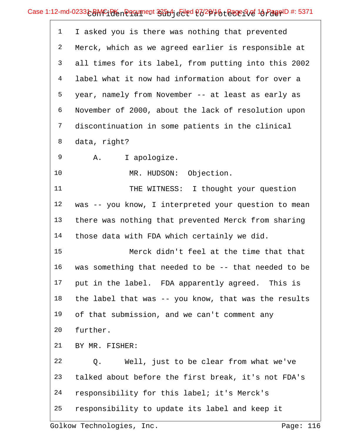# Case 1:12-md-0233¿B<u>MF+BK nPq</u>cument 325pA ළැම් 07/2012 p+Bage+90 14 Page+D #: 5371

 I asked you is there was nothing that prevented Merck, which as we agreed earlier is responsible at all times for its label, from putting into this 2002 label what it now had information about for over a year, namely from November -- at least as early as November of 2000, about the lack of resolution upon discontinuation in some patients in the clinical data, right? A. I apologize. 10 MR. HUDSON: Objection. 11 THE WITNESS: I thought your question was -- you know, I interpreted your question to mean there was nothing that prevented Merck from sharing those data with FDA which certainly we did. Merck didn't feel at the time that that was something that needed to be -- that needed to be put in the label. FDA apparently agreed. This is the label that was -- you know, that was the results of that submission, and we can't comment any further. BY MR. FISHER: Q. Well, just to be clear from what we've talked about before the first break, it's not FDA's responsibility for this label; it's Merck's responsibility to update its label and keep it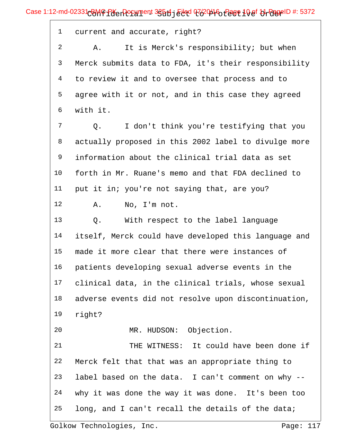current and accurate, right? A. It is Merck's responsibility; but when Merck submits data to FDA, it's their responsibility to review it and to oversee that process and to agree with it or not, and in this case they agreed with it. Q. I don't think you're testifying that you actually proposed in this 2002 label to divulge more information about the clinical trial data as set forth in Mr. Ruane's memo and that FDA declined to put it in; you're not saying that, are you? A. No, I'm not. Q. With respect to the label language itself, Merck could have developed this language and made it more clear that there were instances of patients developing sexual adverse events in the clinical data, in the clinical trials, whose sexual adverse events did not resolve upon discontinuation, right? MR. HUDSON: Objection. THE WITNESS: It could have been done if Merck felt that that was an appropriate thing to label based on the data. I can't comment on why -- why it was done the way it was done. It's been too long, and I can't recall the details of the data;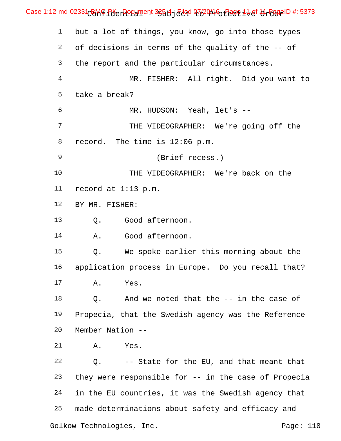Case 1:12-md-02331-BMG-PK en POCument 33513 j EU ed Q7/20/16 Page 11 of U-BageID #: 5373

 but a lot of things, you know, go into those types of decisions in terms of the quality of the -- of the report and the particular circumstances. MR. FISHER: All right. Did you want to take a break? MR. HUDSON: Yeah, let's -- THE VIDEOGRAPHER: We're going off the record. The time is 12:06 p.m. (Brief recess.) THE VIDEOGRAPHER: We're back on the record at 1:13 p.m. BY MR. FISHER: Q. Good afternoon. A. Good afternoon. Q. We spoke earlier this morning about the application process in Europe. Do you recall that? A. Yes. 18 0. And we noted that the -- in the case of Propecia, that the Swedish agency was the Reference Member Nation -- A. Yes. Q. -- State for the EU, and that meant that they were responsible for -- in the case of Propecia in the EU countries, it was the Swedish agency that made determinations about safety and efficacy and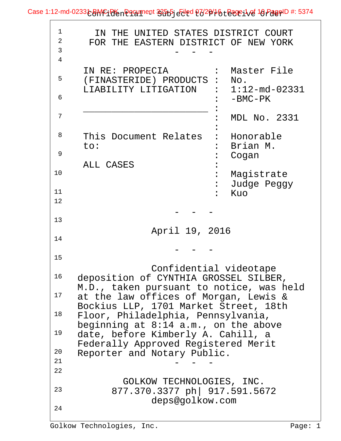Case 1:12-md-0233¿B<u>MF+BK nPq</u>cument 325p5 eEled 07/2016 tBage:1vef 18 PagelD #: 5374

<sup>1</sup> IN THE UNITED STATES DISTRICT COURT<br>2 FOR THE EASTERN DISTRICT OF NEW YORK  $^{2}$  FOR THE EASTERN DISTRICT OF NEW YORK <sup>3</sup> - - - 4 IN RE: PROPECIA : Master File <sup>5</sup> (FINASTERIDE) PRODUCTS : No. LIABILITY LITIGATION : 1:12-md-02331 <sup>6</sup> : -BMC-PK \_\_\_\_\_\_\_\_\_\_\_\_\_\_\_\_\_\_\_\_\_\_ : <sup>7</sup> : MDL No. 2331 **Example 2008** Contract Contract Contract Contract Contract Contract Contract Contract Contract Contract Contract Contract Contract Contract Contract Contract Contract Contract Contract Contract Contract Contract Contract <sup>8</sup> This Document Relates : Honorable to: : Brian M. <sup>9</sup> : Cogan ALL CASES 10 : Magistrate : Judge Peggy <sup>11</sup> : Kuo 12 - - - 13 April 19, 2016 14 - - - 15 Confidential videotape 16 deposition of CYNTHIA GROSSEL SILBER, M.D., taken pursuant to notice, was held  $17$  at the law offices of Morgan, Lewis & Bockius LLP, 1701 Market Street, 18th <sup>18</sup> Floor, Philadelphia, Pennsylvania, beginning at  $8:\overline{14}$  a.m., on the above <sup>19</sup> date, before Kimberly A. Cahill, a Federally Approved Registered Merit <sup>20</sup> Reporter and Notary Public.<br><sup>21</sup>  $21$  - - - 22 GOLKOW TECHNOLOGIES, INC. <sup>23</sup> 877.370.3377 ph| 917.591.5672 deps@golkow.com 24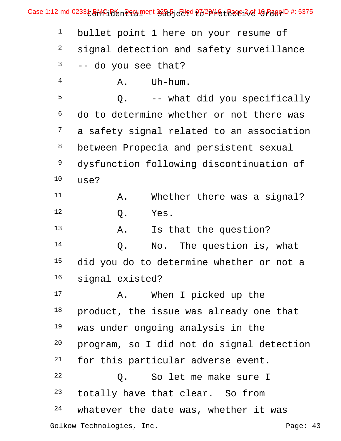Case 1:12-md-0233¿B<u>MF+BK nPq</u>cument 325p5 eEled 07/2016 tBage-i2/ef 10 PagelD #: 5375

<sup>1</sup> bullet point 1 here on your resume of <sup>2</sup> signal detection and safety surveillance  $3 - -$  do you see that?  $^{4}$  A. Uh-hum.  $5$  Q.  $-$ - what did you specifically <sup>6</sup> do to determine whether or not there was <sup>7</sup> a safety signal related to an association <sup>8</sup> between Propecia and persistent sexual <sup>9</sup> dysfunction following discontinuation of  $10$  use? <sup>11</sup> A. Whether there was a signal? <sup>12</sup> Q. Yes. 13 A. Is that the question? 14 Q. No. The question is, what <sup>15</sup> did you do to determine whether or not a <sup>16</sup> signal existed? 17 A. When I picked up the  $18$  product, the issue was already one that <sup>19</sup> was under ongoing analysis in the <sup>20</sup> program, so I did not do signal detection <sup>21</sup> for this particular adverse event. <sup>22</sup> Q. So let me make sure I <sup>23</sup> totally have that clear. So from <sup>24</sup> whatever the date was, whether it was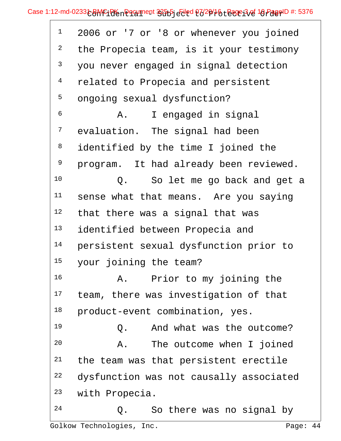# Case 1:12-md-0233¿B<u>MF+BK nPq</u>cument 325p5 eEled 07/2016 tBage+3/ef 10 Page+D #: 5376

<sup>1</sup> 2006 or '7 or '8 or whenever you joined the Propecia team, is it your testimony you never engaged in signal detection <sup>4</sup> related to Propecia and persistent ongoing sexual dysfunction? <sup>6</sup> A. I engaged in signal evaluation. The signal had been identified by the time I joined the <sup>9</sup> program. It had already been reviewed. Q. So let me go back and get a 11 sense what that means. Are you saying that there was a signal that was identified between Propecia and persistent sexual dysfunction prior to your joining the team? A. Prior to my joining the 17 team, there was investigation of that product-event combination, yes. 19 0. And what was the outcome? A. The outcome when I joined the team was that persistent erectile dysfunction was not causally associated with Propecia. Q. So there was no signal by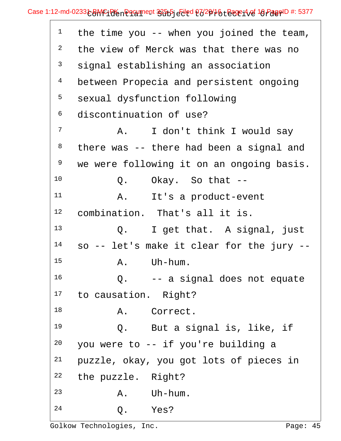Case 1:12-md-0233¿B<u>MF+BK nPq</u>cument 325p5 eEled 07/2016 tBage:40 10 PagelD #: 5377

 the time you -- when you joined the team, <sup>2</sup> the view of Merck was that there was no signal establishing an association 4 between Propecia and persistent ongoing sexual dysfunction following discontinuation of use? <sup>7</sup> A. I don't think I would say 8 there was -- there had been a signal and <sup>9</sup> we were following it on an ongoing basis. Q. Okay. So that -- 11 A. It's a product-event combination. That's all it is. Q. I get that. A signal, just so -- let's make it clear for the jury -- A. Uh-hum. Q.  $-$  a signal does not equate to causation. Right? **A.** Correct. Q. But a signal is, like, if you were to  $-$  if you're building a puzzle, okay, you got lots of pieces in the puzzle. Right? A. Uh-hum. Q. Yes?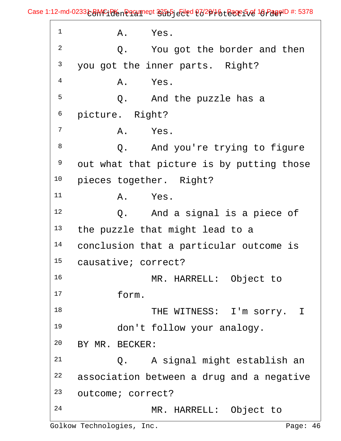Case 1:12-md-0233¿B<u>MF+BK nPq</u>cument 325p5 eEled 07/2016 tBage+5/ef 10 Page+D #: 5378

1 A. Yes. Q. You got the border and then <sup>3</sup> you got the inner parts. Right? A. Yes. Q. And the puzzle has a picture. Right? A. Yes. Q. And you're trying to figure <sup>9</sup> out what that picture is by putting those pieces together. Right? A. Yes. Q. And a signal is a piece of the puzzle that might lead to a 14 conclusion that a particular outcome is causative; correct? MR. HARRELL: Object to form. 18 THE WITNESS: I'm sorry. I don't follow your analogy. BY MR. BECKER: Q. A signal might establish an association between a drug and a negative outcome; correct? MR. HARRELL: Object to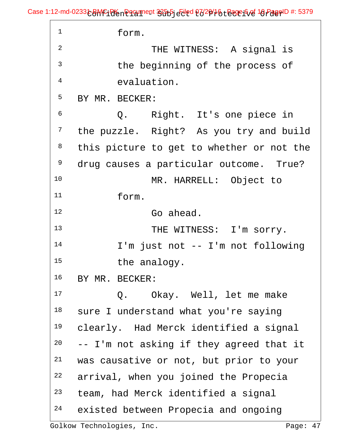Case 1:12-md-0233¿B<u>MF+BK nPq</u>cument 325p5 eEled 07/2016 tBage-iGQ 10 PagelD #: 5379

| $\mathbf{1}$ | form.                                     |  |
|--------------|-------------------------------------------|--|
| 2            | THE WITNESS: A signal is                  |  |
| 3            | the beginning of the process of           |  |
| 4            | evaluation.                               |  |
| 5            | BY MR. BECKER:                            |  |
| 6            | Q. Right. It's one piece in               |  |
| 7            | the puzzle. Right? As you try and build   |  |
| 8            | this picture to get to whether or not the |  |
| 9            | drug causes a particular outcome. True?   |  |
| 10           | MR. HARRELL: Object to                    |  |
| 11           | form.                                     |  |
| 12           | Go ahead.                                 |  |
| 13           | THE WITNESS: I'm sorry.                   |  |
| 14           | I'm just not -- I'm not following         |  |
| 15           | the analogy.                              |  |
| 16           | BY MR. BECKER:                            |  |
| 17           | Q. Okay. Well, let me make                |  |
| 18           | sure I understand what you're saying      |  |
| 19           | clearly. Had Merck identified a signal    |  |
| 20           | -- I'm not asking if they agreed that it  |  |
| 21           | was causative or not, but prior to your   |  |
| 22           | arrival, when you joined the Propecia     |  |
| 23           | team, had Merck identified a signal       |  |
| 24           | existed between Propecia and ongoing      |  |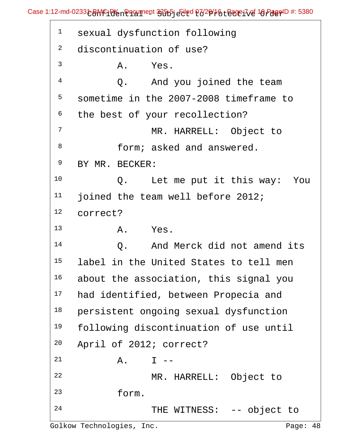Case 1:12-md-0233¿B<u>MF+BK nPq</u>cument 325ъ5 eEled 07/2016 tBagei7vef 10 PagelD #: 5380

 sexual dysfunction following discontinuation of use? A. Yes.  $\frac{4}{1}$  Q. And you joined the team sometime in the 2007-2008 timeframe to <sup>6</sup> the best of your recollection? MR. HARRELL: Object to 8 form; asked and answered. <sup>9</sup> BY MR. BECKER: Q. Let me put it this way: You 11 joined the team well before 2012; correct? A. Yes. 14 0. And Merck did not amend its label in the United States to tell men about the association, this signal you had identified, between Propecia and persistent ongoing sexual dysfunction following discontinuation of use until April of 2012; correct? 21  $A. \tI$  -- MR. HARRELL: Object to form. <sup>24</sup> THE WITNESS: -- object to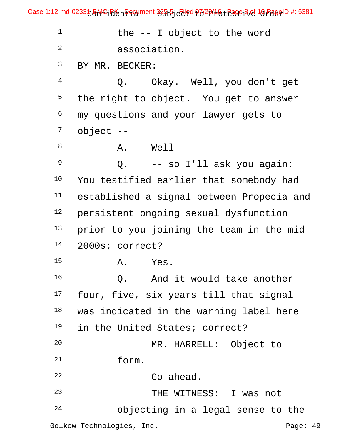Case 1:12-md-0233¿B<u>MF+BK nPq</u>cument 325p5 eEled 07/2016 tBage+&e1 10 Page+D #: 5381

 the  $-$  I object to the word association. BY MR. BECKER: Q. Okay. Well, you don't get <sup>5</sup> the right to object. You get to answer <sup>6</sup> my questions and your lawyer gets to object  $-$  A. Well -- Q.  $-$  so I'll ask you again: <sup>10</sup> You testified earlier that somebody had established a signal between Propecia and persistent ongoing sexual dysfunction 13 prior to you joining the team in the mid 2000s; correct? A. Yes. 16 0. And it would take another 17 four, five, six years till that signal was indicated in the warning label here in the United States; correct? MR. HARRELL: Object to form. Go ahead. <sup>23</sup> THE WITNESS: I was not objecting in a legal sense to the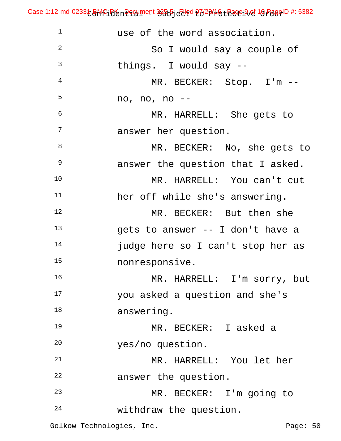Case 1:12-md-0233¿B<u>MF+BK nPq</u>cument 325p5 eEled 07/2016 tBage+9od 10 PagelD #: 5382

| 1              | use of the word association.      |
|----------------|-----------------------------------|
| $\overline{2}$ | So I would say a couple of        |
| 3              | things. I would say --            |
| 4              | MR. BECKER: Stop. I'm --          |
| 5              | no, no, no --                     |
| 6              | MR. HARRELL: She gets to          |
| 7              | answer her question.              |
| 8              | MR. BECKER: No, she gets to       |
| 9              | answer the question that I asked. |
| 10             | MR. HARRELL: You can't cut        |
| 11             | her off while she's answering.    |
| 12             | MR. BECKER: But then she          |
| 13             | gets to answer -- I don't have a  |
| 14             | judge here so I can't stop her as |
| 15             | nonresponsive.                    |
| 16             | MR. HARRELL: I'm sorry, but       |
| 17             | you asked a question and she's    |
| 18             | answering.                        |
| 19             | MR. BECKER: I asked a             |
| 20             | yes/no question.                  |
| 21             | MR. HARRELL: You let her          |
| 22             | answer the question.              |
| 23             | MR. BECKER: I'm going to          |
| 24             | withdraw the question.            |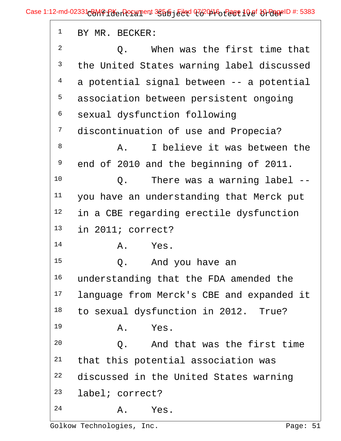Case 1:12-md-02331-BMG-PK en POCument 335-5 j EU ed Q7/20/16 Page 10 of UP BageID #: 5383

<sup>1</sup> BY MR. BECKER:

<sup>2</sup> Q. When was the first time that <sup>3</sup> the United States warning label discussed  $4$  a potential signal between  $-$  a potential <sup>5</sup> association between persistent ongoing <sup>6</sup> sexual dysfunction following <sup>7</sup> discontinuation of use and Propecia? 8 A. I believe it was between the <sup>9</sup> end of 2010 and the beginning of 2011. 10 0. There was a warning label --<sup>11</sup> you have an understanding that Merck put 12 in a CBE regarding erectile dysfunction <sup>13</sup> in 2011; correct? <sup>14</sup> A. Yes. <sup>15</sup> Q. And you have an 16 understanding that the FDA amended the 17 language from Merck's CBE and expanded it <sup>18</sup> to sexual dysfunction in 2012. True? <sup>19</sup> A. Yes. <sup>20</sup> Q. And that was the first time <sup>21</sup> that this potential association was <sup>22</sup> discussed in the United States warning <sup>23</sup> label; correct? <sup>24</sup> A. Yes.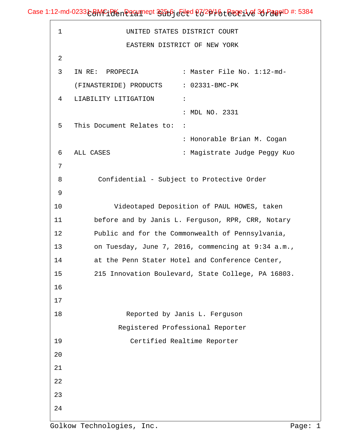Case 1:12-md-0233¿B<u>MF+BK nPq</u>cument 325ъ6 eElled 07/2016 tBageilv& 34 PagelD #: 5384

 1 UNITED STATES DISTRICT COURT EASTERN DISTRICT OF NEW YORK 2 3 IN RE: PROPECIA : Master File No. 1:12-md- (FINASTERIDE) PRODUCTS : 02331-BMC-PK 4 LIABILITY LITIGATION : : MDL NO. 2331 5 This Document Relates to: : : Honorable Brian M. Cogan 6 ALL CASES : Magistrate Judge Peggy Kuo 7 8 Confidential - Subject to Protective Order 9 10 Videotaped Deposition of PAUL HOWES, taken 11 before and by Janis L. Ferguson, RPR, CRR, Notary 12 Public and for the Commonwealth of Pennsylvania, 13 on Tuesday, June 7, 2016, commencing at 9:34 a.m., 14 at the Penn Stater Hotel and Conference Center, 15 215 Innovation Boulevard, State College, PA 16803. 16 17 18 Reported by Janis L. Ferguson Registered Professional Reporter 19 Certified Realtime Reporter 20 21 22 23 24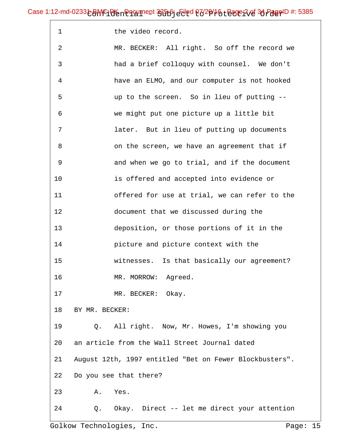1 the video record.

 2 MR. BECKER: All right. So off the record we 3 had a brief colloquy with counsel. We don't 4 have an ELMO, and our computer is not hooked 5 up to the screen. So in lieu of putting -- 6 we might put one picture up a little bit 7 later. But in lieu of putting up documents 8 on the screen, we have an agreement that if 9 and when we go to trial, and if the document 10 is offered and accepted into evidence or 11 offered for use at trial, we can refer to the 12 document that we discussed during the 13 deposition, or those portions of it in the 14 picture and picture context with the 15 witnesses. Is that basically our agreement? 16 MR. MORROW: Agreed. 17 MR. BECKER: Okay. 18 BY MR. BECKER: 19 Q. All right. Now, Mr. Howes, I'm showing you 20 an article from the Wall Street Journal dated 21 August 12th, 1997 entitled "Bet on Fewer Blockbusters". 22 Do you see that there? 23 A. Yes. 24 Q. Okay. Direct -- let me direct your attention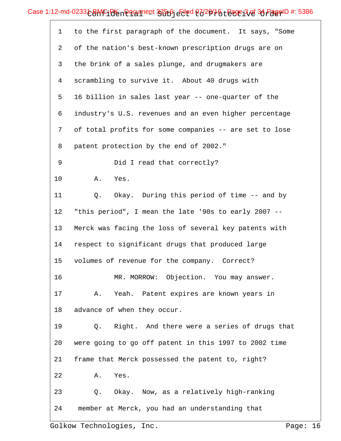# Case 1:12-md-0233¿B<u>MF+BK nPq</u>cument 325ъ6 eElled 07/2016 tBage+3/ef 34 PagelD #: 5386

| 1              | to the first paragraph of the document. It says, "Some |
|----------------|--------------------------------------------------------|
| $\overline{2}$ | of the nation's best-known prescription drugs are on   |
| 3              | the brink of a sales plunge, and drugmakers are        |
| 4              | scrambling to survive it. About 40 drugs with          |
| 5              | 16 billion in sales last year -- one-quarter of the    |
| 6              | industry's U.S. revenues and an even higher percentage |
| 7              | of total profits for some companies -- are set to lose |
| 8              | patent protection by the end of 2002."                 |
| 9              | Did I read that correctly?                             |
| 10             | Α.<br>Yes.                                             |
| 11             | Okay. During this period of time -- and by<br>Q.       |
| 12             | "this period", I mean the late '90s to early 2007 --   |
| 13             | Merck was facing the loss of several key patents with  |
| 14             | respect to significant drugs that produced large       |
| 15             | volumes of revenue for the company. Correct?           |
| 16             | MR. MORROW: Objection. You may answer.                 |
| 17             | Yeah. Patent expires are known years in<br>Α.          |
| 18             | advance of when they occur.                            |
| 19             | Right. And there were a series of drugs that<br>Q.     |
| 20             | were going to go off patent in this 1997 to 2002 time  |
| 21             | frame that Merck possessed the patent to, right?       |
| 22             | Yes.<br>Α.                                             |
| 23             | Q. Okay. Now, as a relatively high-ranking             |
| 24             | member at Merck, you had an understanding that         |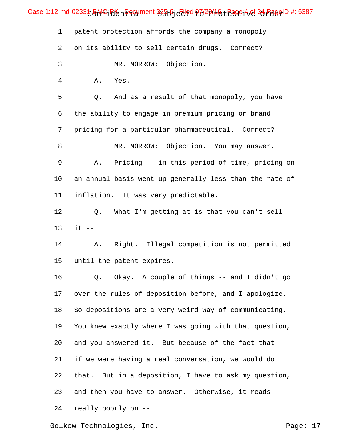Case 1:12-md-0233¿B<u>MF+BK nPq</u>cument 325ъ6 eElled 07/2016 tBage:40 34 PagelD #: 5387

 1 patent protection affords the company a monopoly 2 on its ability to sell certain drugs. Correct? 3 MR. MORROW: Objection. 4 A. Yes. 5 Q. And as a result of that monopoly, you have 6 the ability to engage in premium pricing or brand 7 pricing for a particular pharmaceutical. Correct? 8 MR. MORROW: Objection. You may answer. 9 A. Pricing -- in this period of time, pricing on 10 an annual basis went up generally less than the rate of 11 inflation. It was very predictable. 12 Q. What I'm getting at is that you can't sell 13 it -- 14 A. Right. Illegal competition is not permitted 15 until the patent expires. 16 Q. Okay. A couple of things -- and I didn't go 17 over the rules of deposition before, and I apologize. 18 So depositions are a very weird way of communicating. 19 You knew exactly where I was going with that question, 20 and you answered it. But because of the fact that -- 21 if we were having a real conversation, we would do 22 that. But in a deposition, I have to ask my question, 23 and then you have to answer. Otherwise, it reads 24 really poorly on --

Golkow Technologies, Inc. Page: 17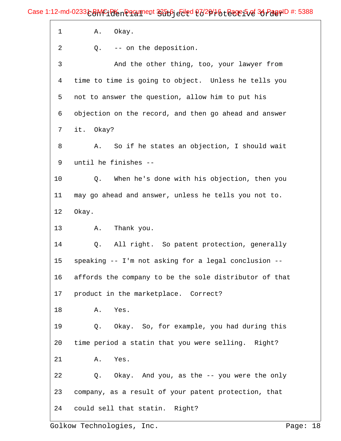Case 1:12-md-0233¿B<u>MF+BK nPq</u>cument 325ъ6 eElled 07/2016 tBage+5o2 34 PagelD #: 5388

1 A. Okay. 2 Q. -- on the deposition. 3 And the other thing, too, your lawyer from 4 time to time is going to object. Unless he tells you 5 not to answer the question, allow him to put his 6 objection on the record, and then go ahead and answer 7 it. Okay? 8 A. So if he states an objection, I should wait 9 until he finishes -- 10 Q. When he's done with his objection, then you 11 may go ahead and answer, unless he tells you not to. 12 Okay. 13 A. Thank you. 14 Q. All right. So patent protection, generally 15 speaking -- I'm not asking for a legal conclusion -- 16 affords the company to be the sole distributor of that 17 product in the marketplace. Correct? 18 A. Yes. 19 Q. Okay. So, for example, you had during this 20 time period a statin that you were selling. Right? 21 A. Yes. 22 Q. Okay. And you, as the -- you were the only 23 company, as a result of your patent protection, that 24 could sell that statin. Right?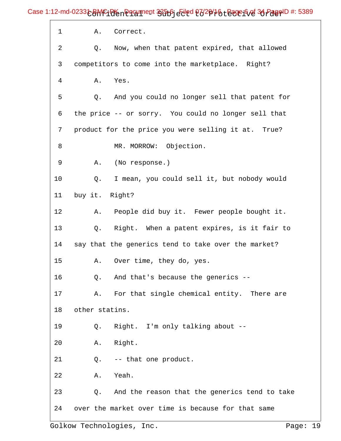Case 1:12-md-0233¿B<u>MF+BK nPq</u>cument 325ъ6 eElled 07/2016 tBage-iGQ 34 PagelD #: 5389

| $\mathbf 1$ | A. Correct.                                          |
|-------------|------------------------------------------------------|
| 2           | Now, when that patent expired, that allowed<br>Q.    |
| 3           | competitors to come into the marketplace. Right?     |
| 4           | A. Yes.                                              |
| 5           | Q. And you could no longer sell that patent for      |
| 6           | the price -- or sorry. You could no longer sell that |
| 7           | product for the price you were selling it at. True?  |
| 8           | MR. MORROW: Objection.                               |
| 9           | A. (No response.)                                    |
| 10          | I mean, you could sell it, but nobody would<br>Q.    |
| 11          | buy it. Right?                                       |
| 12          | A. People did buy it. Fewer people bought it.        |
| 13          | Right. When a patent expires, is it fair to<br>Q.    |
| 14          | say that the generics tend to take over the market?  |
| 15          | Over time, they do, yes.<br>Α.                       |
| 16          | Q. And that's because the generics --                |
| 17          | For that single chemical entity. There are<br>Α.     |
| 18          | other statins.                                       |
| 19          | Right. I'm only talking about --<br>Q.               |
| 20          | Right.<br>Α.                                         |
| 21          | $Q.$ -- that one product.                            |
| 22          | Yeah.<br>A.                                          |
| 23          | And the reason that the generics tend to take<br>Q.  |
| 24          | over the market over time is because for that same   |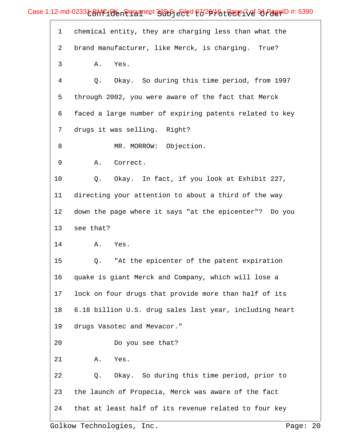#### Case 1:12-md-0233¿B<u>MF+BK nPq</u>cument 325ъ6 eElled 07/2016 tBagei7vef 34 PagelD #: 5390

| $\mathbf 1$    | chemical entity, they are charging less than what the   |
|----------------|---------------------------------------------------------|
| $\overline{2}$ | brand manufacturer, like Merck, is charging. True?      |
| $\mathsf{3}$   | Α.<br>Yes.                                              |
| $\overline{4}$ | Okay. So during this time period, from 1997<br>Q.       |
| 5              | through 2002, you were aware of the fact that Merck     |
| 6              | faced a large number of expiring patents related to key |
| 7              | drugs it was selling. Right?                            |
| 8              | MR. MORROW: Objection.                                  |
| 9              | Correct.<br>Α.                                          |
| 10             | Okay. In fact, if you look at Exhibit 227,<br>Q.        |
| 11             | directing your attention to about a third of the way    |
| 12             | down the page where it says "at the epicenter"? Do you  |
| 13             | see that?                                               |
| 14             | Yes.<br>Α.                                              |
| 15             | "At the epicenter of the patent expiration<br>Q.        |
| 16             | quake is giant Merck and Company, which will lose a     |
| 17             | lock on four drugs that provide more than half of its   |
| 18             | 6.18 billion U.S. drug sales last year, including heart |
| 19             | drugs Vasotec and Mevacor."                             |
| 20             | Do you see that?                                        |
| 21             | Α.<br>Yes.                                              |
| 22             | Okay. So during this time period, prior to<br>Q.        |
| 23             | the launch of Propecia, Merck was aware of the fact     |
| 24             | that at least half of its revenue related to four key   |
|                | Golkow Technologies, Inc.<br>Page: $20$                 |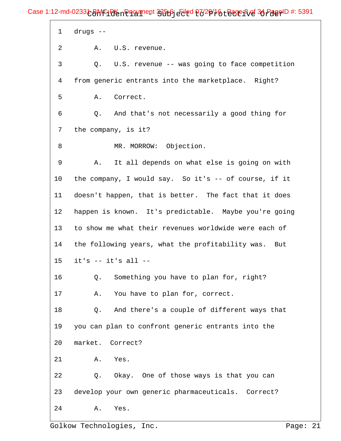# Case 1:12-md-0233¿B<u>MF+BK nPq</u>cument 325ъ6 eElled 07/2016 tBage+&eI 34 PagelD #: 5391

 1 drugs -- 2 A. U.S. revenue. 3 Q. U.S. revenue -- was going to face competition 4 from generic entrants into the marketplace. Right? 5 A. Correct. 6 Q. And that's not necessarily a good thing for 7 the company, is it? 8 MR. MORROW: Objection. 9 A. It all depends on what else is going on with 10 the company, I would say. So it's -- of course, if it 11 doesn't happen, that is better. The fact that it does 12 happen is known. It's predictable. Maybe you're going 13 to show me what their revenues worldwide were each of 14 the following years, what the profitability was. But 15 it's -- it's all -- 16 Q. Something you have to plan for, right? 17 A. You have to plan for, correct. 18 Q. And there's a couple of different ways that 19 you can plan to confront generic entrants into the 20 market. Correct? 21 A. Yes. 22 Q. Okay. One of those ways is that you can 23 develop your own generic pharmaceuticals. Correct? 24 A. Yes.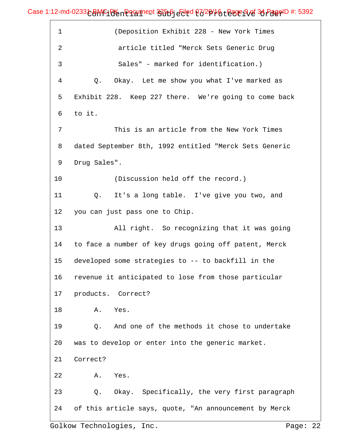# Case 1:12-md-0233¿B<u>MF+BK nPq</u>cument 325ъ6 eElled 07/2016 tBage+9od 34 PagelD #: 5392

 1 (Deposition Exhibit 228 - New York Times 2 article titled "Merck Sets Generic Drug 3 Sales" - marked for identification.) 4 Q. Okay. Let me show you what I've marked as 5 Exhibit 228. Keep 227 there. We're going to come back 6 to it. 7 This is an article from the New York Times 8 dated September 8th, 1992 entitled "Merck Sets Generic 9 Drug Sales". 10 (Discussion held off the record.) 11 Q. It's a long table. I've give you two, and 12 you can just pass one to Chip. 13 All right. So recognizing that it was going 14 to face a number of key drugs going off patent, Merck 15 developed some strategies to -- to backfill in the 16 revenue it anticipated to lose from those particular 17 products. Correct? 18 A. Yes. 19 Q. And one of the methods it chose to undertake 20 was to develop or enter into the generic market. 21 Correct? 22 A. Yes. 23 Q. Okay. Specifically, the very first paragraph 24 of this article says, quote, "An announcement by Merck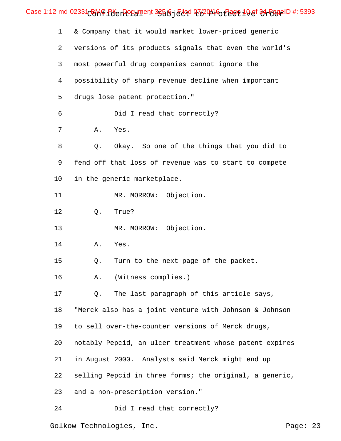# Case 1:12-md-02331-BMG-PK en POCument 33516 j EU ed Q7/20/16 Page 10 of 34 PageID #: 5393

| 1       | & Company that it would market lower-priced generic     |
|---------|---------------------------------------------------------|
| 2       | versions of its products signals that even the world's  |
| 3       | most powerful drug companies cannot ignore the          |
| 4       | possibility of sharp revenue decline when important     |
| 5       | drugs lose patent protection."                          |
| 6       | Did I read that correctly?                              |
| 7       | Α.<br>Yes.                                              |
| 8       | Okay. So one of the things that you did to<br>Q.        |
| 9       | fend off that loss of revenue was to start to compete   |
| $10 \,$ | in the generic marketplace.                             |
| 11      | MR. MORROW: Objection.                                  |
| 12      | True?<br>Q.                                             |
| 13      | MR. MORROW: Objection.                                  |
| 14      | Α.<br>Yes.                                              |
| 15      | Turn to the next page of the packet.<br>Q.              |
| 16      | (Witness complies.)<br>Α.                               |
| 17      | The last paragraph of this article says,<br>Q.          |
| 18      | "Merck also has a joint venture with Johnson & Johnson  |
| 19      | to sell over-the-counter versions of Merck drugs,       |
| 20      | notably Pepcid, an ulcer treatment whose patent expires |
| 21      | in August 2000. Analysts said Merck might end up        |
| 22      | selling Pepcid in three forms; the original, a generic, |
| 23      | and a non-prescription version."                        |
| 24      | Did I read that correctly?                              |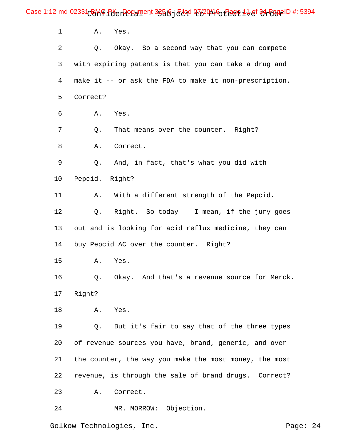Case 1:12-md-02331-BMG-PK en POCument 33516 j EU ed Q7/20/16 Page 11 of 34 PageID #: 5394

| 1              | A. Yes.                                                |
|----------------|--------------------------------------------------------|
| $\overline{2}$ | Q. Okay. So a second way that you can compete          |
| 3              | with expiring patents is that you can take a drug and  |
| 4              | make it -- or ask the FDA to make it non-prescription. |
| 5              | Correct?                                               |
| 6              | A.<br>Yes.                                             |
| 7              | That means over-the-counter. Right?<br>Q.              |
| 8              | A. Correct.                                            |
| 9              | And, in fact, that's what you did with<br>Q.           |
| $10 \,$        | Pepcid. Right?                                         |
| 11             | With a different strength of the Pepcid.<br>Α.         |
| 12             | Q. Right. So today -- I mean, if the jury goes         |
| 13             | out and is looking for acid reflux medicine, they can  |
| 14             | buy Pepcid AC over the counter. Right?                 |
| 15             | Α.<br>Yes.                                             |
| 16             | Okay. And that's a revenue source for Merck.<br>Q.     |
| 17             | Right?                                                 |
| 18             | Α.<br>Yes.                                             |
| 19             | But it's fair to say that of the three types<br>Q.     |
| 20             | of revenue sources you have, brand, generic, and over  |
| 21             | the counter, the way you make the most money, the most |
| 22             | revenue, is through the sale of brand drugs. Correct?  |
| 23             | Correct.<br>Α.                                         |
| 24             | MR. MORROW: Objection.                                 |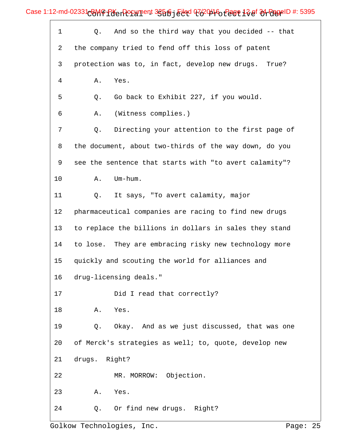Case 1:12-md-02331-BMG-PK en POCument 33516 j EU ed Q7/20/16 Page 12 of 34 PageID #: 5395

 1 Q. And so the third way that you decided -- that 2 the company tried to fend off this loss of patent 3 protection was to, in fact, develop new drugs. True? 4 A. Yes. 5 Q. Go back to Exhibit 227, if you would. 6 A. (Witness complies.) 7 Q. Directing your attention to the first page of 8 the document, about two-thirds of the way down, do you 9 see the sentence that starts with "to avert calamity"? 10 A. Um-hum. 11 Q. It says, "To avert calamity, major 12 pharmaceutical companies are racing to find new drugs 13 to replace the billions in dollars in sales they stand 14 to lose. They are embracing risky new technology more 15 quickly and scouting the world for alliances and 16 drug-licensing deals." 17 Did I read that correctly? 18 A. Yes. 19 Q. Okay. And as we just discussed, that was one 20 of Merck's strategies as well; to, quote, develop new 21 drugs. Right? 22 MR. MORROW: Objection. 23 A. Yes. 24 Q. Or find new drugs. Right?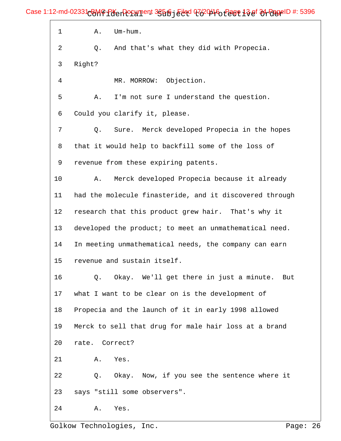Case 1:12-md-02331-BMG-PK en POCument 33516 j EU ed Q7/20/16 Page 13 of 34 PageID #: 5396

 1 A. Um-hum. 2 Q. And that's what they did with Propecia. 3 Right? 4 MR. MORROW: Objection. 5 A. I'm not sure I understand the question. 6 Could you clarify it, please. 7 Q. Sure. Merck developed Propecia in the hopes 8 that it would help to backfill some of the loss of 9 revenue from these expiring patents. 10 A. Merck developed Propecia because it already 11 had the molecule finasteride, and it discovered through 12 research that this product grew hair. That's why it 13 developed the product; to meet an unmathematical need. 14 In meeting unmathematical needs, the company can earn 15 revenue and sustain itself. 16 Q. Okay. We'll get there in just a minute. But 17 what I want to be clear on is the development of 18 Propecia and the launch of it in early 1998 allowed 19 Merck to sell that drug for male hair loss at a brand 20 rate. Correct? 21 A. Yes. 22 Q. Okay. Now, if you see the sentence where it 23 says "still some observers". 24 A. Yes.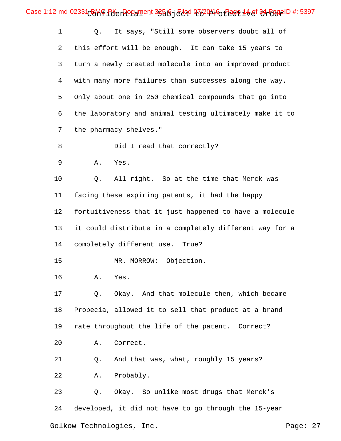Case 1:12-md-02331-BMG-PK en POCument 33516 j EU ed Q7/20/16 Page 14 of 34 PageID #: 5397

| $\mathbf 1$ | It says, "Still some observers doubt all of<br>Q.       |
|-------------|---------------------------------------------------------|
| 2           | this effort will be enough. It can take 15 years to     |
| 3           | turn a newly created molecule into an improved product  |
| 4           | with many more failures than successes along the way.   |
| 5           | Only about one in 250 chemical compounds that go into   |
| 6           | the laboratory and animal testing ultimately make it to |
| 7           | the pharmacy shelves."                                  |
| 8           | Did I read that correctly?                              |
| 9           | Yes.<br>Α.                                              |
| 10          | All right. So at the time that Merck was<br>Q.          |
| 11          | facing these expiring patents, it had the happy         |
| 12          | fortuitiveness that it just happened to have a molecule |
| 13          | it could distribute in a completely different way for a |
| 14          | completely different use. True?                         |
| 15          | Objection.<br>MR. MORROW:                               |
| 16          | Α.<br>Yes.                                              |
| 17          | Okay. And that molecule then, which became<br>Q.        |
| 18          | Propecia, allowed it to sell that product at a brand    |
| 19          | rate throughout the life of the patent. Correct?        |
| 20          | Correct.<br>Α.                                          |
| 21          | And that was, what, roughly 15 years?<br>Q.             |
| 22          | Probably.<br>Α.                                         |
| 23          | Okay. So unlike most drugs that Merck's<br>Q.           |
| 24          | developed, it did not have to go through the 15-year    |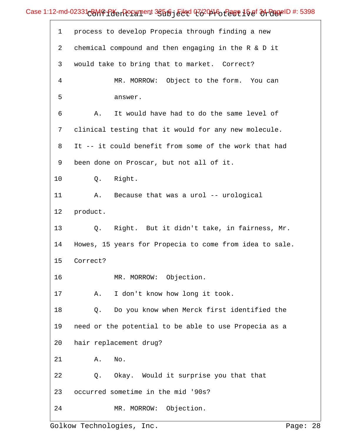#### Case 1:12-md-02331-BMG-PK en POCument 33516 j EU ed Q7/20/16 Page 15 of 34 PageID #: 5398

| 1  | process to develop Propecia through finding a new       |
|----|---------------------------------------------------------|
| 2  | chemical compound and then engaging in the R & D it     |
| 3  | would take to bring that to market. Correct?            |
| 4  | MR. MORROW: Object to the form. You can                 |
| 5  | answer.                                                 |
| 6  | It would have had to do the same level of<br>Α.         |
| 7  | clinical testing that it would for any new molecule.    |
| 8  | It -- it could benefit from some of the work that had   |
| 9  | been done on Proscar, but not all of it.                |
| 10 | Q.<br>Right.                                            |
| 11 | A. Because that was a urol -- urological                |
| 12 | product.                                                |
| 13 | Right. But it didn't take, in fairness, Mr.<br>Q.       |
| 14 | Howes, 15 years for Propecia to come from idea to sale. |
| 15 | Correct?                                                |
| 16 | MR. MORROW: Objection.                                  |
| 17 | I don't know how long it took.<br>Α.                    |
| 18 | Do you know when Merck first identified the<br>Q.       |
| 19 | need or the potential to be able to use Propecia as a   |
| 20 | hair replacement drug?                                  |
| 21 | Α.<br>No.                                               |
| 22 | Okay. Would it surprise you that that<br>Q.             |
| 23 | occurred sometime in the mid '90s?                      |
| 24 | MR. MORROW: Objection.                                  |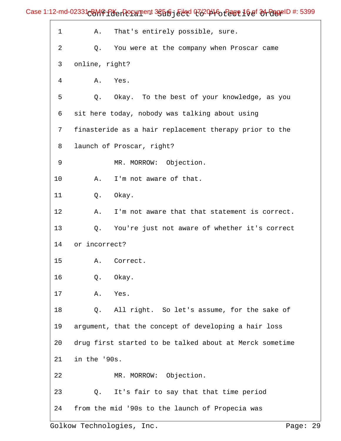Case 1:12-md-02331-BMG-PK en POCument 33516 j EU ed Q7/20/16 Page 16 ef 34 PageID #: 5399

 1 A. That's entirely possible, sure. 2 Q. You were at the company when Proscar came 3 online, right? 4 A. Yes. 5 Q. Okay. To the best of your knowledge, as you 6 sit here today, nobody was talking about using 7 finasteride as a hair replacement therapy prior to the 8 launch of Proscar, right? 9 MR. MORROW: Objection. 10 A. I'm not aware of that. 11 Q. Okay. 12 A. I'm not aware that that statement is correct. 13 Q. You're just not aware of whether it's correct 14 or incorrect? 15 A. Correct. 16 Q. Okay. 17 A. Yes. 18 Q. All right. So let's assume, for the sake of 19 argument, that the concept of developing a hair loss 20 drug first started to be talked about at Merck sometime 21 in the '90s. 22 MR. MORROW: Objection. 23 Q. It's fair to say that that time period 24 from the mid '90s to the launch of Propecia was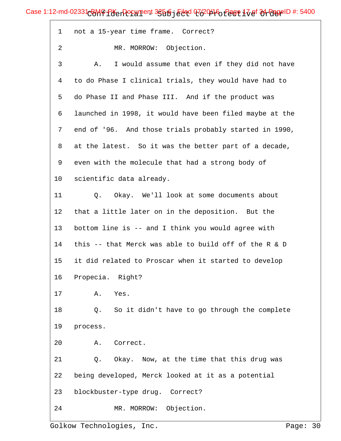# Confidential - Subject to Protective Order Case 1:12-md-02331-BMC-PK Document 325-6 Filed 07/20/16 Page 17 of 34 PageID #: 5400

 1 not a 15-year time frame. Correct? 2 MR. MORROW: Objection. 3 A. I would assume that even if they did not have 4 to do Phase I clinical trials, they would have had to 5 do Phase II and Phase III. And if the product was 6 launched in 1998, it would have been filed maybe at the 7 end of '96. And those trials probably started in 1990, 8 at the latest. So it was the better part of a decade, 9 even with the molecule that had a strong body of 10 scientific data already. 11 Q. Okay. We'll look at some documents about 12 that a little later on in the deposition. But the 13 bottom line is -- and I think you would agree with 14 this -- that Merck was able to build off of the R & D 15 it did related to Proscar when it started to develop 16 Propecia. Right? 17 A. Yes. 18 Q. So it didn't have to go through the complete 19 process. 20 A. Correct. 21 Q. Okay. Now, at the time that this drug was 22 being developed, Merck looked at it as a potential 23 blockbuster-type drug. Correct? 24 MR. MORROW: Objection.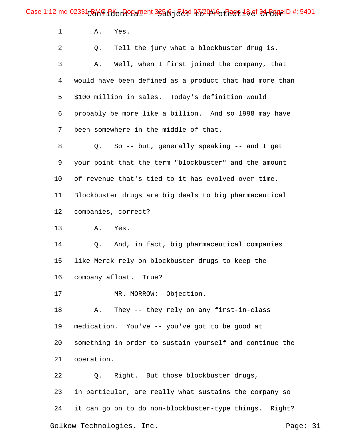1 A. Yes. 2 Q. Tell the jury what a blockbuster drug is. 3 A. Well, when I first joined the company, that 4 would have been defined as a product that had more than 5 \$100 million in sales. Today's definition would 6 probably be more like a billion. And so 1998 may have 7 been somewhere in the middle of that. 8 Q. So -- but, generally speaking -- and I get 9 your point that the term "blockbuster" and the amount 10 of revenue that's tied to it has evolved over time. 11 Blockbuster drugs are big deals to big pharmaceutical 12 companies, correct? 13 A. Yes. 14 Q. And, in fact, big pharmaceutical companies 15 like Merck rely on blockbuster drugs to keep the 16 company afloat. True? 17 MR. MORROW: Objection. 18 A. They -- they rely on any first-in-class 19 medication. You've -- you've got to be good at 20 something in order to sustain yourself and continue the 21 operation. 22 Q. Right. But those blockbuster drugs, 23 in particular, are really what sustains the company so 24 it can go on to do non-blockbuster-type things. Right?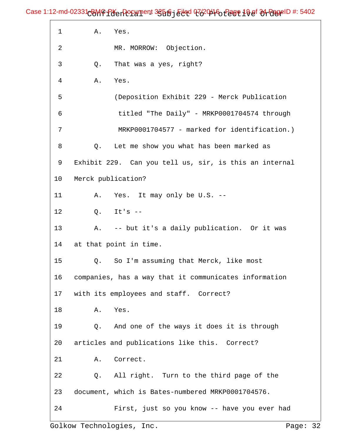Case 1:12-md-02331-BMG-PK en POCument 33516 j EU ed Q7/20/16 Page 19 of 34 PageID #: 5402

1 A. Yes. 2 MR. MORROW: Objection. 3 Q. That was a yes, right? 4 A. Yes. 5 (Deposition Exhibit 229 - Merck Publication 6 titled "The Daily" - MRKP0001704574 through 7 MRKP0001704577 - marked for identification.) 8 Q. Let me show you what has been marked as 9 Exhibit 229. Can you tell us, sir, is this an internal 10 Merck publication? 11 A. Yes. It may only be U.S. -- 12 Q. It's -- 13 A. -- but it's a daily publication. Or it was 14 at that point in time. 15 Q. So I'm assuming that Merck, like most 16 companies, has a way that it communicates information 17 with its employees and staff. Correct? 18 A. Yes. 19 Q. And one of the ways it does it is through 20 articles and publications like this. Correct? 21 A. Correct. 22 Q. All right. Turn to the third page of the 23 document, which is Bates-numbered MRKP0001704576. 24 First, just so you know -- have you ever had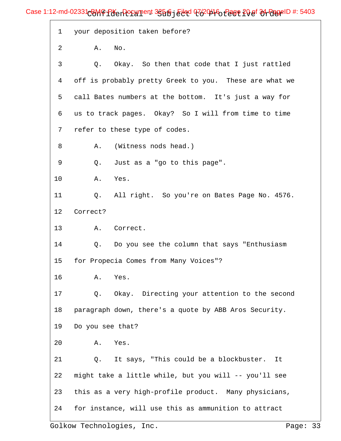Case 1:12-md-02331-BMG-PK en POCument 33516 j EU ed Q7/20/16 Page 20 of 34 PageID #: 5403

 1 your deposition taken before? 2 A. No. 3 Q. Okay. So then that code that I just rattled 4 off is probably pretty Greek to you. These are what we 5 call Bates numbers at the bottom. It's just a way for 6 us to track pages. Okay? So I will from time to time 7 refer to these type of codes. 8 A. (Witness nods head.) 9 Q. Just as a "go to this page". 10 A. Yes. 11 Q. All right. So you're on Bates Page No. 4576. 12 Correct? 13 A. Correct. 14 Q. Do you see the column that says "Enthusiasm 15 for Propecia Comes from Many Voices"? 16 A. Yes. 17 Q. Okay. Directing your attention to the second 18 paragraph down, there's a quote by ABB Aros Security. 19 Do you see that? 20 A. Yes. 21 Q. It says, "This could be a blockbuster. It 22 might take a little while, but you will -- you'll see 23 this as a very high-profile product. Many physicians, 24 for instance, will use this as ammunition to attract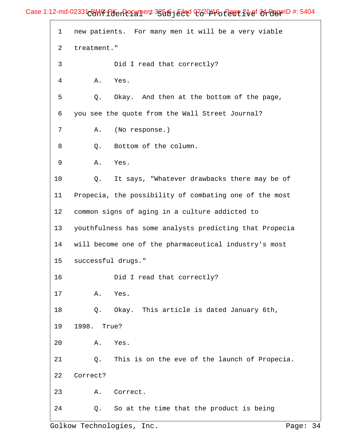# Confidential - Subject to Protective Order Case 1:12-md-02331-BMC-PK Document 325-6 Filed 07/20/16 Page 21 of 34 PageID #: 5404

 1 new patients. For many men it will be a very viable 2 treatment." 3 Did I read that correctly? 4 A. Yes. 5 Q. Okay. And then at the bottom of the page, 6 you see the quote from the Wall Street Journal? 7 A. (No response.) 8 0. Bottom of the column. 9 A. Yes. 10 Q. It says, "Whatever drawbacks there may be of 11 Propecia, the possibility of combating one of the most 12 common signs of aging in a culture addicted to 13 youthfulness has some analysts predicting that Propecia 14 will become one of the pharmaceutical industry's most 15 successful drugs." 16 Did I read that correctly? 17 A. Yes. 18 Q. Okay. This article is dated January 6th, 19 1998. True? 20 A. Yes. 21 Q. This is on the eve of the launch of Propecia. 22 Correct? 23 A. Correct. 24 Q. So at the time that the product is being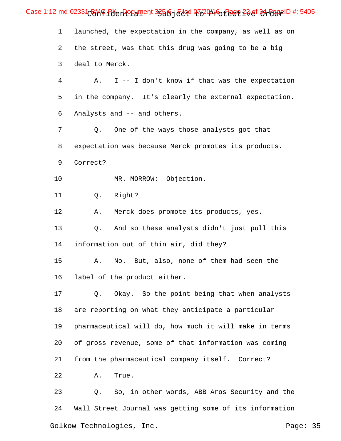# Case 1:12-md-02331-BMG-PK en POCument 33516 j EU ed Q7/20/16 Page ?? of 34 PageID #: 5405

| 1  | launched, the expectation in the company, as well as on |
|----|---------------------------------------------------------|
| 2  | the street, was that this drug was going to be a big    |
| 3  | deal to Merck.                                          |
| 4  | I -- I don't know if that was the expectation<br>Α.     |
| 5  | in the company. It's clearly the external expectation.  |
| 6  | Analysts and -- and others.                             |
| 7  | One of the ways those analysts got that<br>Q.           |
| 8  | expectation was because Merck promotes its products.    |
| 9  | Correct?                                                |
| 10 | MR. MORROW: Objection.                                  |
| 11 | Right?<br>Q.                                            |
| 12 | Merck does promote its products, yes.<br>Α.             |
| 13 | And so these analysts didn't just pull this<br>$Q$ .    |
| 14 | information out of thin air, did they?                  |
| 15 | No. But, also, none of them had seen the<br>Α.          |
| 16 | label of the product either.                            |
| 17 | Okay. So the point being that when analysts<br>Q.       |
| 18 | are reporting on what they anticipate a particular      |
| 19 | pharmaceutical will do, how much it will make in terms  |
| 20 | of gross revenue, some of that information was coming   |
| 21 | from the pharmaceutical company itself. Correct?        |
| 22 | Α.<br>True.                                             |
| 23 | Q. So, in other words, ABB Aros Security and the        |
| 24 | Wall Street Journal was getting some of its information |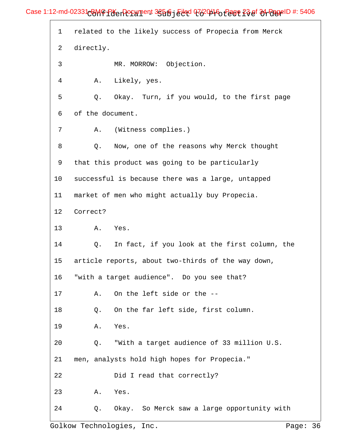Case 1:12-md-02331-BMG-PK <sub>er</sub> Pocument 33516 <sub>J</sub> Elled Q7/20/16 Page ?3 of 34 BageID #: 5406

 1 related to the likely success of Propecia from Merck 2 directly. 3 MR. MORROW: Objection. 4 A. Likely, yes. 5 Q. Okay. Turn, if you would, to the first page 6 of the document. 7 A. (Witness complies.) 8 Q. Now, one of the reasons why Merck thought 9 that this product was going to be particularly 10 successful is because there was a large, untapped 11 market of men who might actually buy Propecia. 12 Correct? 13 A. Yes. 14 Q. In fact, if you look at the first column, the 15 article reports, about two-thirds of the way down, 16 "with a target audience". Do you see that? 17 A. On the left side or the -- 18 Q. On the far left side, first column. 19 A. Yes. 20 Q. "With a target audience of 33 million U.S. 21 men, analysts hold high hopes for Propecia." 22 Did I read that correctly? 23 A. Yes. 24 Q. Okay. So Merck saw a large opportunity with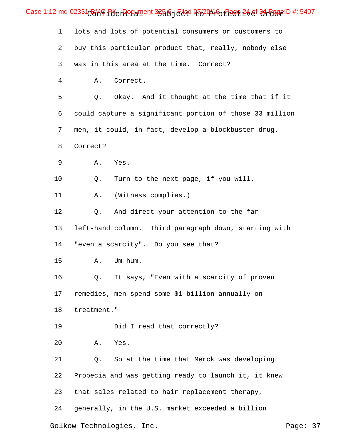# Case 1:12-md-02331-BMG-PK en POCument 33516 j EU ed Q7/20/16 Page 24 of 34 PageID #: 5407

| 1  | lots and lots of potential consumers or customers to    |
|----|---------------------------------------------------------|
| 2  | buy this particular product that, really, nobody else   |
| 3  | was in this area at the time. Correct?                  |
| 4  | Α.<br>Correct.                                          |
| 5  | Okay. And it thought at the time that if it<br>Q.       |
| 6  | could capture a significant portion of those 33 million |
| 7  | men, it could, in fact, develop a blockbuster drug.     |
| 8  | Correct?                                                |
| 9  | Α.<br>Yes.                                              |
| 10 | Turn to the next page, if you will.<br>Q.               |
| 11 | (Witness complies.)<br>Α.                               |
| 12 | And direct your attention to the far<br>Q.              |
| 13 | left-hand column. Third paragraph down, starting with   |
| 14 | "even a scarcity". Do you see that?                     |
| 15 | Um-hum.<br>Α.                                           |
| 16 | It says, "Even with a scarcity of proven<br>$Q$ .       |
| 17 | remedies, men spend some \$1 billion annually on        |
| 18 | treatment."                                             |
| 19 | Did I read that correctly?                              |
| 20 | Yes.<br>Α.                                              |
| 21 | So at the time that Merck was developing<br>Q.          |
| 22 | Propecia and was getting ready to launch it, it knew    |
| 23 | that sales related to hair replacement therapy,         |
| 24 | generally, in the U.S. market exceeded a billion        |

Golkow Technologies, Inc. The Collection of the Page: 37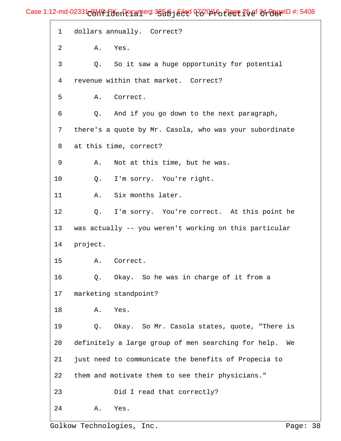# Case 1:12-md-02331-BMG-PK <sub>er</sub> Pocument 33519 <sub>J</sub> Elled Q7/20/16 Page 25 of 34 PageID #: 5408

 1 dollars annually. Correct? 2 A. Yes. 3 Q. So it saw a huge opportunity for potential 4 revenue within that market. Correct? 5 A. Correct. 6 Q. And if you go down to the next paragraph, 7 there's a quote by Mr. Casola, who was your subordinate 8 at this time, correct? 9 A. Not at this time, but he was. 10 Q. I'm sorry. You're right. 11 A. Six months later. 12 Q. I'm sorry. You're correct. At this point he 13 was actually -- you weren't working on this particular 14 project. 15 A. Correct. 16 Q. Okay. So he was in charge of it from a 17 marketing standpoint? 18 A. Yes. 19 Q. Okay. So Mr. Casola states, quote, "There is 20 definitely a large group of men searching for help. We 21 just need to communicate the benefits of Propecia to 22 them and motivate them to see their physicians." 23 Did I read that correctly? 24 A. Yes.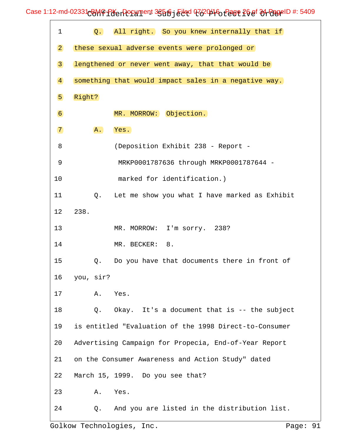# Case 1:12-md-02331-BMG-PKerPOCument 33519 j Elled Q7/20416 Page 26 of 31 PageID #: 5409

| $\mathbf 1$         | Q. All right. So you knew internally that if           |
|---------------------|--------------------------------------------------------|
| $\overline{2}$      | these sexual adverse events were prolonged or          |
| 3 <sup>1</sup>      | lengthened or never went away, that that would be      |
| $\overline{4}$      | something that would impact sales in a negative way.   |
| 5 <sup>1</sup>      | Right?)                                                |
| $6 \nightharpoonup$ | MR. MORROW: Objection.                                 |
| 7 <sup>1</sup>      | A.<br>Yes.                                             |
| 8                   | (Deposition Exhibit 238 - Report -                     |
| 9                   | MRKP0001787636 through MRKP0001787644 -                |
| 10                  | marked for identification.)                            |
| 11                  | Let me show you what I have marked as Exhibit<br>Q.    |
| 12                  | 238.                                                   |
| 13                  | MR. MORROW: I'm sorry. 238?                            |
| 14                  | MR. BECKER: 8.                                         |
| 15                  | Do you have that documents there in front of<br>Q.     |
| 16                  | you, sir?                                              |
| 17                  | Α.<br>Yes.                                             |
| 18                  | Okay. It's a document that is -- the subject<br>Q.     |
| 19                  | is entitled "Evaluation of the 1998 Direct-to-Consumer |
| 20                  | Advertising Campaign for Propecia, End-of-Year Report  |
| 21                  | on the Consumer Awareness and Action Study" dated      |
| 22                  | March 15, 1999. Do you see that?                       |
| 23                  | Α.<br>Yes.                                             |
| 24                  | And you are listed in the distribution list.<br>Q.     |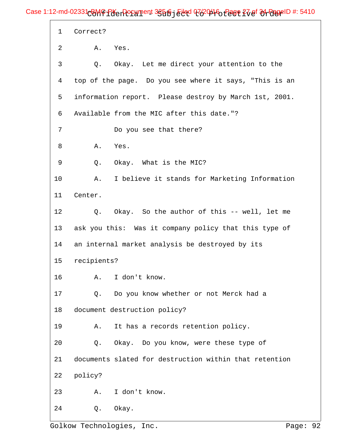Confidential - Subject to Protective Order Case 1:12-md-02331-BMC-PK Document 325-6 Filed 07/20/16 Page 27 of 34 PageID #: 5410

 1 Correct? 2 A. Yes. 3 Q. Okay. Let me direct your attention to the 4 top of the page. Do you see where it says, "This is an 5 information report. Please destroy by March 1st, 2001. 6 Available from the MIC after this date."? 7 Do you see that there? 8 A. Yes. 9 Q. Okay. What is the MIC? 10 A. I believe it stands for Marketing Information 11 Center. 12 Q. Okay. So the author of this -- well, let me 13 ask you this: Was it company policy that this type of 14 an internal market analysis be destroyed by its 15 recipients? 16 A. I don't know. 17 Q. Do you know whether or not Merck had a 18 document destruction policy? 19 A. It has a records retention policy. 20 Q. Okay. Do you know, were these type of 21 documents slated for destruction within that retention 22 policy? 23 A. I don't know. 24 Q. Okay.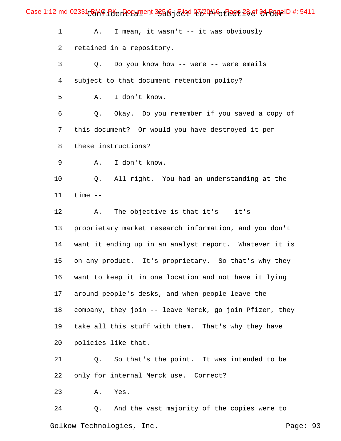Case 1:12-md-02331-BMG-PK en POCument 33516 j EU ed Q7/20/16 Page 28 of 34 PageID #: 5411

 1 A. I mean, it wasn't -- it was obviously 2 retained in a repository. 3 Q. Do you know how -- were -- were emails 4 subject to that document retention policy? 5 A. I don't know. 6 Q. Okay. Do you remember if you saved a copy of 7 this document? Or would you have destroyed it per 8 these instructions? 9 A. I don't know. 10 Q. All right. You had an understanding at the 11 time -- 12 A. The objective is that it's -- it's 13 proprietary market research information, and you don't 14 want it ending up in an analyst report. Whatever it is 15 on any product. It's proprietary. So that's why they 16 want to keep it in one location and not have it lying 17 around people's desks, and when people leave the 18 company, they join -- leave Merck, go join Pfizer, they 19 take all this stuff with them. That's why they have 20 policies like that. 21 Q. So that's the point. It was intended to be 22 only for internal Merck use. Correct? 23 A. Yes. 24 Q. And the vast majority of the copies were to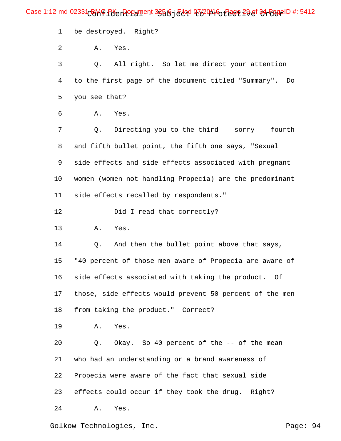# Case 1:12-md-02331-BMG-PK en POCument 33516 j EU ed Q7/20/16 Page 29 of 34 PageID #: 5412

 1 be destroyed. Right? 2 A. Yes. 3 Q. All right. So let me direct your attention 4 to the first page of the document titled "Summary". Do 5 you see that? 6 A. Yes. 7 Q. Directing you to the third -- sorry -- fourth 8 and fifth bullet point, the fifth one says, "Sexual 9 side effects and side effects associated with pregnant 10 women (women not handling Propecia) are the predominant 11 side effects recalled by respondents." 12 Did I read that correctly? 13 A. Yes. 14 Q. And then the bullet point above that says, 15 "40 percent of those men aware of Propecia are aware of 16 side effects associated with taking the product. Of 17 those, side effects would prevent 50 percent of the men 18 from taking the product." Correct? 19 A. Yes. 20 Q. Okay. So 40 percent of the -- of the mean 21 who had an understanding or a brand awareness of 22 Propecia were aware of the fact that sexual side 23 effects could occur if they took the drug. Right? 24 A. Yes.

Golkow Technologies, Inc. example of the page: 94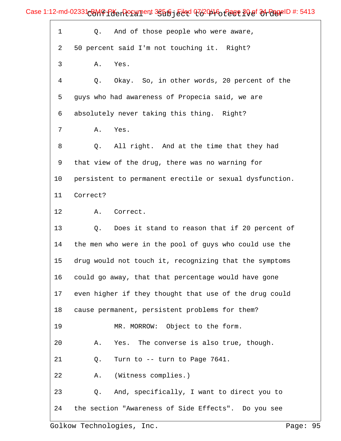Case 1:12-md-02331-BMG-PK en POCument 33516 j EU ed Q7/20/16 Page 30 of 34 PageID #: 5413

 1 Q. And of those people who were aware, 2 50 percent said I'm not touching it. Right? 3 A. Yes. 4 Q. Okay. So, in other words, 20 percent of the 5 guys who had awareness of Propecia said, we are 6 absolutely never taking this thing. Right? 7 A. Yes. 8 Q. All right. And at the time that they had 9 that view of the drug, there was no warning for 10 persistent to permanent erectile or sexual dysfunction. 11 Correct? 12 A. Correct. 13 Q. Does it stand to reason that if 20 percent of 14 the men who were in the pool of guys who could use the 15 drug would not touch it, recognizing that the symptoms 16 could go away, that that percentage would have gone 17 even higher if they thought that use of the drug could 18 cause permanent, persistent problems for them? 19 MR. MORROW: Object to the form. 20 A. Yes. The converse is also true, though. 21 Q. Turn to -- turn to Page 7641. 22 A. (Witness complies.) 23 Q. And, specifically, I want to direct you to 24 the section "Awareness of Side Effects". Do you see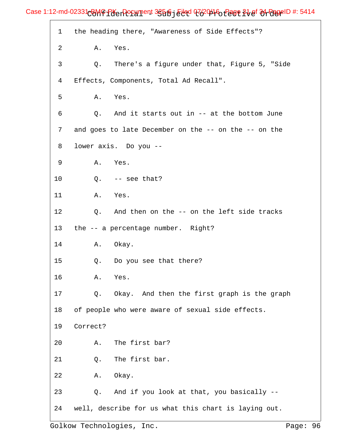# Confidential - Subject to Protective Order Case 1:12-md-02331-BMC-PK Document 325-6 Filed 07/20/16 Page 31 of 34 PageID #: 5414

 1 the heading there, "Awareness of Side Effects"? 2 A. Yes. 3 Q. There's a figure under that, Figure 5, "Side 4 Effects, Components, Total Ad Recall". 5 A. Yes. 6 Q. And it starts out in -- at the bottom June 7 and goes to late December on the -- on the -- on the 8 lower axis. Do you -- 9 A. Yes.  $10$  Q.  $-$  see that? 11 A. Yes. 12 Q. And then on the -- on the left side tracks 13 the -- a percentage number. Right? 14 A. Okay. 15 Q. Do you see that there? 16 A. Yes. 17 Q. Okay. And then the first graph is the graph 18 of people who were aware of sexual side effects. 19 Correct? 20 A. The first bar? 21 Q. The first bar. 22 A. Okay. 23 Q. And if you look at that, you basically -- 24 well, describe for us what this chart is laying out.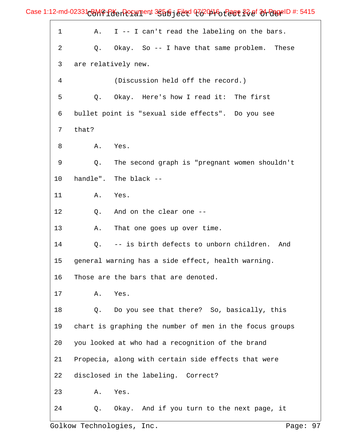Case 1:12-md-02331-BMG-PK en POCument 33516 j EU ed Q7/20/16 Page 32 of 34 PageID #: 5415

 1 A. I -- I can't read the labeling on the bars. 2 Q. Okay. So -- I have that same problem. These 3 are relatively new. 4 (Discussion held off the record.) 5 Q. Okay. Here's how I read it: The first 6 bullet point is "sexual side effects". Do you see 7 that? 8 A. Yes. 9 Q. The second graph is "pregnant women shouldn't 10 handle". The black -- 11 A. Yes. 12 O. And on the clear one -- 13 A. That one goes up over time. 14 Q. -- is birth defects to unborn children. And 15 general warning has a side effect, health warning. 16 Those are the bars that are denoted. 17 A. Yes. 18 Q. Do you see that there? So, basically, this 19 chart is graphing the number of men in the focus groups 20 you looked at who had a recognition of the brand 21 Propecia, along with certain side effects that were 22 disclosed in the labeling. Correct? 23 A. Yes. 24 Q. Okay. And if you turn to the next page, it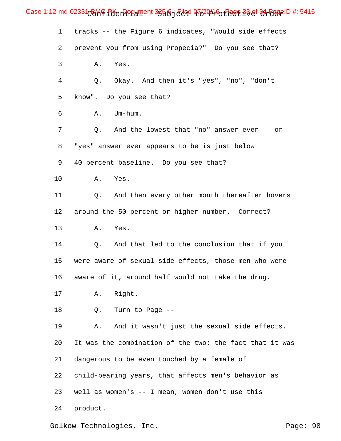### Case 1:12-md-02331-BMG-PKerPOCument 33519 j Elled Q7/20416 Page 33 of 31 BageID #: 5416

| $\mathbf{1}$    | tracks -- the Figure 6 indicates, "Would side effects   |
|-----------------|---------------------------------------------------------|
| $\overline{2}$  | prevent you from using Propecia?" Do you see that?      |
| 3               | A. Yes.                                                 |
| 4               | Q. Okay. And then it's "yes", "no", "don't              |
| 5               | know". Do you see that?                                 |
| 6               | A. Um-hum.                                              |
| 7               | Q. And the lowest that "no" answer ever -- or           |
| 8               | "yes" answer ever appears to be is just below           |
| 9               | 40 percent baseline. Do you see that?                   |
| 10              | A. Yes.                                                 |
| 11              | Q. And then every other month thereafter hovers         |
| 12 <sub>1</sub> | around the 50 percent or higher number. Correct?        |
| 13              | A. Yes.                                                 |
| 14              | Q. And that led to the conclusion that if you           |
| 15 <sub>1</sub> | were aware of sexual side effects, those men who were   |
| 16              | aware of it, around half would not take the drug.       |
| 17              | Right.<br>Α.                                            |
| 18              | Q.<br>Turn to Page --                                   |
| 19              | And it wasn't just the sexual side effects.<br>Α.       |
| 20              | It was the combination of the two; the fact that it was |
| 21              | dangerous to be even touched by a female of             |
| 22              | child-bearing years, that affects men's behavior as     |
| 23              | well as women's -- I mean, women don't use this         |
| 24              | product.                                                |

Golkow Technologies, Inc. Page: 98